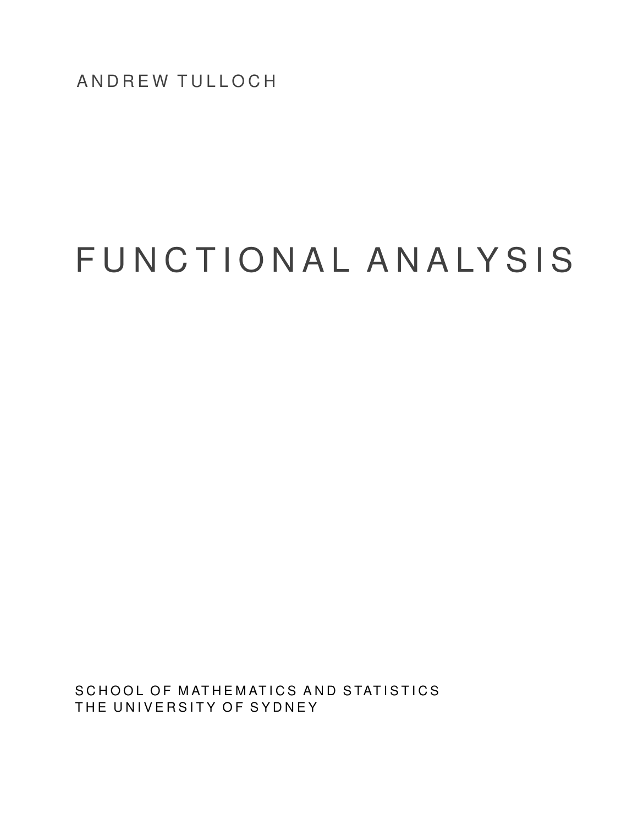ANDREW TULLOCH

# FUNCTIONAL ANALYSIS

SCHOOL OF MATHEMATICS AND STATISTICS THE UNIVERSITY OF SYDNEY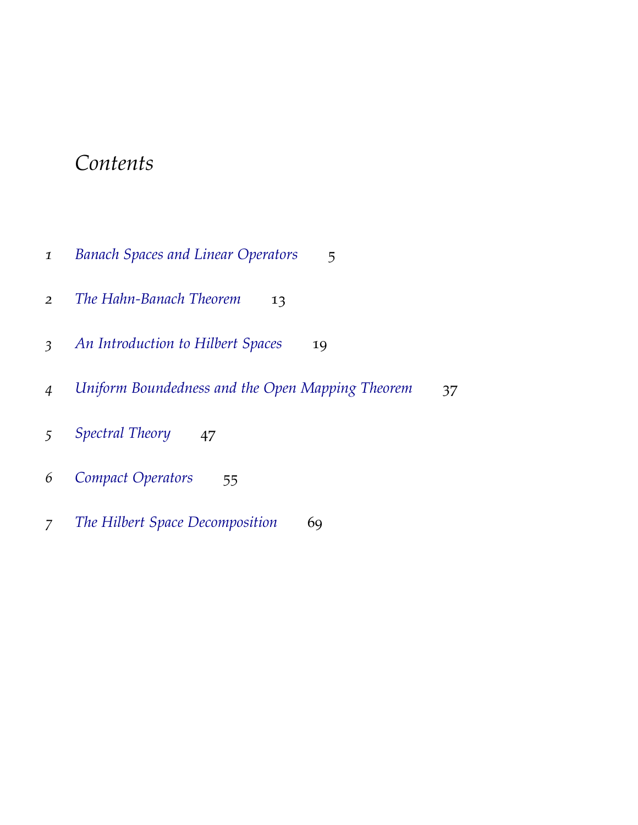# *Contents*

| $\mathbf{I}$             | <b>Banach Spaces and Linear Operators</b><br>5         |
|--------------------------|--------------------------------------------------------|
| 2                        | The Hahn-Banach Theorem<br>13                          |
| $\overline{\mathcal{E}}$ | An Introduction to Hilbert Spaces<br>19                |
| 4                        | Uniform Boundedness and the Open Mapping Theorem<br>37 |
| 5                        | Spectral Theory<br>47                                  |
| 6                        | <b>Compact Operators</b><br>55                         |
| 7                        | The Hilbert Space Decomposition<br>69                  |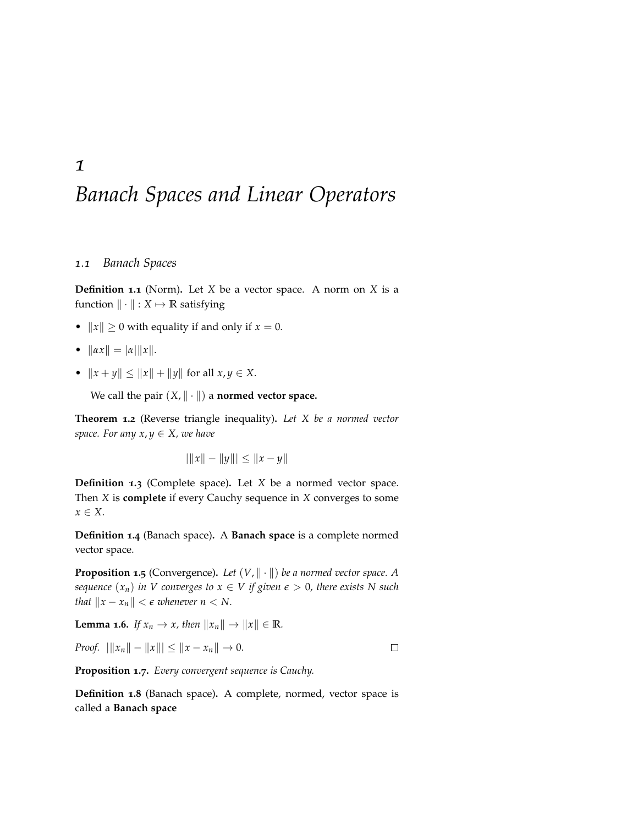# *Banach Spaces and Linear Operators*

## *1.1 Banach Spaces*

<span id="page-4-0"></span>*1*

**Definition 1.1** (Norm)**.** Let *X* be a vector space. A norm on *X* is a function  $\|\cdot\|$  :  $X \mapsto \mathbb{R}$  satisfying

- $||x|| \ge 0$  with equality if and only if  $x = 0$ .
- $\|\alpha x\| = |\alpha| \|x\|.$
- $||x + y|| \le ||x|| + ||y||$  for all  $x, y \in X$ .

We call the pair  $(X, \| \cdot \|)$  a **normed vector space.** 

**Theorem 1.2** (Reverse triangle inequality)**.** *Let X be a normed vector space. For any*  $x, y \in X$ *, we have* 

 $|||x|| - ||y||| \leq ||x - y||$ 

**Definition 1.3** (Complete space)**.** Let *X* be a normed vector space. Then *X* is **complete** if every Cauchy sequence in *X* converges to some *x* ∈ *X*.

**Definition 1.4** (Banach space)**.** A **Banach space** is a complete normed vector space.

**Proposition 1.5** (Convergence). Let  $(V, \|\cdot\|)$  be a normed vector space. A *sequence*  $(x_n)$  *in V* converges to  $x \in V$  *if given*  $\epsilon > 0$ *, there exists* N such *that*  $||x - x_n|| < \epsilon$  *whenever n* < *N*.

**Lemma 1.6.** *If*  $x_n \to x$ *, then*  $||x_n|| \to ||x|| \in \mathbb{R}$ *.* 

*Proof.*  $||x_n|| - ||x||| \le ||x - x_n|| \to 0.$ 

 $\Box$ 

**Proposition 1.7.** *Every convergent sequence is Cauchy.*

**Definition 1.8** (Banach space)**.** A complete, normed, vector space is called a **Banach space**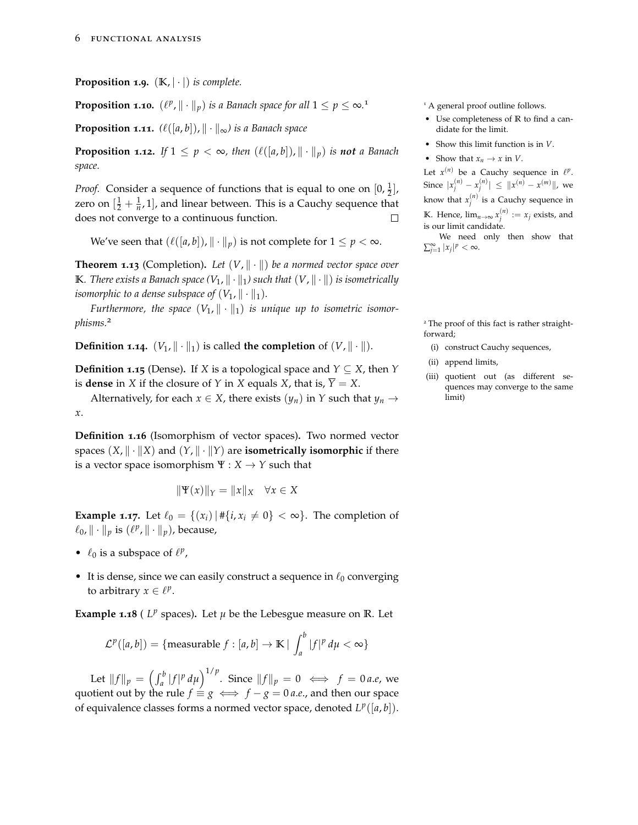**Proposition 1.9.**  $(K, |\cdot|)$  *is complete.* 

**Proposition 1.10.**  $(\ell^p, \|\cdot\|_p)$  *is a Banach space for all*  $1 \leq p \leq \infty$ *.* 

**Proposition 1.11.**  $(\ell([a, b]), \| \cdot \|_{\infty})$  is a Banach space

**Proposition 1.12.** If  $1 \leq p < \infty$ , then  $(\ell([a, b]), \| \cdot \|_p)$  is **not** a Banach *space.*

*Proof.* Consider a sequence of functions that is equal to one on  $[0, \frac{1}{2}]$ , zero on  $\left[\frac{1}{2} + \frac{1}{n}, 1\right]$ , and linear between. This is a Cauchy sequence that does not converge to a continuous function.  $\Box$ 

We've seen that  $(\ell([a, b]), \| \cdot \|_p)$  is not complete for  $1 \le p < \infty$ .

**Theorem 1.13** (Completion). Let  $(V, \|\cdot\|)$  be a normed vector space over **K***. There exists a Banach space*  $(V_1, \|\cdot\|_1)$  *such that*  $(V, \|\cdot\|)$  *is isometrically isomorphic to a dense subspace of*  $(V_1, \|\cdot\|_1)$ *.* 

*Furthermore, the space*  $(V_1, \|\cdot\|_1)$  *is unique up to isometric isomorphisms.*<sup>2</sup> <sup>2</sup> The proof of this fact is rather straight-

**Definition 1.14.**  $(V_1, \|\cdot\|_1)$  is called **the completion** of  $(V, \|\cdot\|)$ .

**Definition 1.15** (Dense). If *X* is a topological space and  $Y \subseteq X$ , then *Y* is **dense** in *X* if the closure of *Y* in *X* equals *X*, that is,  $\overline{Y} = X$ .

Alternatively, for each  $x \in X$ , there exists  $(y_n)$  in *Y* such that  $y_n \to$ *x*.

**Definition 1.16** (Isomorphism of vector spaces)**.** Two normed vector spaces  $(X, \| \cdot \| X)$  and  $(Y, \| \cdot \| Y)$  are **isometrically isomorphic** if there is a vector space isomorphism  $\Psi: X \to Y$  such that

$$
\|\Psi(x)\|_{Y} = \|x\|_{X} \quad \forall x \in X
$$

**Example 1.17.** Let  $\ell_0 = \{(x_i) | \# \{i, x_i \neq 0\} < \infty\}$ . The completion of  $\ell_0$ ,  $\|\cdot\|_p$  is  $(\ell^p$ ,  $\|\cdot\|_p)$ , because,

- $\ell_0$  is a subspace of  $\ell^p$ ,
- It is dense, since we can easily construct a sequence in  $\ell_0$  converging to arbitrary  $x \in \ell^p$ .

**Example 1.18** ( $L^p$  spaces). Let  $\mu$  be the Lebesgue measure on  $\mathbb{R}$ . Let

$$
\mathcal{L}^p([a,b]) = \{\text{measurable } f : [a,b] \to \mathbb{K} \mid \int_a^b |f|^p \, d\mu < \infty \}
$$

Let  $||f||_p = \left(\int_a^b |f|^p \, d\mu\right)^{1/p}$ . Since  $||f||_p = 0 \iff f = 0$  *a.e,* we quotient out by the rule  $f \equiv g \iff f - g = 0$  *a.e.*, and then our space of equivalence classes forms a normed vector space, denoted  $L^p([a, b])$ .

<sup>1</sup> A general proof outline follows.

- Use completeness of **R** to find a candidate for the limit.
- Show this limit function is in *V*.
- Show that  $x_n \to x$  in *V*.

Let  $x^{(n)}$  be a Cauchy sequence in  $\ell^p$ . Since  $|x_j^{(n)} - x_j^{(n)}| \leq ||x^{(n)} - x^{(m)}||$ , we know that  $x_j^{(n)}$  is a Cauchy sequence in **K**. Hence,  $\lim_{n\to\infty} x_j^{(n)} := x_j$  exists, and is our limit candidate.

We need only then show that  $\sum_{j=1}^{\infty} |x_j|^p < \infty$ .

forward;

- (i) construct Cauchy sequences,
- (ii) append limits,
- (iii) quotient out (as different sequences may converge to the same limit)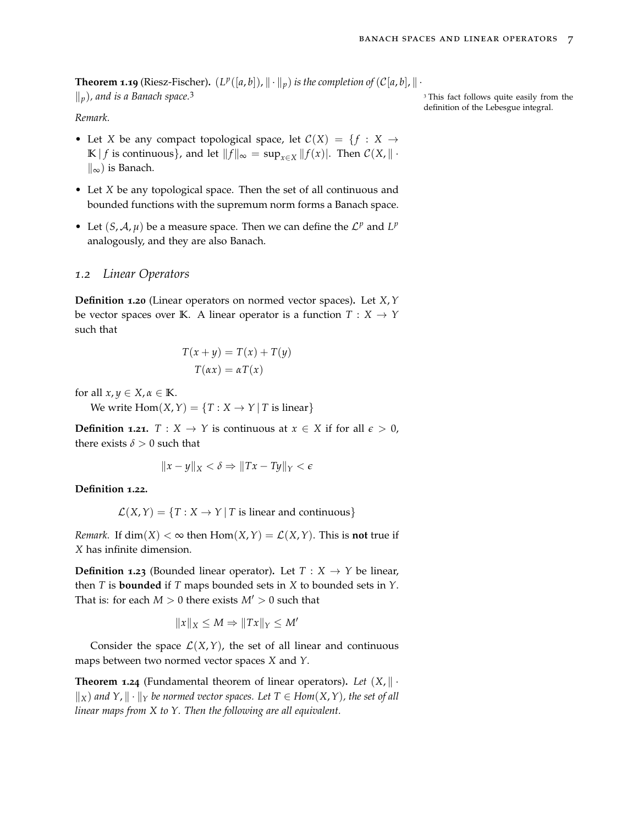**Theorem 1.19** (Riesz-Fischer).  $(L^p([a, b]), \| \cdot \|_p)$  is the completion of  $(C[a, b], \| \cdot \|_p)$  $\Vert p$ *), and is a Banach space.*<sup>3</sup> 3 This fact follows quite easily from the

definition of the Lebesgue integral.

### *Remark.*

- Let *X* be any compact topological space, let  $C(X) = \{f : X \rightarrow$ **K** | *f* is continuous}, and let  $||f||_{\infty} = \sup_{x \in X} ||f(x)|$ . Then  $C(X, || \cdot ||)$  $\parallel_{\infty}$ ) is Banach.
- Let *X* be any topological space. Then the set of all continuous and bounded functions with the supremum norm forms a Banach space.
- Let  $(S, A, \mu)$  be a measure space. Then we can define the  $\mathcal{L}^p$  and  $L^p$ analogously, and they are also Banach.

### *1.2 Linear Operators*

**Definition 1.20** (Linear operators on normed vector spaces)**.** Let *X*,*Y* be vector spaces over **K**. A linear operator is a function  $T : X \rightarrow Y$ such that

$$
T(x + y) = T(x) + T(y)
$$

$$
T(\alpha x) = \alpha T(x)
$$

for all  $x, y \in X, \alpha \in \mathbb{K}$ .

We write  $\text{Hom}(X, Y) = \{T : X \to Y | T \text{ is linear}\}\$ 

**Definition 1.21.**  $T : X \to Y$  is continuous at  $x \in X$  if for all  $\epsilon > 0$ , there exists  $\delta > 0$  such that

$$
||x - y||_X < \delta \Rightarrow ||Tx - Ty||_Y < \epsilon
$$

**Definition 1.22.**

$$
\mathcal{L}(X, Y) = \{T : X \to Y | T \text{ is linear and continuous}\}\
$$

*Remark.* If  $dim(X) < \infty$  then  $Hom(X, Y) = \mathcal{L}(X, Y)$ . This is **not** true if *X* has infinite dimension.

**Definition 1.23** (Bounded linear operator). Let  $T : X \rightarrow Y$  be linear, then *T* is **bounded** if *T* maps bounded sets in *X* to bounded sets in *Y*. That is: for each  $M > 0$  there exists  $M' > 0$  such that

$$
||x||_X \le M \Rightarrow ||Tx||_Y \le M'
$$

Consider the space  $\mathcal{L}(X, Y)$ , the set of all linear and continuous maps between two normed vector spaces *X* and *Y*.

**Theorem 1.24** (Fundamental theorem of linear operators). Let  $(X, \| \cdot \|)$  $\Vert$ <sub>*X</sub>*) *and Y*,  $\Vert \cdot \Vert$ <sup>*Y*</sup> *be normed vector spaces. Let T* ∈ *Hom*(*X*, *Y*), the set of all</sub> *linear maps from X to Y. Then the following are all equivalent.*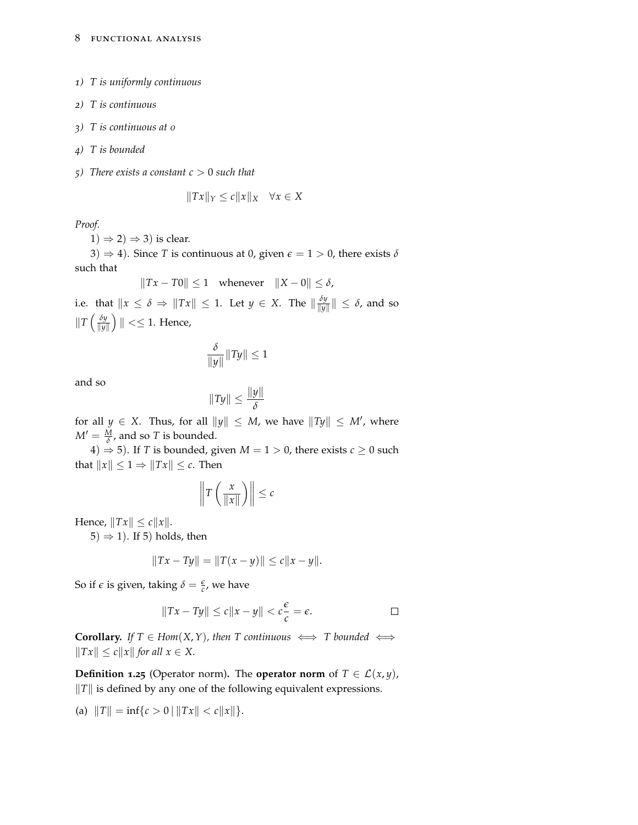- *1) T is uniformly continuous*
- *2) T is continuous*
- *3) T is continuous at 0*
- *4) T is bounded*
- *5) There exists a constant c* > 0 *such that*

$$
||Tx||_Y \le c||x||_X \quad \forall x \in X
$$

*Proof.*

 $1) \Rightarrow 2) \Rightarrow 3)$  is clear.

3)  $\Rightarrow$  4). Since *T* is continuous at 0, given  $\epsilon$  = 1 > 0, there exists  $\delta$ such that

$$
||Tx - T0|| \le 1 \quad \text{whenever} \quad ||X - 0|| \le \delta,
$$

i.e. that  $\|x \leq \delta \Rightarrow \|Tx\| \leq 1$ . Let  $y \in X$ . The  $\|\frac{\delta y}{\|y\|}$  $\frac{\partial y}{\|y\|}\| \leq \delta$ , and so  $\|T\left(\frac{\delta y}{\|u\|}\right)$  $\frac{\delta y}{\|y\|}\Big)$   $\|<\leq 1$ . Hence,

$$
\frac{\delta}{\|y\|}\|Ty\| \le 1
$$

and so

$$
||Ty|| \leq \frac{||y||}{\delta}
$$

for all  $y \in X$ . Thus, for all  $||y|| \leq M$ , we have  $||Ty|| \leq M'$ , where  $M' = \frac{M}{\delta}$ , and so *T* is bounded.

4)  $\Rightarrow$  5). If *T* is bounded, given *M* = 1 > 0, there exists *c* ≥ 0 such that  $||x|| \leq 1 \Rightarrow ||Tx|| \leq c$ . Then

$$
\left\|T\left(\frac{x}{\|x\|}\right)\right\| \leq c
$$

Hence,  $\|Tx\| \leq c \|x\|.$ 

 $(5) \Rightarrow 1$ ). If 5) holds, then

$$
||Tx - Ty|| = ||T(x - y)|| \le c||x - y||.
$$

So if  $\epsilon$  is given, taking  $\delta = \frac{\epsilon}{c}$ , we have

$$
||Tx - Ty|| \le c||x - y|| < c\frac{\epsilon}{c} = \epsilon.
$$

**Corollary.** *If*  $T \in Hom(X, Y)$ *, then*  $T$  *continuous*  $\iff T$  *bounded*  $\iff$  $\|Tx\| \leq c \|x\|$  *for all*  $x \in X$ .

**Definition 1.25** (Operator norm). The **operator norm** of  $T \in \mathcal{L}(x, y)$ ,  $\|T\|$  is defined by any one of the following equivalent expressions.

(a)  $||T|| = \inf\{c > 0 | ||Tx|| < c||x||\}.$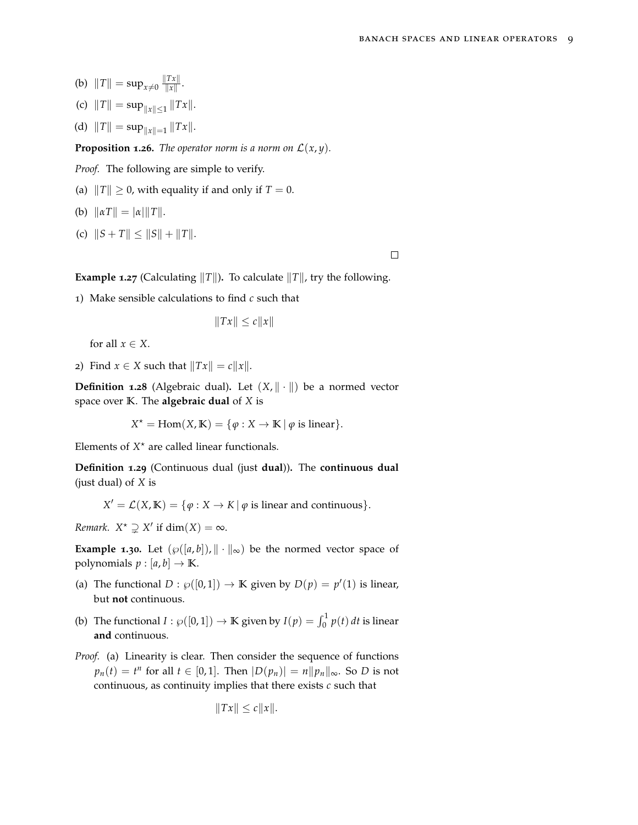- (b)  $||T|| = \sup_{x \neq 0} \frac{||Tx||}{||x||}$  $\frac{f(x)}{\|x\|}$ .
- (c)  $||T|| = \sup_{||x|| \le 1} ||Tx||$ .
- (d)  $||T|| = \sup_{||x||=1} ||Tx||$ .

**Proposition 1.26.** *The operator norm is a norm on*  $\mathcal{L}(x, y)$ *.* 

*Proof.* The following are simple to verify.

- (a)  $||T|| \ge 0$ , with equality if and only if  $T = 0$ .
- (b)  $\|\alpha T\| = |\alpha| \|T\|.$
- (c)  $||S + T|| \le ||S|| + ||T||$ .

 $\Box$ 

**Example 1.27** (Calculating  $||T||$ ). To calculate  $||T||$ , try the following.

1) Make sensible calculations to find *c* such that

 $\|Tx\| \leq c\|x\|$ 

for all  $x \in X$ .

2) Find  $x \in X$  such that  $||Tx|| = c||x||$ .

**Definition 1.28** (Algebraic dual). Let  $(X, \| \cdot \|)$  be a normed vector space over **K**. The **algebraic dual** of *X* is

$$
X^* = \text{Hom}(X, \mathbb{K}) = \{ \varphi : X \to \mathbb{K} \mid \varphi \text{ is linear} \}.
$$

Elements of  $X^*$  are called linear functionals.

**Definition 1.29** (Continuous dual (just **dual**))**.** The **continuous dual** (just dual) of *X* is

 $X' = \mathcal{L}(X, \mathbb{K}) = \{ \varphi : X \to K \mid \varphi \text{ is linear and continuous} \}.$ 

*Remark.*  $X^* \supsetneq X'$  if  $dim(X) = \infty$ .

**Example 1.30.** Let  $(\wp([a, b]), \| \cdot \|_{\infty})$  be the normed vector space of polynomials  $p : [a, b] \rightarrow \mathbb{K}$ .

- (a) The functional  $D : \wp([0,1]) \to \mathbb{K}$  given by  $D(p) = p'(1)$  is linear, but **not** continuous.
- (b) The functional  $I : \wp([0,1]) \to \mathbb{K}$  given by  $I(p) = \int_0^1 p(t) dt$  is linear **and** continuous.
- *Proof.* (a) Linearity is clear. Then consider the sequence of functions  $p_n(t) = t^n$  for all  $t \in [0, 1]$ . Then  $|D(p_n)| = n ||p_n||_{\infty}$ . So *D* is not continuous, as continuity implies that there exists *c* such that

$$
||Tx|| \le c||x||.
$$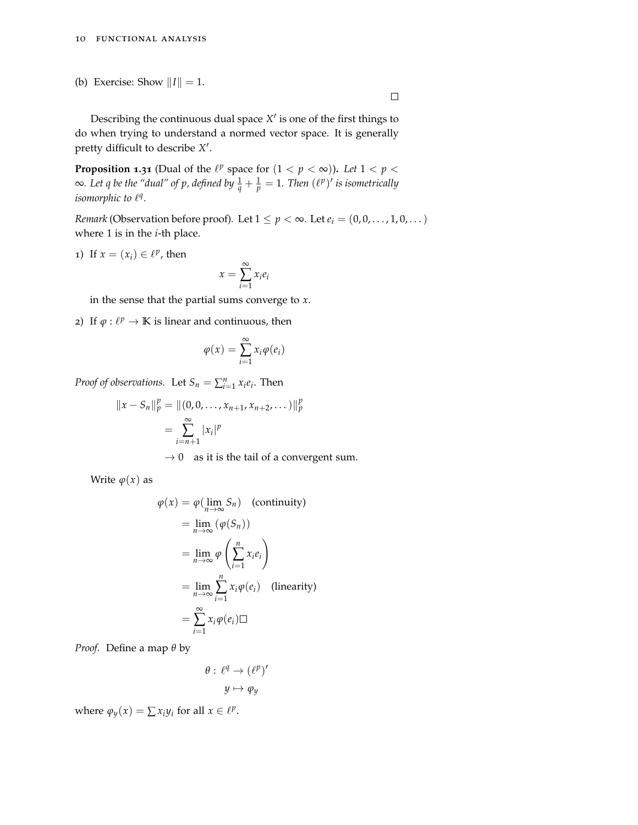(b) Exercise: Show  $||I|| = 1$ .

#### $\Box$

Describing the continuous dual space  $X'$  is one of the first things to do when trying to understand a normed vector space. It is generally pretty difficult to describe X<sup>'</sup>.

**Proposition 1.31** (Dual of the  $\ell^p$  space for  $(1 < p < \infty)$ ). Let  $1 < p < \infty$ ∞*. Let q be the "dual" of p, defined by*  $\frac{1}{q} + \frac{1}{p} = 1$ *. Then*  $(\ell^p)'$  *is isometrically isomorphic to*  $l^q$ .

*Remark* (Observation before proof). Let  $1 \le p < \infty$ . Let  $e_i = (0, 0, \ldots, 1, 0, \ldots)$ where 1 is in the *i*-th place.

1) If  $x = (x_i) \in \ell^p$ , then

$$
x = \sum_{i=1}^{\infty} x_i e_i
$$

in the sense that the partial sums converge to *x*.

2) If  $\varphi : \ell^p \to \mathbb{K}$  is linear and continuous, then

$$
\varphi(x) = \sum_{i=1}^{\infty} x_i \varphi(e_i)
$$

*Proof of observations.* Let  $S_n = \sum_{i=1}^n x_i e_i$ . Then

$$
||x - S_n||_p^p = ||(0, 0, ..., x_{n+1}, x_{n+2}, ...)||_p^p
$$
  
= 
$$
\sum_{i=n+1}^{\infty} |x_i|^p
$$

 $\rightarrow$  0 as it is the tail of a convergent sum.

Write  $\varphi(x)$  as

$$
\varphi(x) = \varphi(\lim_{n \to \infty} S_n) \quad \text{(continuity)}
$$
\n
$$
= \lim_{n \to \infty} (\varphi(S_n))
$$
\n
$$
= \lim_{n \to \infty} \varphi\left(\sum_{i=1}^n x_i e_i\right)
$$
\n
$$
= \lim_{n \to \infty} \sum_{i=1}^n x_i \varphi(e_i) \quad \text{(linearity)}
$$
\n
$$
= \sum_{i=1}^\infty x_i \varphi(e_i) \Box
$$

*Proof.* Define a map *θ* by

$$
\theta: \ell^q \to (\ell^p)'
$$

$$
y \mapsto \varphi_y
$$

where  $\varphi_y(x) = \sum x_i y_i$  for all  $x \in \ell^p$ .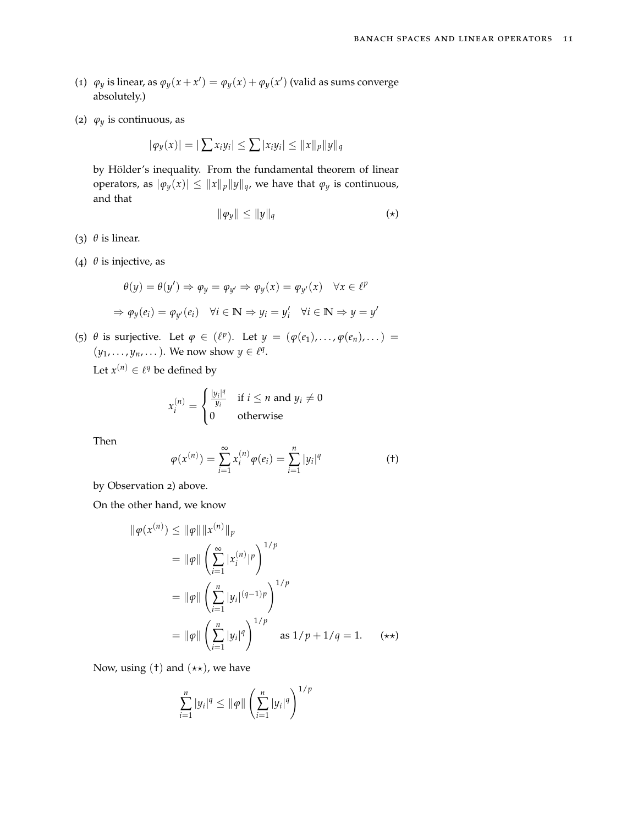- (1)  $\varphi_y$  is linear, as  $\varphi_y(x + x') = \varphi_y(x) + \varphi_y(x')$  (valid as sums converge absolutely.)
- (2)  $\varphi_y$  is continuous, as

$$
|\varphi_y(x)| = |\sum x_i y_i| \le \sum |x_i y_i| \le ||x||_p ||y||_q
$$

by Hölder's inequality. From the fundamental theorem of linear operators, as  $|\varphi_y(x)| \leq ||x||_p ||y||_q$ , we have that  $\varphi_y$  is continuous, and that

$$
\|\varphi_y\| \le \|y\|_q \tag{\star}
$$

- (3) *θ* is linear.
- (4) *θ* is injective, as

$$
\theta(y) = \theta(y') \Rightarrow \varphi_y = \varphi_{y'} \Rightarrow \varphi_y(x) = \varphi_{y'}(x) \quad \forall x \in \ell^p
$$
  

$$
\Rightarrow \varphi_y(e_i) = \varphi_{y'}(e_i) \quad \forall i \in \mathbb{N} \Rightarrow y_i = y'_i \quad \forall i \in \mathbb{N} \Rightarrow y = y'
$$

(5)  $\theta$  is surjective. Let  $\varphi \in (\ell^p)$ . Let  $y = (\varphi(e_1), \ldots, \varphi(e_n), \ldots) =$  $(y_1, \ldots, y_n, \ldots)$ . We now show  $y \in \ell^q$ .

Let  $x^{(n)} \in \ell^q$  be defined by

$$
x_i^{(n)} = \begin{cases} \frac{|y_i|^q}{y_i} & \text{if } i \le n \text{ and } y_i \neq 0\\ 0 & \text{otherwise} \end{cases}
$$

Then

$$
\varphi(x^{(n)}) = \sum_{i=1}^{\infty} x_i^{(n)} \varphi(e_i) = \sum_{i=1}^n |y_i|^q \tag{†}
$$

by Observation 2) above.

On the other hand, we know

$$
\|\varphi(x^{(n)}) \le \|\varphi\| \|x^{(n)}\|_p
$$
  
=  $\|\varphi\| \left(\sum_{i=1}^{\infty} |x_i^{(n)}|^p\right)^{1/p}$   
=  $\|\varphi\| \left(\sum_{i=1}^n |y_i|^{(q-1)p}\right)^{1/p}$   
=  $\|\varphi\| \left(\sum_{i=1}^n |y_i|^q\right)^{1/p}$  as  $1/p + 1/q = 1$ . (\*)

Now, using  $(t)$  and  $(*\star)$ , we have

$$
\sum_{i=1}^{n} |y_i|^q \le ||\varphi|| \left(\sum_{i=1}^{n} |y_i|^q\right)^{1/p}
$$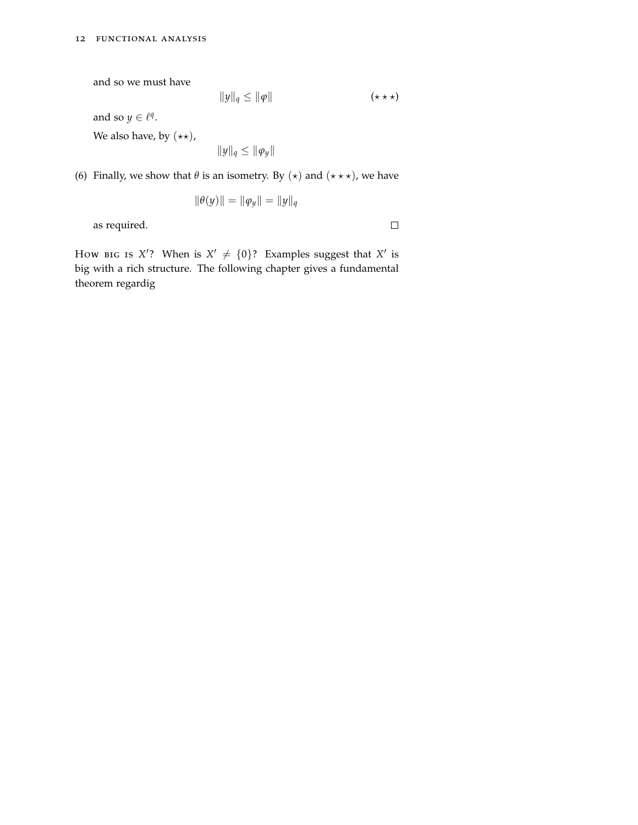and so we must have

$$
||y||_q \le ||\varphi|| \qquad \qquad (\star \star \star)
$$

and so  $y \in \ell^q$ .

We also have, by  $(\star \star)$ ,

 $||y||_q \leq ||\varphi_y||$ 

(6) Finally, we show that  $\theta$  is an isometry. By  $(\star)$  and  $(\star \star \star)$ , we have

$$
\|\theta(y)\| = \|\varphi_y\| = \|y\|_q
$$

as required.

 $\Box$ 

How BIG IS  $X'$ ? When is  $X' \neq \{0\}$ ? Examples suggest that  $X'$  is big with a rich structure. The following chapter gives a fundamental theorem regardig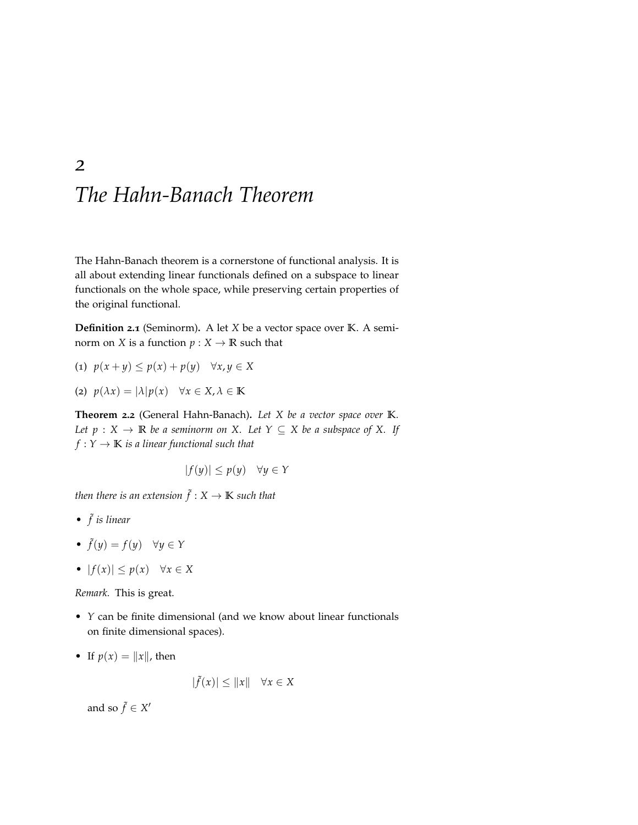# <span id="page-12-0"></span>*The Hahn-Banach Theorem*

The Hahn-Banach theorem is a cornerstone of functional analysis. It is all about extending linear functionals defined on a subspace to linear functionals on the whole space, while preserving certain properties of the original functional.

**Definition 2.1** (Seminorm)**.** A let *X* be a vector space over **K**. A seminorm on *X* is a function  $p: X \to \mathbb{R}$  such that

$$
(1) \ p(x+y) \le p(x) + p(y) \quad \forall x, y \in X
$$

(2) *p*(*λx*) = |*λ*|*p*(*x*) ∀*x* ∈ *X*, *λ* ∈ **K**

**Theorem 2.2** (General Hahn-Banach)**.** *Let X be a vector space over* **K***. Let*  $p : X \to \mathbb{R}$  *be a seminorm on X. Let*  $Y \subseteq X$  *be a subspace of X. If*  $f: Y \to \mathbb{K}$  *is a linear functional such that* 

$$
|f(y)| \le p(y) \quad \forall y \in Y
$$

then there is an extension  $\tilde{f}: \mathrm{X} \to \mathbb{K}$  such that

- *•* ˜ *f is linear*
- $\tilde{f}(y) = f(y) \quad \forall y \in Y$
- $|f(x)| \leq p(x) \quad \forall x \in X$

*Remark.* This is great.

- *Y* can be finite dimensional (and we know about linear functionals on finite dimensional spaces).
- If  $p(x) = ||x||$ , then

$$
|\tilde{f}(x)| \le ||x|| \quad \forall x \in X
$$

 $\ddot{\phantom{a}}$ 

and so  $\tilde{f} \in X'$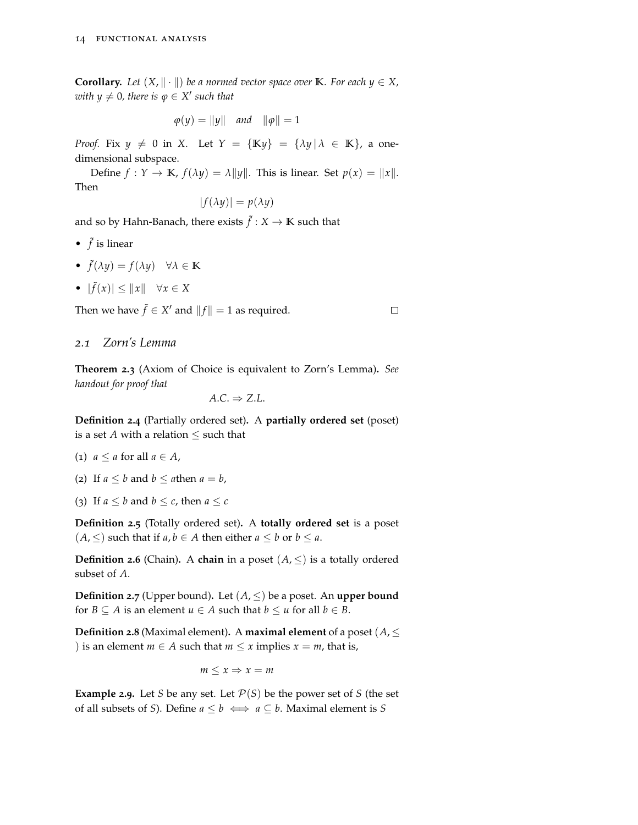**Corollary.** *Let*  $(X, \| \cdot \|)$  *be a normed vector space over* **K***. For each*  $y \in X$ *,*  $with y \neq 0$ , there is  $\varphi \in X'$  such that

$$
\varphi(y) = \|y\| \quad \text{and} \quad \|\varphi\| = 1
$$

*Proof.* Fix  $y \neq 0$  in *X*. Let  $Y = \{Ky\} = \{\lambda y | \lambda \in K\}$ , a onedimensional subspace.

Define  $f: Y \to \mathbb{K}$ ,  $f(\lambda y) = \lambda ||y||$ . This is linear. Set  $p(x) = ||x||$ . Then

$$
|f(\lambda y)| = p(\lambda y)
$$

and so by Hahn-Banach, there exists  $\tilde{f}:X\to \mathbb{K}$  such that

- $\tilde{f}$  is linear
- ˜ *f*(*λy*) = *f*(*λy*) ∀*λ* ∈ **K**
- $|\tilde{f}(x)| \leq ||x|| \quad \forall x \in X$

Then we have  $\tilde{f} \in X'$  and  $||f|| = 1$  as required.

## *2.1 Zorn's Lemma*

**Theorem 2.3** (Axiom of Choice is equivalent to Zorn's Lemma)**.** *See handout for proof that*

 $\Box$ 

$$
A.C. \Rightarrow Z.L.
$$

**Definition 2.4** (Partially ordered set)**.** A **partially ordered set** (poset) is a set  $A$  with a relation  $\leq$  such that

- (1)  $a \le a$  for all  $a \in A$ ,
- (2) If  $a \leq b$  and  $b \leq a$  then  $a = b$ ,
- (3) If  $a \leq b$  and  $b \leq c$ , then  $a \leq c$

**Definition 2.5** (Totally ordered set)**.** A **totally ordered set** is a poset  $(A, ≤)$  such that if *a*, *b* ∈ *A* then either *a* ≤ *b* or *b* ≤ *a*.

**Definition 2.6** (Chain). A **chain** in a poset  $(A, \leq)$  is a totally ordered subset of *A*.

**Definition 2.7** (Upper bound). Let  $(A, \leq)$  be a poset. An **upper bound** for *B*  $\subseteq$  *A* is an element *u*  $\in$  *A* such that *b*  $\leq$  *u* for all *b*  $\in$  *B*.

**Definition 2.8** (Maximal element). A **maximal element** of a poset ( $A$ ,  $\leq$ ) is an element *m*  $\in$  *A* such that *m*  $\leq$  *x* implies *x* = *m*, that is,

 $m \leq x \Rightarrow x = m$ 

**Example 2.9.** Let *S* be any set. Let  $P(S)$  be the power set of *S* (the set of all subsets of *S*). Define  $a \leq b \iff a \subseteq b$ . Maximal element is *S*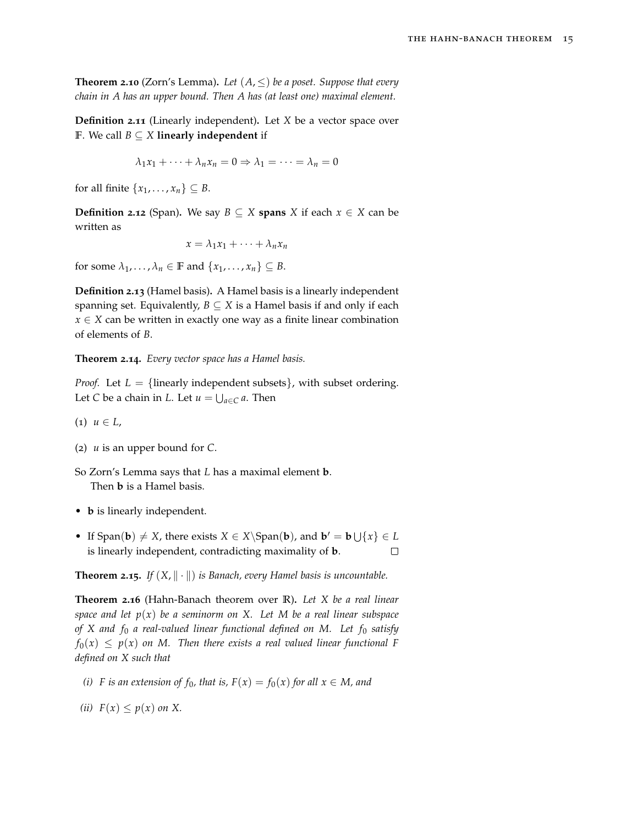**Theorem 2.10** (Zorn's Lemma). Let  $(A, \leq)$  be a poset. Suppose that every *chain in A has an upper bound. Then A has (at least one) maximal element.*

**Definition 2.11** (Linearly independent)**.** Let *X* be a vector space over **F**. We call *B* ⊆ *X* **linearly independent** if

 $\lambda_1 x_1 + \cdots + \lambda_n x_n = 0 \Rightarrow \lambda_1 = \cdots = \lambda_n = 0$ 

for all finite  $\{x_1, \ldots, x_n\} \subseteq B$ .

**Definition 2.12** (Span). We say  $B \subseteq X$  **spans** *X* if each  $x \in X$  can be written as

 $x = \lambda_1 x_1 + \cdots + \lambda_n x_n$ 

for some  $\lambda_1, \ldots, \lambda_n \in \mathbb{F}$  and  $\{x_1, \ldots, x_n\} \subseteq B$ .

**Definition 2.13** (Hamel basis)**.** A Hamel basis is a linearly independent spanning set. Equivalently,  $B \subseteq X$  is a Hamel basis if and only if each  $x \in X$  can be written in exactly one way as a finite linear combination of elements of *B*.

**Theorem 2.14.** *Every vector space has a Hamel basis.*

*Proof.* Let  $L = \{$  linearly independent subsets $\}$ , with subset ordering. Let *C* be a chain in *L*. Let  $u = \bigcup_{a \in C} a$ . Then

 $(1)$   $u \in L$ ,

(2) *u* is an upper bound for *C*.

So Zorn's Lemma says that *L* has a maximal element **b**. Then **b** is a Hamel basis.

- **b** is linearly independent.
- If Span(**b**)  $\neq$  *X*, there exists *X*  $\in$  *X*\Span(**b**), and **b**<sup> $\prime$ </sup> = **b**  $\bigcup \{x\} \in L$ is linearly independent, contradicting maximality of **b**.  $\Box$

**Theorem 2.15.** *If*  $(X, \| \cdot \|)$  *is Banach, every Hamel basis is uncountable.* 

**Theorem 2.16** (Hahn-Banach theorem over **R**)**.** *Let X be a real linear space and let p*(*x*) *be a seminorm on X. Let M be a real linear subspace of X and f*<sup>0</sup> *a real-valued linear functional defined on M. Let f*<sup>0</sup> *satisfy*  $f_0(x) \leq p(x)$  on M. Then there exists a real valued linear functional F *defined on X such that*

- *(i) F* is an extension of  $f_0$ , that is,  $F(x) = f_0(x)$  for all  $x \in M$ , and
- *(ii)*  $F(x) \leq p(x)$  *on X*.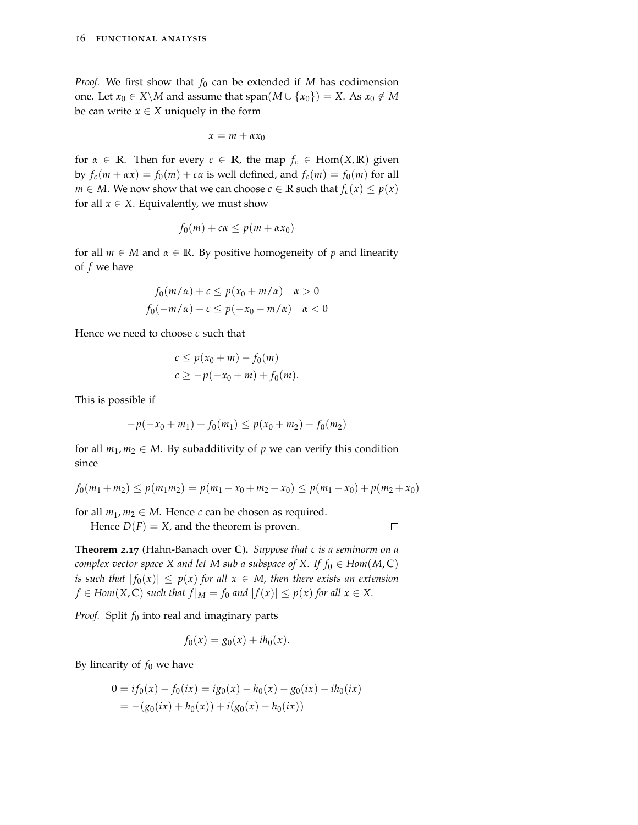*Proof.* We first show that  $f_0$  can be extended if *M* has codimension one. Let *x*<sup>0</sup> ∈ *X*\*M* and assume that span(*M* ∪ {*x*<sup>0</sup>}) = *X*. As *x*<sup>0</sup> ∉ *M* be can write  $x \in X$  uniquely in the form

$$
x = m + \alpha x_0
$$

for  $\alpha \in \mathbb{R}$ . Then for every  $c \in \mathbb{R}$ , the map  $f_c \in \text{Hom}(X, \mathbb{R})$  given by  $f_c(m + \alpha x) = f_0(m) + c\alpha$  is well defined, and  $f_c(m) = f_0(m)$  for all *m* ∈ *M*. We now show that we can choose *c* ∈ **R** such that  $f_c(x)$  ≤  $p(x)$ for all  $x \in X$ . Equivalently, we must show

$$
f_0(m) + c\alpha \le p(m + \alpha x_0)
$$

for all  $m \in M$  and  $\alpha \in \mathbb{R}$ . By positive homogeneity of p and linearity of *f* we have

$$
f_0(m/\alpha) + c \le p(x_0 + m/\alpha) \quad \alpha > 0
$$
  

$$
f_0(-m/\alpha) - c \le p(-x_0 - m/\alpha) \quad \alpha < 0
$$

Hence we need to choose *c* such that

$$
c \le p(x_0 + m) - f_0(m)
$$
  

$$
c \ge -p(-x_0 + m) + f_0(m).
$$

This is possible if

$$
-p(-x_0+m_1)+f_0(m_1)\leq p(x_0+m_2)-f_0(m_2)
$$

for all  $m_1, m_2 \in M$ . By subadditivity of p we can verify this condition since

$$
f_0(m_1 + m_2) \le p(m_1 m_2) = p(m_1 - x_0 + m_2 - x_0) \le p(m_1 - x_0) + p(m_2 + x_0)
$$

for all  $m_1, m_2 \in M$ . Hence *c* can be chosen as required.

Hence  $D(F) = X$ , and the theorem is proven.

 $\Box$ 

**Theorem 2.17** (Hahn-Banach over **C**)**.** *Suppose that c is a seminorm on a complex vector space X and let M sub a subspace of X. If*  $f_0 \in Hom(M, \mathbb{C})$ *is such that*  $|f_0(x)| \leq p(x)$  *for all*  $x \in M$ *, then there exists an extension*  $f \in Hom(X, \mathbb{C})$  *such that*  $f|_M = f_0$  *and*  $|f(x)| \leq p(x)$  *for all*  $x \in X$ .

*Proof.* Split  $f_0$  into real and imaginary parts

$$
f_0(x) = g_0(x) + ih_0(x).
$$

By linearity of  $f_0$  we have

$$
0 = if_0(x) - f_0(ix) = ig_0(x) - h_0(x) - g_0(ix) - ih_0(ix)
$$
  
= -(g\_0(ix) + h\_0(x)) + i(g\_0(x) - h\_0(ix))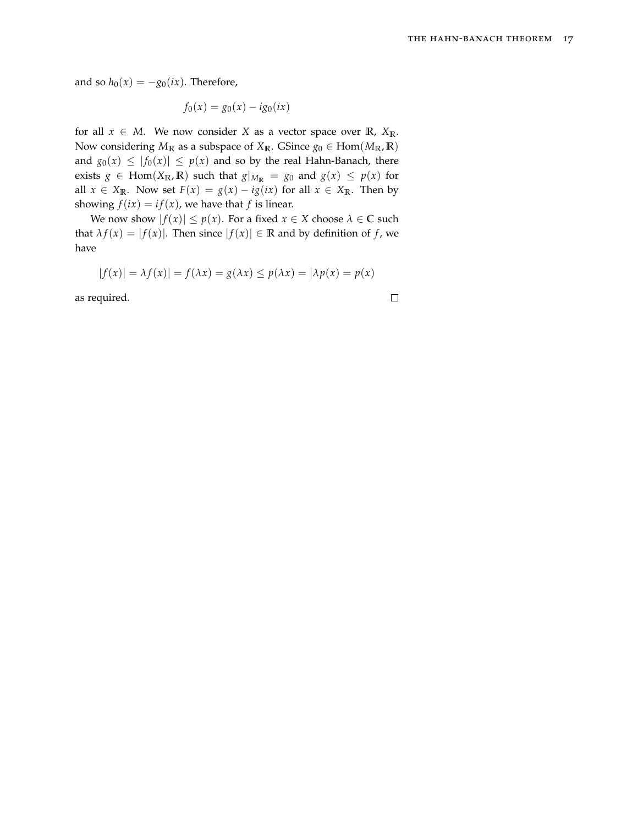and so  $h_0(x) = -g_0(ix)$ . Therefore,

$$
f_0(x) = g_0(x) - ig_0(ix)
$$

for all  $x \in M$ . We now consider *X* as a vector space over **R**,  $X_{\mathbb{R}}$ . Now considering  $M_{\mathbb{R}}$  as a subspace of  $X_{\mathbb{R}}$ . GSince  $g_0 \in \text{Hom}(M_{\mathbb{R}}, \mathbb{R})$ and  $g_0(x) \le |f_0(x)| \le p(x)$  and so by the real Hahn-Banach, there exists  $g \in \text{Hom}(X_{\mathbb{R}}, \mathbb{R})$  such that  $g|_{M_{\mathbb{R}}} = g_0$  and  $g(x) \leq p(x)$  for all  $x \in X_{\mathbb{R}}$ . Now set  $F(x) = g(x) - ig(ix)$  for all  $x \in X_{\mathbb{R}}$ . Then by showing  $f(ix) = if(x)$ , we have that *f* is linear.

We now show  $|f(x)| \leq p(x)$ . For a fixed  $x \in X$  choose  $\lambda \in \mathbb{C}$  such that  $\lambda f(x) = |f(x)|$ . Then since  $|f(x)| \in \mathbb{R}$  and by definition of *f*, we have

$$
|f(x)| = \lambda f(x)| = f(\lambda x) = g(\lambda x) \le p(\lambda x) = |\lambda p(x) = p(x)|
$$

as required.

$$
\Box
$$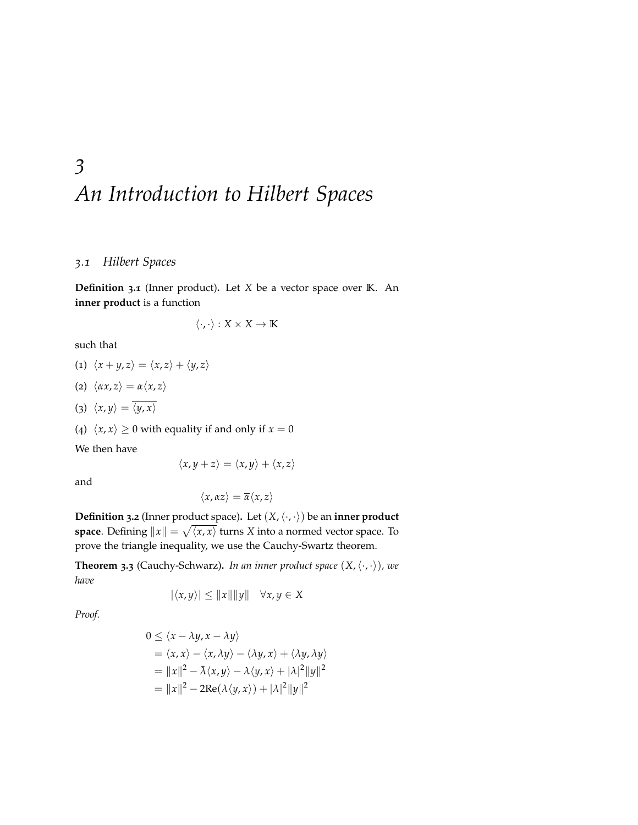# <span id="page-18-0"></span>*3 An Introduction to Hilbert Spaces*

## *3.1 Hilbert Spaces*

**Definition 3.1** (Inner product)**.** Let *X* be a vector space over **K**. An **inner product** is a function

$$
\langle \cdot, \cdot \rangle : X \times X \to \mathbb{K}
$$

such that

$$
(1) \langle x+y,z\rangle = \langle x,z\rangle + \langle y,z\rangle
$$

- (2)  $\langle \alpha x, z \rangle = \alpha \langle x, z \rangle$
- (3)  $\langle x, y \rangle = \overline{\langle y, x \rangle}$

(4)  $\langle x, x \rangle \ge 0$  with equality if and only if  $x = 0$ 

We then have

$$
\langle x, y+z\rangle = \langle x, y\rangle + \langle x, z\rangle
$$

and

$$
\langle x, \alpha z \rangle = \overline{\alpha} \langle x, z \rangle
$$

**Definition** 3.2 (Inner product space). Let  $(X, \langle \cdot, \cdot \rangle)$  be an **inner product space**. Defining  $||x|| = \sqrt{\langle x, x \rangle}$  turns *X* into a normed vector space. To prove the triangle inequality, we use the Cauchy-Swartz theorem.

**Theorem 3.3** (Cauchy-Schwarz). *In an inner product space*  $(X, \langle \cdot, \cdot \rangle)$ *, we have*

$$
|\langle x, y \rangle| \le ||x|| ||y|| \quad \forall x, y \in X
$$

*Proof.*

$$
0 \le \langle x - \lambda y, x - \lambda y \rangle
$$
  
=  $\langle x, x \rangle - \langle x, \lambda y \rangle - \langle \lambda y, x \rangle + \langle \lambda y, \lambda y \rangle$   
=  $||x||^2 - \overline{\lambda} \langle x, y \rangle - \lambda \langle y, x \rangle + |\lambda|^2 ||y||^2$   
=  $||x||^2 - 2\text{Re}(\lambda \langle y, x \rangle) + |\lambda|^2 ||y||^2$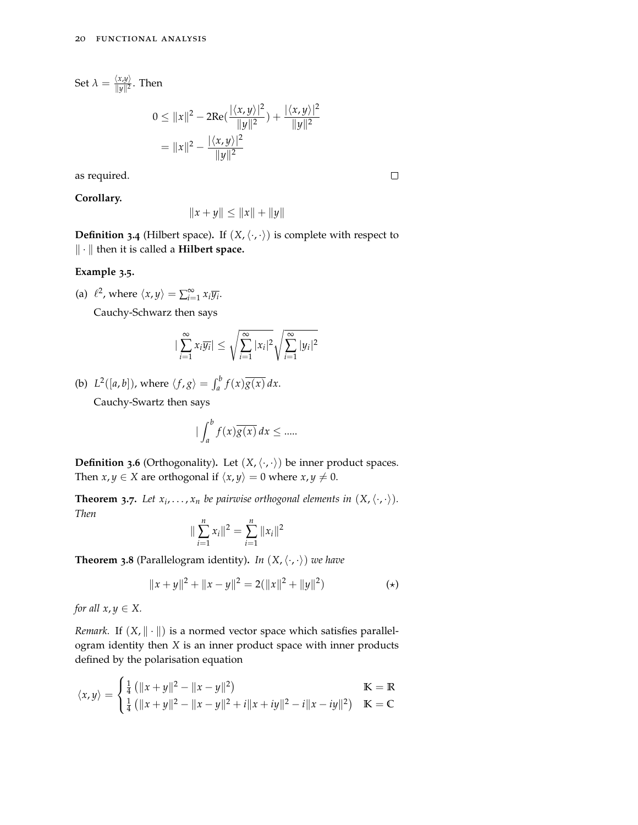Set  $\lambda = \frac{\langle x, y \rangle}{\|y\|^2}$  $\frac{\langle x,y\rangle}{\|y\|^2}$ . Then

$$
0 \le ||x||^2 - 2\text{Re}\left(\frac{|\langle x, y \rangle|^2}{||y||^2}\right) + \frac{|\langle x, y \rangle|^2}{||y||^2}
$$
  
=  $||x||^2 - \frac{|\langle x, y \rangle|^2}{||y||^2}$ 

as required.

**Corollary.**

 $\Box$ 

$$
||x + y|| \le ||x|| + ||y||
$$

**Definition 3.4** (Hilbert space). If  $(X, \langle \cdot, \cdot \rangle)$  is complete with respect to k · k then it is called a **Hilbert space.**

### **Example 3.5.**

(a)  $\ell^2$ , where  $\langle x, y \rangle = \sum_{i=1}^{\infty} x_i \overline{y_i}$ .

Cauchy-Schwarz then says

$$
|\sum_{i=1}^{\infty} x_i \overline{y_i}| \leq \sqrt{\sum_{i=1}^{\infty} |x_i|^2} \sqrt{\sum_{i=1}^{\infty} |y_i|^2}
$$

(b)  $L^2([a, b]),$  where  $\langle f, g \rangle = \int_a^b f(x) \overline{g(x)} dx$ . Cauchy-Swartz then says

$$
\big| \int_a^b f(x) \overline{g(x)} \, dx \le \dots
$$

**Definition 3.6** (Orthogonality). Let  $(X, \langle \cdot, \cdot \rangle)$  be inner product spaces. Then *x*, *y*  $\in$  *X* are orthogonal if  $\langle x, y \rangle = 0$  where *x*, *y*  $\neq$  0.

**Theorem 3.7.** Let  $x_i, \ldots, x_n$  be pairwise orthogonal elements in  $(X, \langle \cdot, \cdot \rangle)$ . *Then*

$$
\|\sum_{i=1}^n x_i\|^2 = \sum_{i=1}^n \|x_i\|^2
$$

**Theorem 3.8** (Parallelogram identity). *In*  $(X, \langle \cdot, \cdot \rangle)$  *we have* 

$$
||x + y||2 + ||x - y||2 = 2(||x||2 + ||y||2)
$$
 (\*)

*for all*  $x, y \in X$ *.* 

*Remark.* If  $(X, \|\cdot\|)$  is a normed vector space which satisfies parallelogram identity then *X* is an inner product space with inner products defined by the polarisation equation

$$
\langle x, y \rangle = \begin{cases} \frac{1}{4} \left( \|x + y\|^2 - \|x - y\|^2 \right) & \text{K} = \mathbb{R} \\ \frac{1}{4} \left( \|x + y\|^2 - \|x - y\|^2 + i \|x + iy\|^2 - i \|x - iy\|^2 \right) & \text{K} = \mathbb{C} \end{cases}
$$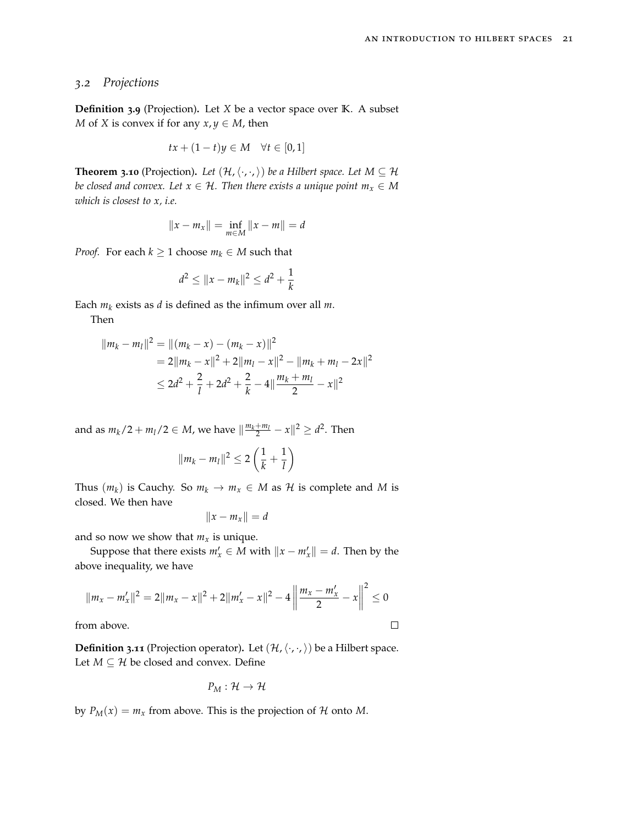## *3.2 Projections*

**Definition 3.9** (Projection)**.** Let *X* be a vector space over **K**. A subset *M* of *X* is convex if for any  $x, y \in M$ , then

$$
tx + (1 - t)y \in M \quad \forall t \in [0, 1]
$$

**Theorem 3.10** (Projection). Let  $(\mathcal{H}, \langle \cdot, \cdot, \rangle)$  be a Hilbert space. Let  $M \subseteq \mathcal{H}$ *be closed and convex. Let*  $x \in \mathcal{H}$ *. Then there exists a unique point*  $m_x \in M$ *which is closest to x, i.e.*

$$
||x - m_x|| = \inf_{m \in M} ||x - m|| = d
$$

*Proof.* For each  $k \geq 1$  choose  $m_k \in M$  such that

$$
d^2 \le ||x - m_k||^2 \le d^2 + \frac{1}{k}
$$

Each  $m_k$  exists as  $d$  is defined as the infimum over all  $m$ .

Then

$$
||m_k - m_l||^2 = ||(m_k - x) - (m_k - x)||^2
$$
  
= 2||m\_k - x||^2 + 2||m\_l - x||^2 - ||m\_k + m\_l - 2x||^2  

$$
\le 2d^2 + \frac{2}{l} + 2d^2 + \frac{2}{k} - 4||\frac{m_k + m_l}{2} - x||^2
$$

and as  $m_k/2 + m_l/2 \in M$ , we have  $\|\frac{m_k + m_l}{2} - x\|^2 \ge d^2$ . Then

$$
||m_k - m_l||^2 \leq 2\left(\frac{1}{k} + \frac{1}{l}\right)
$$

Thus  $(m_k)$  is Cauchy. So  $m_k \to m_x \in M$  as  $\mathcal H$  is complete and  $M$  is closed. We then have

$$
||x - m_x|| = d
$$

and so now we show that  $m<sub>x</sub>$  is unique.

Suppose that there exists  $m'_x \in M$  with  $||x - m'_x|| = d$ . Then by the above inequality, we have

$$
||m_x - m'_x||^2 = 2||m_x - x||^2 + 2||m'_x - x||^2 - 4\left\|\frac{m_x - m'_x}{2} - x\right\|^2 \le 0
$$
  
om above.

from above.

**Definition 3.11** (Projection operator). Let  $(\mathcal{H}, \langle \cdot, \cdot, \rangle)$  be a Hilbert space. Let  $M \subseteq \mathcal{H}$  be closed and convex. Define

$$
P_M:\mathcal{H}\to\mathcal{H}
$$

by  $P_M(x) = m_x$  from above. This is the projection of  $H$  onto  $M$ .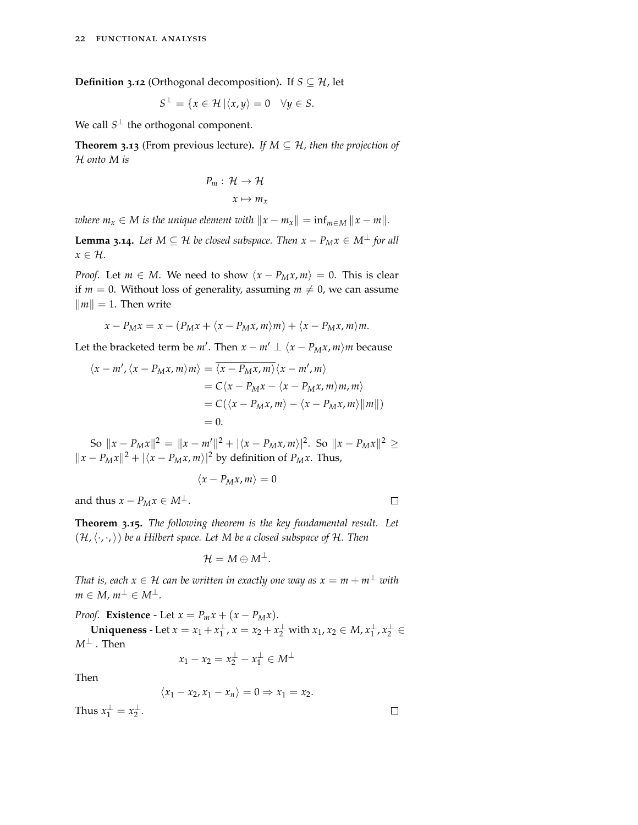**Definition 3.12** (Orthogonal decomposition). If  $S \subseteq \mathcal{H}$ , let

$$
S^{\perp} = \{x \in \mathcal{H} \, | \langle x, y \rangle = 0 \quad \forall y \in S.
$$

We call  $S^{\perp}$  the orthogonal component.

**Theorem 3.13** (From previous lecture). If  $M \subseteq H$ , then the projection of H *onto M is*

$$
P_m: \mathcal{H} \to \mathcal{H}
$$

$$
x \mapsto m_x
$$

*where*  $m_x \in M$  *is the unique element with*  $\|x - m_x\| = \inf_{m \in M} \|x - m\|$ *.* 

**Lemma 3.14***. Let*  $M \subseteq H$  *be closed subspace. Then*  $x - P_M x \in M^{\perp}$  *for all*  $x \in \mathcal{H}$ *.* 

*Proof.* Let  $m \in M$ . We need to show  $\langle x - P_M x, m \rangle = 0$ . This is clear if  $m = 0$ . Without loss of generality, assuming  $m \neq 0$ , we can assume  $\|m\| = 1$ . Then write

$$
x - P_M x = x - (P_M x + \langle x - P_M x, m \rangle m) + \langle x - P_M x, m \rangle m.
$$

Let the bracketed term be  $m'$ . Then  $x - m' \perp \langle x - P_M x, m \rangle m$  because

$$
\langle x - m', (x - P_M x, m) m \rangle = \overline{\langle x - P_M x, m \rangle} \langle x - m', m \rangle
$$
  
=  $C \langle x - P_M x - \langle x - P_M x, m \rangle m, m \rangle$   
=  $C(\langle x - P_M x, m \rangle - \langle x - P_M x, m \rangle ||m||)$   
= 0.

 $\int \int (8a^2 - b^2) dx = ||x - m||^2 + |\langle x - P_Mx, m \rangle|^2$ . So  $||x - P_Mx||^2$  ≥  $||x - P_Mx||^2 + |\langle x - P_Mx, m \rangle|^2$  by definition of *P<sub>M</sub>x*. Thus,

$$
\langle x-P_Mx,m\rangle=0
$$

 $\Box$ 

 $\Box$ 

and thus  $x - P_M x \in M^{\perp}$ .

**Theorem 3.15.** *The following theorem is the key fundamental result. Let*  $(\mathcal{H}, \langle \cdot, \cdot, \cdot \rangle)$  *be a Hilbert space. Let M be a closed subspace of H. Then* 

$$
\mathcal{H}=M\oplus M^{\perp}.
$$

*That is, each*  $x \in \mathcal{H}$  *can be written in exactly one way as*  $x = m + m^{\perp}$  *with*  $m \in M$ *,*  $m^{\perp} \in M^{\perp}$ .

*Proof.* **Existence** - Let  $x = P_m x + (x - P_M x)$ .

**Uniqueness** - Let  $x = x_1 + x_1^{\perp}$ ,  $x = x_2 + x_2^{\perp}$  with  $x_1, x_2 \in M$ ,  $x_1^{\perp}$ ,  $x_2^{\perp} \in$  $M^\perp$  . Then

$$
x_1 - x_2 = x_2^\perp - x_1^\perp \in M^\perp
$$

Then

$$
\langle x_1-x_2,x_1-x_n\rangle=0\Rightarrow x_1=x_2.
$$

Thus  $x_1^{\perp} = x_2^{\perp}$ .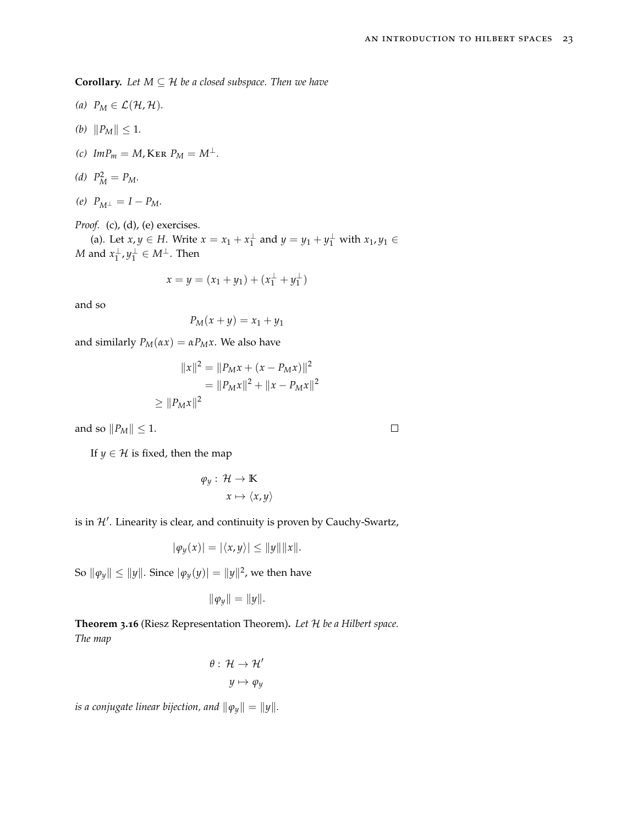**Corollary.** Let  $M \subseteq \mathcal{H}$  be a closed subspace. Then we have

- (a)  $P_M \in \mathcal{L}(\mathcal{H}, \mathcal{H})$ *.*
- *(b)*  $||P_M|| \leq 1$ *.*
- $(c)$  *Im* $P_m = M$ , KER  $P_M = M^{\perp}$ .

(d) 
$$
P_M^2 = P_M.
$$

 $(P)$   $P_{M^{\perp}} = I - P_M$ .

*Proof.* (c), (d), (e) exercises.

(a). Let  $x, y \in H$ . Write  $x = x_1 + x_1^{\perp}$  and  $y = y_1 + y_1^{\perp}$  with  $x_1, y_1 \in$ *M* and  $x_1^{\perp}, y_1^{\perp} \in M^{\perp}$ . Then

$$
x = y = (x_1 + y_1) + (x_1^{\perp} + y_1^{\perp})
$$

and so

$$
P_M(x+y) = x_1 + y_1
$$

and similarly  $P_M(\alpha x) = \alpha P_M x$ . We also have

$$
||x||^2 = ||P_M x + (x - P_M x)||^2
$$
  
=  $||P_M x||^2 + ||x - P_M x||^2$   
 $\ge ||P_M x||^2$ 

and so  $||P_M|| \leq 1$ .

If *y*  $\in$  *H* is fixed, then the map

$$
\varphi_y: \mathcal{H} \to \mathbb{K}
$$

$$
x \mapsto \langle x, y \rangle
$$

is in  $\mathcal{H}'$ . Linearity is clear, and continuity is proven by Cauchy-Swartz,

$$
|\varphi_y(x)| = |\langle x, y \rangle| \le ||y|| ||x||.
$$

 $\left\| \mathbf{\varphi }_{y}\right\| \leq \left\| y\right\| \text{. Since }|\mathbf{\varphi }_{y}(y)|=\Vert y\Vert ^{2}\text{, we then have }% \mathbf{\varphi }_{y}(y)=\Vert y\Vert ^{2}\text{, }% \mathbf{\varphi }_{y}(y)=\Vert y\Vert ^{2}\text{, }% \mathbf{\varphi }_{y}(y)=\Vert y\Vert ^{2}\text{, }% \mathbf{\varphi }_{y}(y)=\Vert y\Vert ^{2}\text{, }% \mathbf{\varphi }_{y}(y)=\Vert y\Vert ^{2}\text{, }% \mathbf{\varphi }_{y}(y)=\Vert y\Vert ^{2}\text{, }%$ 

$$
\|\varphi_y\|=\|y\|.
$$

**Theorem 3.16** (Riesz Representation Theorem)**.** *Let* H *be a Hilbert space. The map*

$$
\theta: \mathcal{H} \to \mathcal{H}'
$$

$$
y \mapsto \varphi_y
$$

*is a conjugate linear bijection, and*  $\|\varphi_y\| = \|y\|$ *.* 

 $\Box$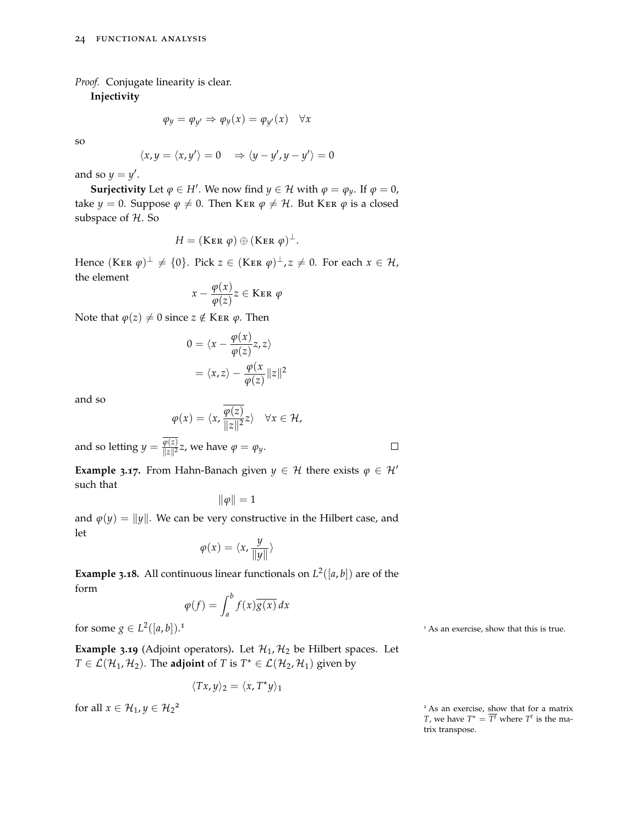*Proof.* Conjugate linearity is clear.

**Injectivity**

$$
\varphi_y = \varphi_{y'} \Rightarrow \varphi_y(x) = \varphi_{y'}(x) \quad \forall x
$$

so

$$
\langle x, y = \langle x, y' \rangle = 0 \Rightarrow \langle y - y', y - y' \rangle = 0
$$

and so  $y = y'$ .

**Surjectivity** Let  $\varphi \in H'$ . We now find  $y \in H$  with  $\varphi = \varphi_y$ . If  $\varphi = 0$ , take *y* = 0. Suppose  $\varphi \neq 0$ . Then KER  $\varphi \neq \mathcal{H}$ . But KER  $\varphi$  is a closed subspace of H. So

$$
H = (\text{Ker } \varphi) \oplus (\text{Ker } \varphi)^{\perp}.
$$

Hence  $(\text{Ker } \varphi)^{\perp} \neq \{0\}.$  Pick  $z \in (\text{Ker } \varphi)^{\perp}$ ,  $z \neq 0.$  For each  $x \in \mathcal{H}$ , the element

$$
x - \frac{\varphi(x)}{\varphi(z)} z \in \text{Ker } \varphi
$$

Note that  $\varphi(z) \neq 0$  since  $z \notin$  KER  $\varphi$ . Then

$$
0 = \langle x - \frac{\varphi(x)}{\varphi(z)} z, z \rangle
$$

$$
= \langle x, z \rangle - \frac{\varphi(x)}{\varphi(z)} ||z||^2
$$

and so

$$
\varphi(x) = \langle x, \frac{\varphi(z)}{\|z\|^2} z \rangle \quad \forall x \in \mathcal{H},
$$

and so letting  $y = \frac{\varphi(z)}{\|z\|^2}$  $\frac{\varphi(z)}{\|z\|^2}z$ , we have  $\varphi = \varphi_y$ .

**Example 3.17.** From Hahn-Banach given  $y \in \mathcal{H}$  there exists  $\varphi \in \mathcal{H}'$ such that

$$
\|\varphi\|=1
$$

and  $\varphi(y) = ||y||$ . We can be very constructive in the Hilbert case, and let

$$
\varphi(x) = \langle x, \frac{y}{\|y\|} \rangle
$$

**Example 3.18.** All continuous linear functionals on  $L^2([a, b])$  are of the form

$$
\varphi(f) = \int_a^b f(x) \overline{g(x)} \, dx
$$

for some  $g \in L^2([a, b]).$ 

**Example 3.19** (Adjoint operators). Let  $\mathcal{H}_1$ ,  $\mathcal{H}_2$  be Hilbert spaces. Let  $T \in \mathcal{L}(\mathcal{H}_1, \mathcal{H}_2)$ . The **adjoint** of *T* is  $T^* \in \mathcal{L}(\mathcal{H}_2, \mathcal{H}_1)$  given by

$$
\langle Tx, y \rangle_2 = \langle x, T^{\star}y \rangle_1
$$

for all  $x \in \mathcal{H}_1, y \in \mathcal{H}_2^2$ 

<sup>1</sup> As an exercise, show that this is true.

 $2$ As an exercise, show that for a matrix *T*, we have  $T^* = \overline{T^t}$  where  $T^t$  is the matrix transpose.

 $\Box$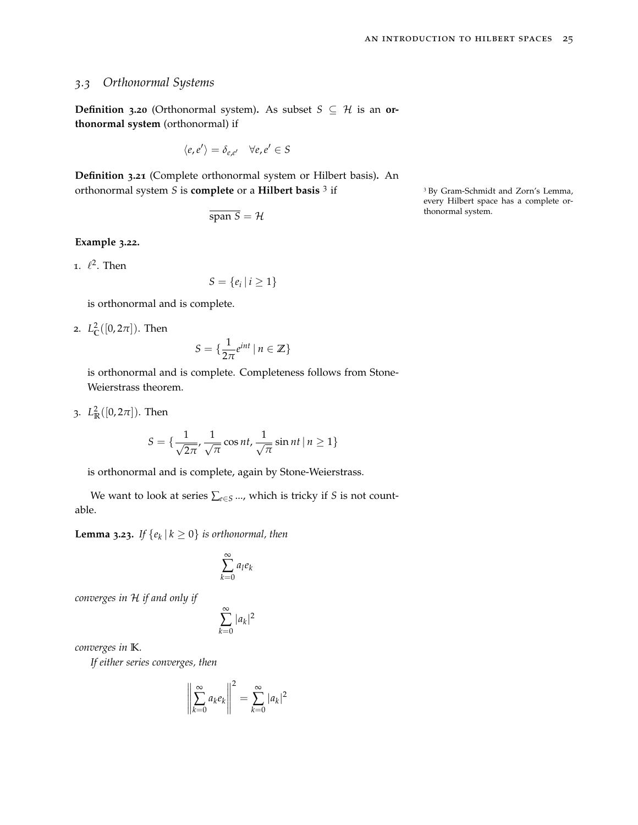## *3.3 Orthonormal Systems*

**Definition 3.20** (Orthonormal system). As subset  $S \subseteq H$  is an **orthonormal system** (orthonormal) if

$$
\langle e, e' \rangle = \delta_{e,e'} \quad \forall e, e' \in S
$$

**Definition 3.21** (Complete orthonormal system or Hilbert basis)**.** An orthonormal system *<sup>S</sup>* is **complete** or a **Hilbert basis** <sup>3</sup>

$$
\overline{\text{span }S} = \mathcal{H}
$$

**Example 3.22.**

1.  $\ell^2$ . Then

 $S = \{e_i \mid i \geq 1\}$ 

is orthonormal and is complete.

2.  $L^2_{\mathbb{C}}([0, 2\pi])$ . Then

$$
S = \{ \frac{1}{2\pi} e^{int} \mid n \in \mathbb{Z} \}
$$

is orthonormal and is complete. Completeness follows from Stone-Weierstrass theorem.

3.  $L^2_{\mathbb{R}}([0, 2\pi])$ . Then

$$
S = \{\frac{1}{\sqrt{2\pi}}, \frac{1}{\sqrt{\pi}}\cos nt, \frac{1}{\sqrt{\pi}}\sin nt \mid n \ge 1\}
$$

is orthonormal and is complete, again by Stone-Weierstrass.

We want to look at series ∑*e*∈*<sup>S</sup>* ..., which is tricky if *S* is not countable.

<span id="page-24-0"></span>**Lemma 3.23.** *If*  $\{e_k | k \ge 0\}$  *is orthonormal, then* 

$$
\sum_{k=0}^\infty a_l e_k
$$

*converges in* H *if and only if*

$$
\sum_{k=0}^{\infty} |a_k|^2
$$

*converges in* **K***.*

*If either series converges, then*

$$
\left\|\sum_{k=0}^{\infty} a_k e_k\right\|^2 = \sum_{k=0}^{\infty} |a_k|^2
$$

<sup>3</sup> By Gram-Schmidt and Zorn's Lemma, every Hilbert space has a complete orthonormal system.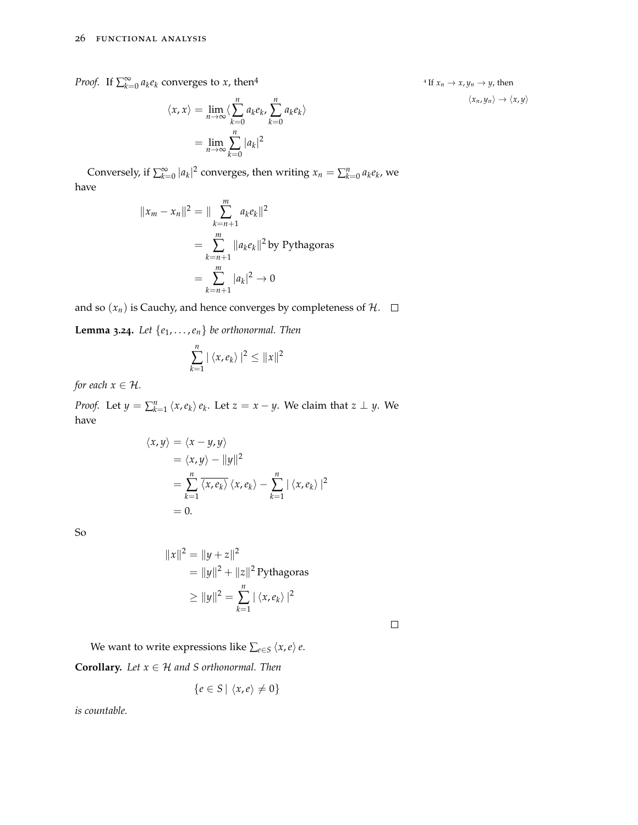*Proof.* If  $\sum_{k=0}^{\infty} a_k e_k$  converges to *x*, then<sup>4</sup>

$$
\langle x, x \rangle = \lim_{n \to \infty} \langle \sum_{k=0}^{n} a_k e_k, \sum_{k=0}^{n} a_k e_k \rangle
$$

$$
= \lim_{n \to \infty} \sum_{k=0}^{n} |a_k|^2
$$

Conversely, if  $\sum_{k=0}^{\infty} |a_k|^2$  converges, then writing  $x_n = \sum_{k=0}^n a_k e_k$ , we have

$$
||x_m - x_n||^2 = ||\sum_{k=n+1}^m a_k e_k||^2
$$
  
= 
$$
\sum_{k=n+1}^m ||a_k e_k||^2
$$
 by Pythagoras  
= 
$$
\sum_{k=n+1}^m |a_k|^2 \to 0
$$

and so  $(x_n)$  is Cauchy, and hence converges by completeness of  $\mathcal{H}$ .  $\Box$ 

**Lemma 3.24***. Let*  $\{e_1, \ldots, e_n\}$  *be orthonormal. Then* 

$$
\sum_{k=1}^n |\langle x, e_k \rangle|^2 \leq ||x||^2
$$

*for each*  $x \in \mathcal{H}$ *.* 

*Proof.* Let  $y = \sum_{k=1}^{n} \langle x, e_k \rangle e_k$ . Let  $z = x - y$ . We claim that  $z \perp y$ . We have

$$
\langle x, y \rangle = \langle x - y, y \rangle
$$
  
=  $\langle x, y \rangle - ||y||^2$   
=  $\sum_{k=1}^{n} \overline{\langle x, e_k \rangle} \langle x, e_k \rangle - \sum_{k=1}^{n} |\langle x, e_k \rangle|^2$   
= 0.

So

$$
||x||^{2} = ||y + z||^{2}
$$
  
=  $||y||^{2} + ||z||^{2}$  Pythagoras  
 $\geq ||y||^{2} = \sum_{k=1}^{n} |\langle x, e_{k} \rangle|^{2}$ 

We want to write expressions like  $\sum_{e \in S} \langle x, e \rangle e$ .

**Corollary.** *Let*  $x \in \mathcal{H}$  *and S orthonormal. Then* 

 $\mathbf{r}$ 

$$
\{e \in S \mid \langle x, e \rangle \neq 0\}
$$

*is countable.*

<sup>4</sup> If  $x_n \to x$ ,  $y_n \to y$ , then  $\langle x_n, y_n \rangle \rightarrow \langle x, y \rangle$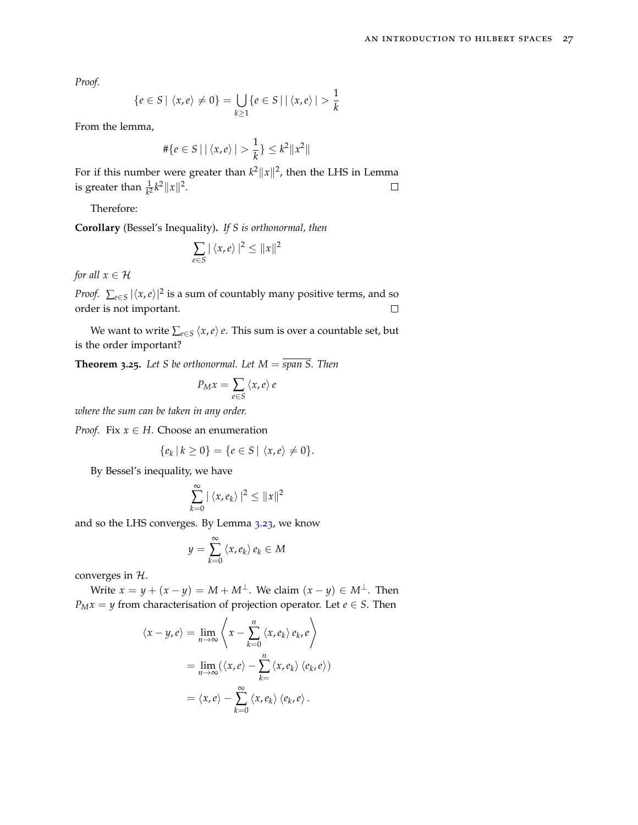*Proof.*

$$
\{e \in S \mid \langle x, e \rangle \neq 0\} = \bigcup_{k \geq 1} \{e \in S \mid |\langle x, e \rangle| > \frac{1}{k}\}
$$

From the lemma,

$$
\#\{e \in S \mid |\langle x, e \rangle| > \frac{1}{k}\} \le k^2 \|x^2\|
$$

For if this number were greater than  $k^2 ||x||^2$ , then the LHS in Lemma is greater than  $\frac{1}{k^2}k^2 ||x||^2$ .  $\Box$ 

Therefore:

**Corollary** (Bessel's Inequality)**.** *If S is orthonormal, then*

$$
\sum_{e \in S} |\langle x, e \rangle|^2 \le ||x||^2
$$

*for all*  $x \in H$ 

*Proof.*  $\sum_{e \in S} |\langle x, e \rangle|^2$  is a sum of countably many positive terms, and so order is not important.  $\Box$ 

We want to write  $\sum_{e \in S} \langle x, e \rangle e$ . This sum is over a countable set, but is the order important?

**Theorem 3.25.** Let S be orthonormal. Let  $M = \overline{span S}$ . Then

$$
P_M x = \sum_{e \in S} \langle x, e \rangle e
$$

*where the sum can be taken in any order.*

*Proof.* Fix  $x \in H$ . Choose an enumeration

$$
\{e_k \mid k \geq 0\} = \{e \in S \mid \langle x, e \rangle \neq 0\}.
$$

By Bessel's inequality, we have

$$
\sum_{k=0}^{\infty} |\langle x, e_k \rangle|^2 \leq ||x||^2
$$

and so the LHS converges. By Lemma 3.[23](#page-24-0), we know

$$
y = \sum_{k=0}^{\infty} \langle x, e_k \rangle e_k \in M
$$

converges in H.

Write  $x = y + (x - y) = M + M^{\perp}$ . We claim  $(x - y) \in M^{\perp}$ . Then *P<sub>M</sub>* $x = y$  from characterisation of projection operator. Let *e* ∈ *S*. Then

$$
\langle x - y, e \rangle = \lim_{n \to \infty} \left\langle x - \sum_{k=0}^{n} \langle x, e_k \rangle e_k, e \right\rangle
$$

$$
= \lim_{n \to \infty} (\langle x, e \rangle - \sum_{k=0}^{n} \langle x, e_k \rangle \langle e_k, e \rangle)
$$

$$
= \langle x, e \rangle - \sum_{k=0}^{\infty} \langle x, e_k \rangle \langle e_k, e \rangle.
$$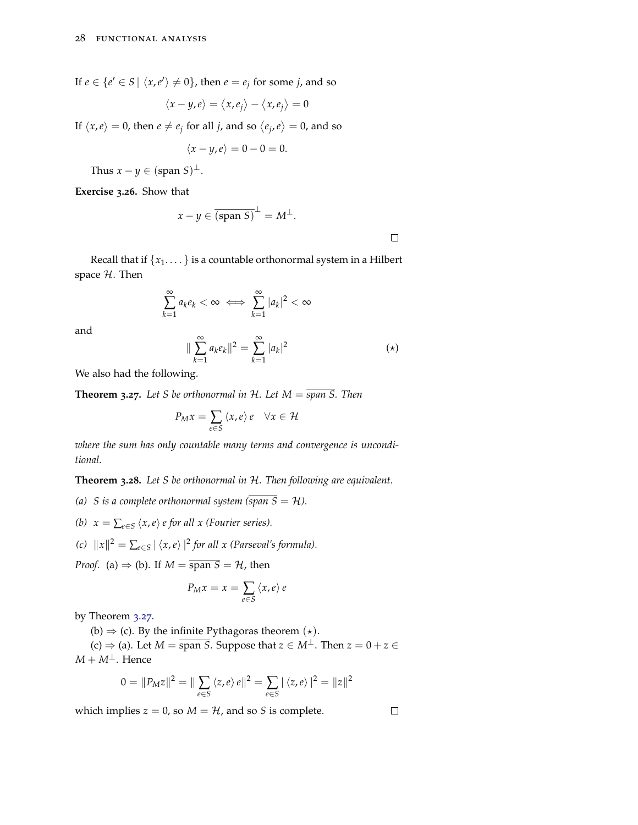If  $e \in \{e' \in S \mid \langle x, e' \rangle \neq 0\}$ , then  $e = e_j$  for some *j*, and so

$$
\langle x-y,e\rangle=\langle x,e_j\rangle-\langle x,e_j\rangle=0
$$

If  $\langle x, e \rangle = 0$ , then  $e \neq e_j$  for all *j*, and so  $\langle e_j, e \rangle = 0$ , and so

$$
\langle x-y,e\rangle=0-0=0.
$$

Thus  $x - y \in (\text{span } S)^{\perp}$ .

**Exercise 3.26.** Show that

$$
x - y \in \overline{\text{(span S)}}^{\perp} = M^{\perp}.
$$

Recall that if  ${x_1, \ldots}$  is a countable orthonormal system in a Hilbert space  $H$ . Then

$$
\sum_{k=1}^{\infty} a_k e_k < \infty \iff \sum_{k=1}^{\infty} |a_k|^2 < \infty
$$

and

$$
\|\sum_{k=1}^{\infty} a_k e_k\|^2 = \sum_{k=1}^{\infty} |a_k|^2 \tag{(*)}
$$

We also had the following.

<span id="page-27-0"></span>**Theorem 3.27.** Let S be orthonormal in H. Let  $M = \overline{span S}$ . Then

$$
P_M x = \sum_{e \in S} \langle x, e \rangle e \quad \forall x \in \mathcal{H}
$$

*where the sum has only countable many terms and convergence is unconditional.*

**Theorem 3.28.** *Let S be orthonormal in* H*. Then following are equivalent.*

*(a) S* is a complete orthonormal system (span  $\overline{S} = H$ ).

- *(b)*  $x = \sum_{e \in S} \langle x, e \rangle e$  for all x (Fourier series).
- *(c)*  $||x||^2 = ∑_{e∈S} ∣ \langle x, e \rangle |^2$  *for all x (Parseval's formula).*

*Proof.* (a)  $\Rightarrow$  (b). If  $M = \overline{\text{span } S} = H$ , then

$$
P_M x = x = \sum_{e \in S} \langle x, e \rangle e
$$

by Theorem 3.[27](#page-27-0).

(b)  $\Rightarrow$  (c). By the infinite Pythagoras theorem  $(\star)$ .

(c)  $\Rightarrow$  (a). Let *M* =  $\overline{\text{span } S}$ . Suppose that  $z \in M^{\perp}$ . Then  $z = 0 + z \in$  $M + M^{\perp}$ . Hence

$$
0 = ||P_M z||^2 = ||\sum_{e \in S} \langle z, e \rangle e||^2 = \sum_{e \in S} |\langle z, e \rangle|^2 = ||z||^2
$$

which implies  $z = 0$ , so  $M = H$ , and so *S* is complete.

 $\Box$ 

 $\Box$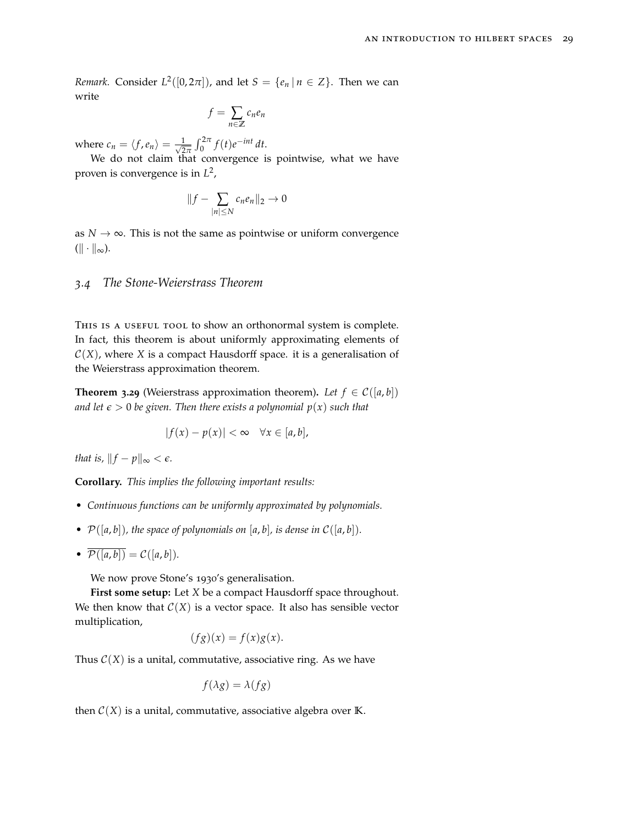*Remark.* Consider  $L^2([0, 2\pi])$ , and let  $S = \{e_n | n \in \mathbb{Z}\}$ . Then we can write

$$
f = \sum_{n \in \mathbb{Z}} c_n e_n
$$

where  $c_n = \langle f, e_n \rangle = \frac{1}{\sqrt{2}}$  $\frac{1}{2\pi} \int_0^{2\pi} f(t) e^{-int} dt.$ 

We do not claim that convergence is pointwise, what we have proven is convergence is in *L* 2 ,

$$
||f - \sum_{|n| \le N} c_n e_n ||_2 \to 0
$$

as  $N \to \infty$ . This is not the same as pointwise or uniform convergence  $(\|\cdot\|_{\infty}).$ 

### *3.4 The Stone-Weierstrass Theorem*

THIS IS A USEFUL TOOL to show an orthonormal system is complete. In fact, this theorem is about uniformly approximating elements of  $C(X)$ , where *X* is a compact Hausdorff space. it is a generalisation of the Weierstrass approximation theorem.

**Theorem 3.29** (Weierstrass approximation theorem). Let  $f \in C([a, b])$ *and let*  $\epsilon > 0$  *be given. Then there exists a polynomial*  $p(x)$  *such that* 

$$
|f(x) - p(x)| < \infty \quad \forall x \in [a, b],
$$

*that is,*  $||f - p||_{\infty} < \epsilon$ *.* 

**Corollary.** *This implies the following important results:*

- *• Continuous functions can be uniformly approximated by polynomials.*
- $P([a, b])$ , the space of polynomials on  $[a, b]$ , is dense in  $C([a, b])$ .
- $\overline{\mathcal{P}([a,b])} = \mathcal{C}([a,b]).$

We now prove Stone's 1930's generalisation.

**First some setup:** Let *X* be a compact Hausdorff space throughout. We then know that  $C(X)$  is a vector space. It also has sensible vector multiplication,

$$
(fg)(x) = f(x)g(x).
$$

Thus  $C(X)$  is a unital, commutative, associative ring. As we have

$$
f(\lambda g) = \lambda(fg)
$$

then  $C(X)$  is a unital, commutative, associative algebra over **K**.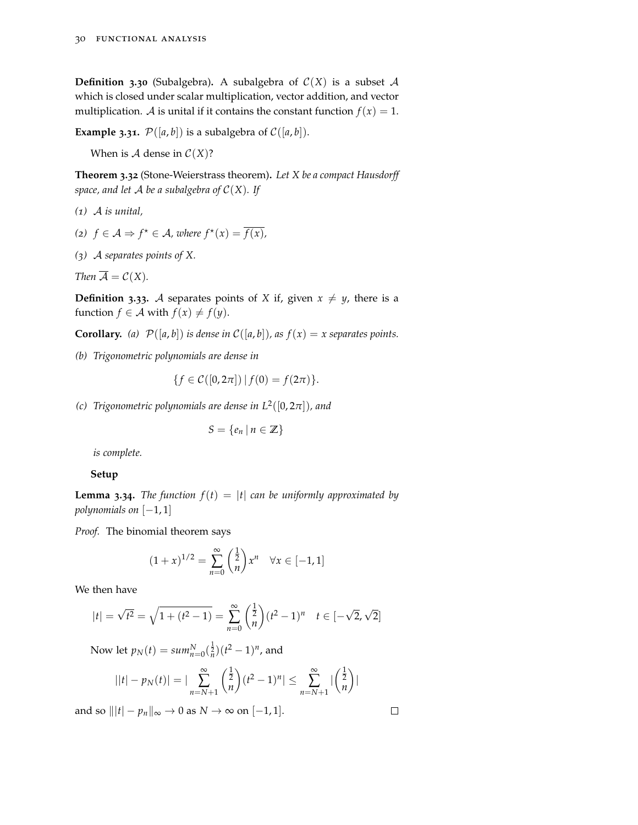**Definition 3.30** (Subalgebra). A subalgebra of  $C(X)$  is a subset A which is closed under scalar multiplication, vector addition, and vector multiplication. *A* is unital if it contains the constant function  $f(x) = 1$ .

**Example 3.31.**  $P([a, b])$  is a subalgebra of  $C([a, b])$ .

When is  $A$  dense in  $C(X)$ ?

**Theorem 3.32** (Stone-Weierstrass theorem)**.** *Let X be a compact Hausdorff space, and let*  $\mathcal A$  *be a subalgebra of*  $\mathcal C(X)$ *. If* 

- *(1)* A *is unital,*
- (2)  $f \in \mathcal{A}$  ⇒  $f^{\star} \in \mathcal{A}$ , where  $f^{\star}(x) = \overline{f(x)}$ ,
- *(3)* A *separates points of X.*

*Then*  $\overline{A} = C(X)$ *.* 

**Definition** 3.33. A separates points of *X* if, given  $x \neq y$ , there is a function  $f \in \mathcal{A}$  with  $f(x) \neq f(y)$ .

**Corollary.** (a)  $\mathcal{P}([a,b])$  *is dense in*  $\mathcal{C}([a,b])$ *, as*  $f(x) = x$  *separates points.* 

*(b) Trigonometric polynomials are dense in*

$$
\{f \in \mathcal{C}([0, 2\pi]) \,|\, f(0) = f(2\pi)\}.
$$

*(c) Trigonometric polynomials are dense in L*<sup>2</sup> ([0, 2*π*])*, and*

$$
S = \{e_n \mid n \in \mathbb{Z}\}\
$$

*is complete.*

### **Setup**

**Lemma 3.34.** *The function*  $f(t) = |t|$  *can be uniformly approximated by polynomials on* [−1,1]

*Proof.* The binomial theorem says

$$
(1+x)^{1/2} = \sum_{n=0}^{\infty} \binom{\frac{1}{2}}{n} x^n \quad \forall x \in [-1,1]
$$

We then have

$$
|t| = \sqrt{t^2} = \sqrt{1 + (t^2 - 1)} = \sum_{n=0}^{\infty} {1 \over n} (t^2 - 1)^n \quad t \in [-\sqrt{2}, \sqrt{2}]
$$

Now let  $p_N(t) = \sum_{n=0}^N (\frac{1}{n})(t^2 - 1)^n$ , and

$$
||t| - pN(t)| = |\sum_{n=N+1}^{\infty} {1 \over n} (t^2 - 1)^n| \leq \sum_{n=N+1}^{\infty} |{1 \over n} (t^2 - 1)^n|
$$

and so  $|||t| - p_n||_{\infty} \to 0$  as  $N \to \infty$  on [-1, 1].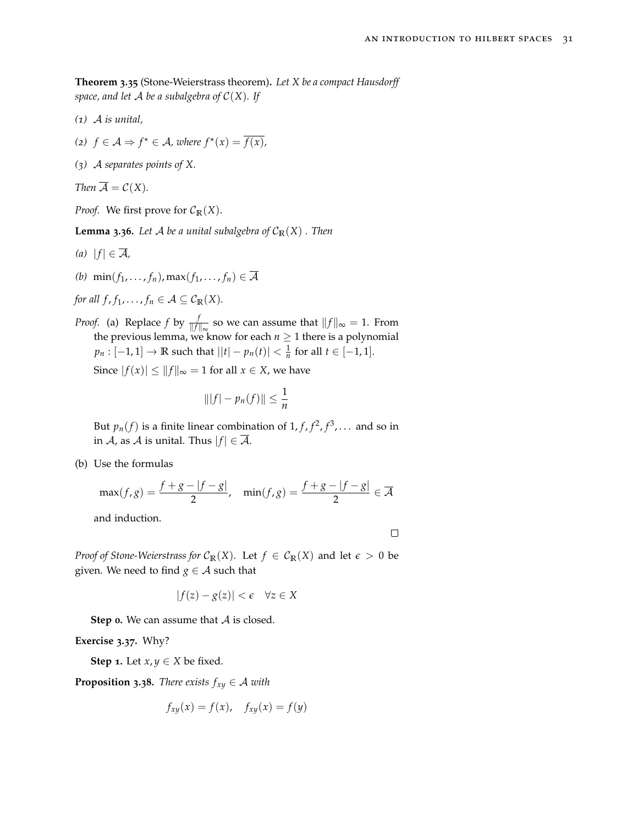**Theorem 3.35** (Stone-Weierstrass theorem)**.** *Let X be a compact Hausdorff space, and let* A *be a subalgebra of* C(*X*)*. If*

- *(1)* A *is unital,*
- (2)  $f \in \mathcal{A}$  ⇒  $f^* \in \mathcal{A}$ , where  $f^*(x) = \overline{f(x)}$ ,
- *(3)* A *separates points of X.*

*Then*  $\overline{A} = C(X)$ *.* 

*Proof.* We first prove for  $C_{\mathbb{R}}(X)$ .

**Lemma 3.36.** *Let A be a unital subalgebra of*  $C_{\mathbb{R}}(X)$  *. Then* 

- $(a)$   $|f| \in \overline{\mathcal{A}}$ *,*
- (b)  $\min(f_1, \ldots, f_n), \max(f_1, \ldots, f_n) \in \overline{\mathcal{A}}$

*for all f*,  $f_1$ , ...,  $f_n \in \mathcal{A} \subseteq \mathcal{C}_{\mathbb{R}}(X)$ .

*Proof.* (a) Replace  $f$  by  $\frac{f}{\|f\|_{\infty}}$  so we can assume that  $\|f\|_{\infty} = 1$ . From the previous lemma, we know for each  $n \geq 1$  there is a polynomial *p*<sup>*n*</sup> : [−1, 1] → **R** such that  $||t| - p_n(t)| < \frac{1}{n}$  for all  $t \in [-1, 1]$ . Since  $|f(x)| \le ||f||_{\infty} = 1$  for all  $x \in X$ , we have

$$
\| |f| - p_n(f) \| \leq \frac{1}{n}
$$

But  $p_n(f)$  is a finite linear combination of  $1, f, f^2, f^3, \ldots$  and so in in A, as A is unital. Thus  $|f| \in \overline{A}$ .

(b) Use the formulas

$$
\max(f,g) = \frac{f+g-|f-g|}{2}, \quad \min(f,g) = \frac{f+g-|f-g|}{2} \in \overline{\mathcal{A}}
$$

and induction.

$$
\Box
$$

*Proof of Stone-Weierstrass for*  $C_{\mathbb{R}}(X)$ *.* Let  $f \in C_{\mathbb{R}}(X)$  and let  $\epsilon > 0$  be given. We need to find  $g \in A$  such that

$$
|f(z) - g(z)| < \epsilon \quad \forall z \in X
$$

**Step 0.** We can assume that A is closed.

**Exercise 3.37.** Why?

**Step 1.** Let  $x, y \in X$  be fixed.

**Proposition 3.38.** *There exists*  $f_{xy} \in \mathcal{A}$  *with* 

$$
f_{xy}(x) = f(x), \quad f_{xy}(x) = f(y)
$$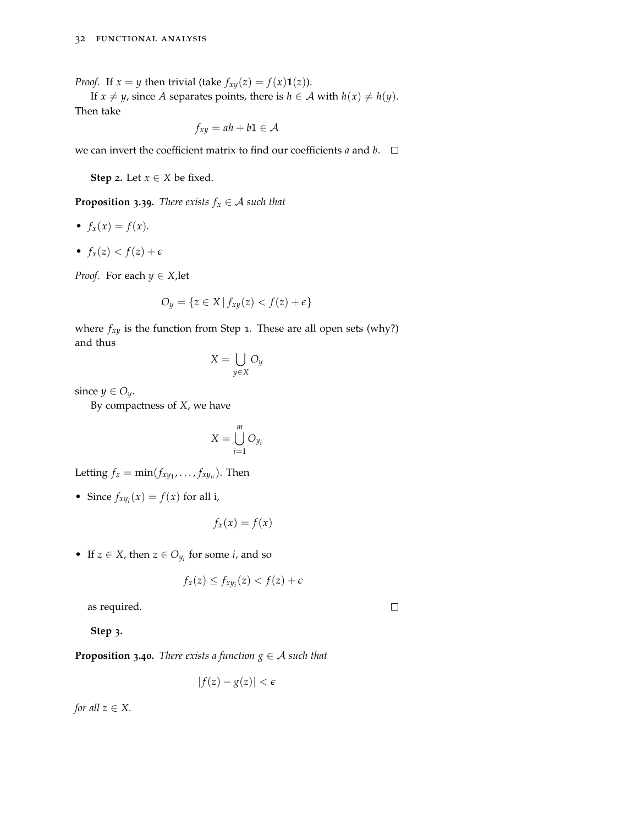*Proof.* If  $x = y$  then trivial (take  $f_{xy}(z) = f(x) \mathbf{1}(z)$ ).

If *x*  $\neq$  *y*, since *A* separates points, there is *h*  $\in$  *A* with *h*(*x*)  $\neq$  *h*(*y*). Then take

$$
f_{xy} = ah + b1 \in \mathcal{A}
$$

we can invert the coefficient matrix to find our coefficients  $a$  and  $b$ .  $\square$ 

**Step 2.** Let  $x \in X$  be fixed.

**Proposition 3.39.** *There exists*  $f_x \in A$  *such that* 

- $f_x(x) = f(x)$ .
- $f_x(z) < f(z) + \epsilon$

*Proof.* For each  $y \in X$ , let

$$
O_y = \{ z \in X \mid f_{xy}(z) < f(z) + \epsilon \}
$$

where  $f_{xy}$  is the function from Step 1. These are all open sets (why?) and thus

$$
X = \bigcup_{y \in X} O_y
$$

since  $y \in O_y$ .

By compactness of *X*, we have

$$
X = \bigcup_{i=1}^{m} O_{y_i}
$$

Letting  $f_x = \min(f_{xy_1}, \ldots, f_{xy_n})$ . Then

• Since  $f_{xy_i}(x) = f(x)$  for all i,

$$
f_x(x) = f(x)
$$

• If  $z \in X$ , then  $z \in O_{y_i}$  for some *i*, and so

$$
f_x(z) \le f_{xy_i}(z) < f(z) + \epsilon
$$

 $\Box$ 

as required.

**Step 3.**

**Proposition 3.40.** *There exists a function*  $g \in A$  *such that* 

$$
|f(z) - g(z)| < \epsilon
$$

*for all*  $z \in X$ .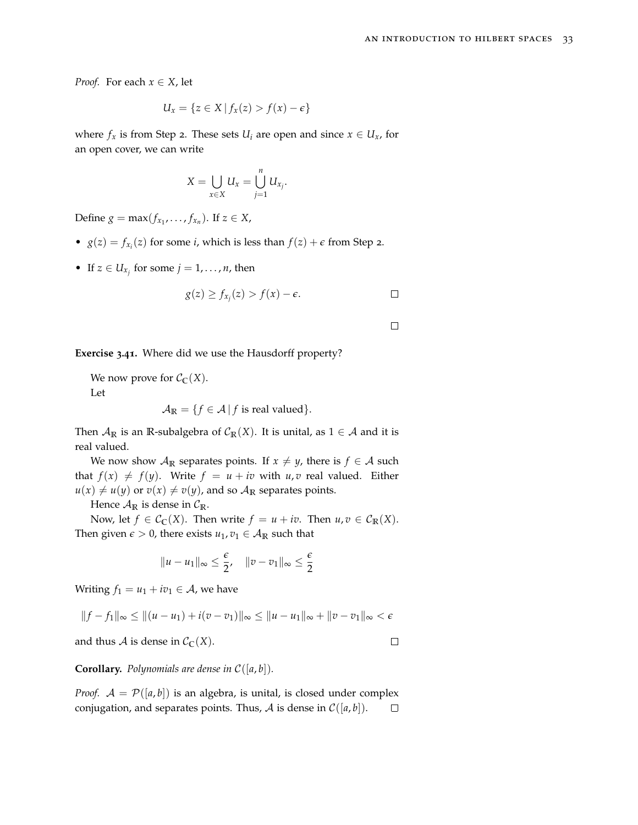*Proof.* For each  $x \in X$ , let

$$
U_x = \{ z \in X \mid f_x(z) > f(x) - \epsilon \}
$$

where  $f_x$  is from Step 2. These sets  $U_i$  are open and since  $x \in U_x$ , for an open cover, we can write

$$
X=\bigcup_{x\in X}U_x=\bigcup_{j=1}^n U_{x_j}.
$$

Define  $g = \max(f_{x_1}, \ldots, f_{x_n})$ . If  $z \in X$ ,

- $g(z) = f_{x_i}(z)$  for some *i*, which is less than  $f(z) + \epsilon$  from Step 2.
- If  $z \in U_{x_j}$  for some  $j = 1, \ldots, n$ , then

$$
g(z) \ge f_{x_j}(z) > f(x) - \epsilon.
$$

**Exercise 3.41.** Where did we use the Hausdorff property?

We now prove for  $C_{\mathbb{C}}(X)$ . Let

$$
\mathcal{A}_{\mathbb{R}} = \{ f \in \mathcal{A} \mid f \text{ is real valued} \}.
$$

Then  $\mathcal{A}_{\mathbb{R}}$  is an  $\mathbb{R}$ -subalgebra of  $\mathcal{C}_{\mathbb{R}}(X)$ . It is unital, as  $1 \in \mathcal{A}$  and it is real valued.

We now show  $A_{\mathbb{R}}$  separates points. If  $x \neq y$ , there is  $f \in A$  such that  $f(x) \neq f(y)$ . Write  $f = u + iv$  with  $u, v$  real valued. Either  $u(x) \neq u(y)$  or  $v(x) \neq v(y)$ , and so  $A_{\mathbb{R}}$  separates points.

Hence  $\mathcal{A}_{\mathbb{R}}$  is dense in  $\mathcal{C}_{\mathbb{R}}$ .

Now, let  $f \in C_{\mathbb{C}}(X)$ . Then write  $f = u + iv$ . Then  $u, v \in C_{\mathbb{R}}(X)$ . Then given  $\epsilon > 0$ , there exists  $u_1, v_1 \in A_{\mathbb{R}}$  such that

$$
||u - u_1||_{\infty} \leq \frac{\epsilon}{2}, \quad ||v - v_1||_{\infty} \leq \frac{\epsilon}{2}
$$

Writing  $f_1 = u_1 + iv_1 \in \mathcal{A}$ , we have

$$
||f - f_1||_{\infty} \le ||(u - u_1) + i(v - v_1)||_{\infty} \le ||u - u_1||_{\infty} + ||v - v_1||_{\infty} < \epsilon
$$

and thus A is dense in  $C_{\mathbb{C}}(X)$ .

 $\Box$ 

**Corollary.** *Polynomials are dense in*  $C([a, b])$ *.* 

*Proof.*  $A = \mathcal{P}([a, b])$  is an algebra, is unital, is closed under complex conjugation, and separates points. Thus, A is dense in  $C([a, b])$ .  $\Box$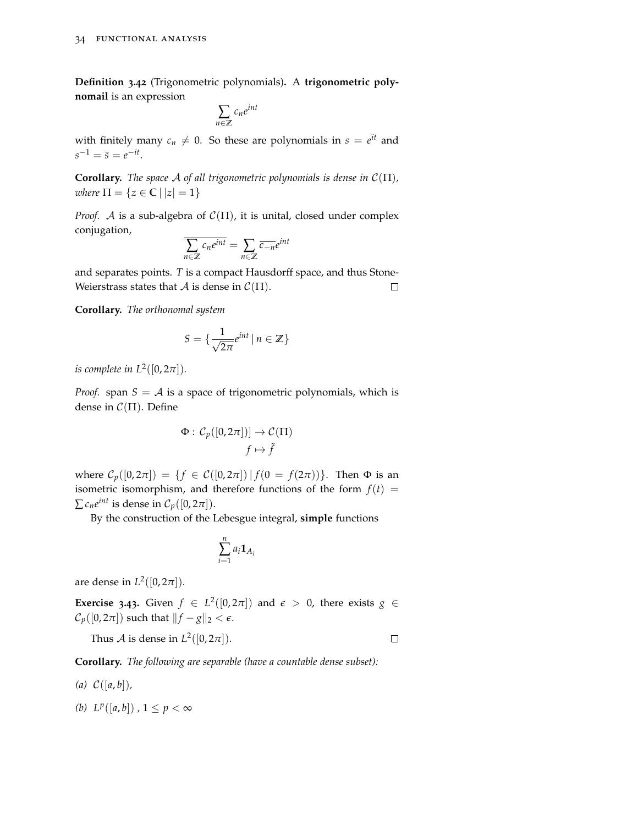**Definition 3.42** (Trigonometric polynomials)**.** A **trigonometric polynomail** is an expression

$$
\sum_{n\in\mathbb{Z}}c_ne^{int}
$$

with finitely many  $c_n \neq 0$ . So these are polynomials in  $s = e^{it}$  and  $s^{-1} = \bar{s} = e^{-it}$ .

**Corollary.** *The space* A *of all trigonometric polynomials is dense in*  $C(\Pi)$ *, where*  $\Pi = \{z \in \mathbb{C} \mid |z| = 1\}$ 

*Proof.* A is a sub-algebra of  $C(\Pi)$ , it is unital, closed under complex conjugation,

$$
\overline{\sum_{n\in\mathbb{Z}}c_ne^{int}} = \sum_{n\in\mathbb{Z}}\overline{c_{-n}}e^{int}
$$

and separates points. *T* is a compact Hausdorff space, and thus Stone-Weierstrass states that  $A$  is dense in  $C(\Pi)$ .  $\Box$ 

**Corollary.** *The orthonomal system*

$$
S = \{ \frac{1}{\sqrt{2\pi}} e^{int} \mid n \in \mathbb{Z} \}
$$

*is complete in*  $L^2([0, 2\pi])$ *.* 

*Proof.* span  $S = A$  is a space of trigonometric polynomials, which is dense in  $C(\Pi)$ . Define

$$
\Phi: C_p([0, 2\pi])] \to C(\Pi)
$$

$$
f \mapsto \tilde{f}
$$

where  $C_p([0, 2π]) = {f ∈ C([0, 2π]) | f(0 = f(2π))}.$  Then Φ is an isometric isomorphism, and therefore functions of the form  $f(t)$  =  $\sum c_n e^{int}$  is dense in  $C_p([0, 2\pi])$ .

By the construction of the Lebesgue integral, **simple** functions

$$
\sum_{i=1}^n a_i \mathbf{1}_{A_i}
$$

are dense in  $L^2([0, 2\pi])$ .

**Exercise** 3.43. Given  $f \in L^2([0, 2\pi])$  and  $\epsilon > 0$ , there exists  $g \in$  $\mathcal{C}_p([0, 2\pi])$  such that  $||f - g||_2 < \epsilon$ .

Thus  $\mathcal A$  is dense in  $L^2([0,2\pi])$ .

 $\Box$ 

**Corollary.** *The following are separable (have a countable dense subset):*

- *(a)* C([*a*, *b*])*,*
- *(b)*  $L^p([a, b])$ , 1 ≤  $p < ∞$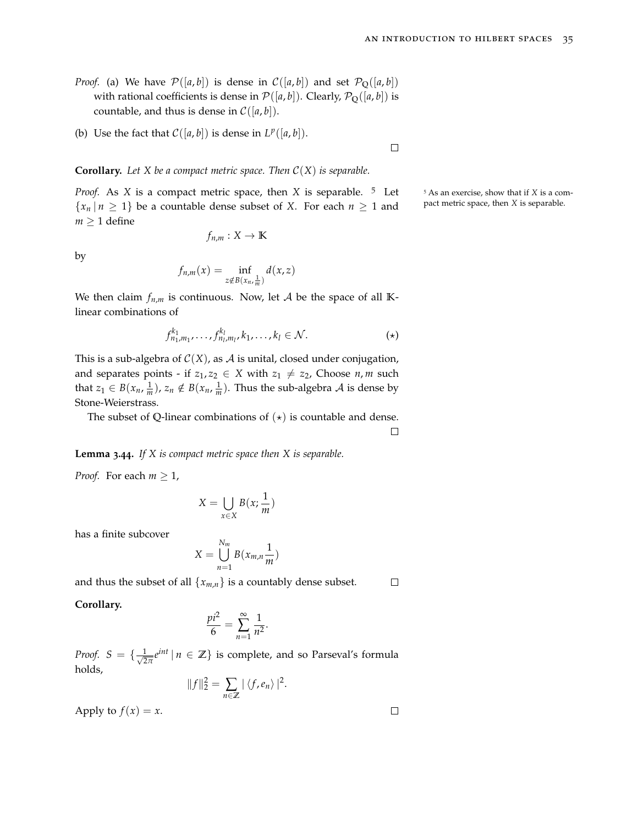- *Proof.* (a) We have  $\mathcal{P}([a,b])$  is dense in  $\mathcal{C}([a,b])$  and set  $\mathcal{P}_{\mathbb{Q}}([a,b])$ with rational coefficients is dense in  $\mathcal{P}([a, b])$ . Clearly,  $\mathcal{P}_Q([a, b])$  is countable, and thus is dense in  $C([a, b])$ .
- (b) Use the fact that  $C([a, b])$  is dense in  $L^p([a, b])$ .

 $\Box$ 

**Corollary.** *Let X be a compact metric space. Then* C(*X*) *is separable.*

*Proof.* As *X* is a compact metric space, then *X* is separable. <sup>5</sup> Let <sup>5</sup> As an exercise, show that if *X* is a com- ${x_n | n \geq 1}$  be a countable dense subset of *X*. For each  $n \geq 1$  and pact metric space, then *X* is separable.  $m \geq 1$  define

$$
f_{n,m}:X\to\mathbb{K}
$$

by

$$
f_{n,m}(x) = \inf_{z \notin B(x_n, \frac{1}{m})} d(x, z)
$$

We then claim  $f_{n,m}$  is continuous. Now, let A be the space of all  $\mathbb{K}$ linear combinations of

$$
f_{n_1,m_1}^{k_1},\ldots,f_{n_l,m_l}^{k_l},k_1,\ldots,k_l\in\mathcal{N}.\tag{\star}
$$

This is a sub-algebra of  $C(X)$ , as A is unital, closed under conjugation, and separates points - if  $z_1, z_2 \in X$  with  $z_1 \neq z_2$ , Choose  $n, m$  such that  $z_1 \in B(x_n, \frac{1}{m})$ ,  $z_n \notin B(x_n, \frac{1}{m})$ . Thus the sub-algebra A is dense by Stone-Weierstrass.

The subset of Q-linear combinations of  $(\star)$  is countable and dense.

 $\Box$ 

**Lemma 3.44.** *If X is compact metric space then X is separable.*

*Proof.* For each  $m \geq 1$ ,

$$
X = \bigcup_{x \in X} B(x; \frac{1}{m})
$$

has a finite subcover

$$
X = \bigcup_{n=1}^{N_m} B(x_{m,n}\frac{1}{m})
$$

and thus the subset of all  $\{x_{m,n}\}$  is a countably dense subset.  $\Box$ 

#### **Corollary.**

$$
\frac{pi^2}{6} = \sum_{n=1}^{\infty} \frac{1}{n^2}.
$$

*Proof.*  $S = \{\frac{1}{\sqrt{2}}\}$  $\frac{1}{2\pi}e^{int}|n \in \mathbb{Z}\}$  is complete, and so Parseval's formula holds,

$$
||f||_2^2 = \sum_{n \in \mathbb{Z}} |\langle f, e_n \rangle|^2.
$$

Apply to  $f(x) = x$ .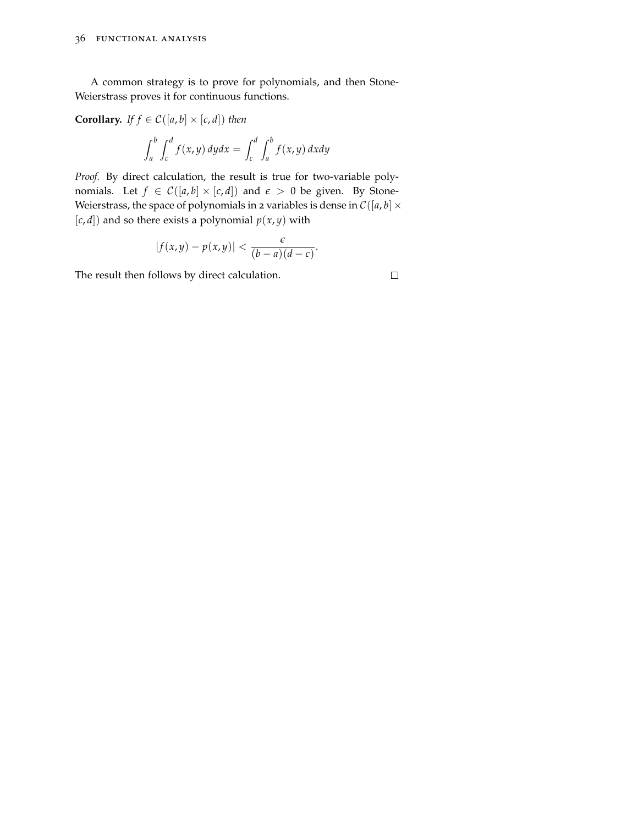A common strategy is to prove for polynomials, and then Stone-Weierstrass proves it for continuous functions.

**Corollary.** *If*  $f \in C([a, b] \times [c, d])$  *then* 

$$
\int_a^b \int_c^d f(x, y) \, dy dx = \int_c^d \int_a^b f(x, y) \, dx dy
$$

*Proof.* By direct calculation, the result is true for two-variable polynomials. Let  $f \in C([a, b] \times [c, d])$  and  $\epsilon > 0$  be given. By Stone-Weierstrass, the space of polynomials in 2 variables is dense in  $C([a, b] \times$  $[c, d]$  and so there exists a polynomial  $p(x, y)$  with

$$
|f(x,y)-p(x,y)|<\frac{\epsilon}{(b-a)(d-c)}.
$$

The result then follows by direct calculation.

$$
\Box
$$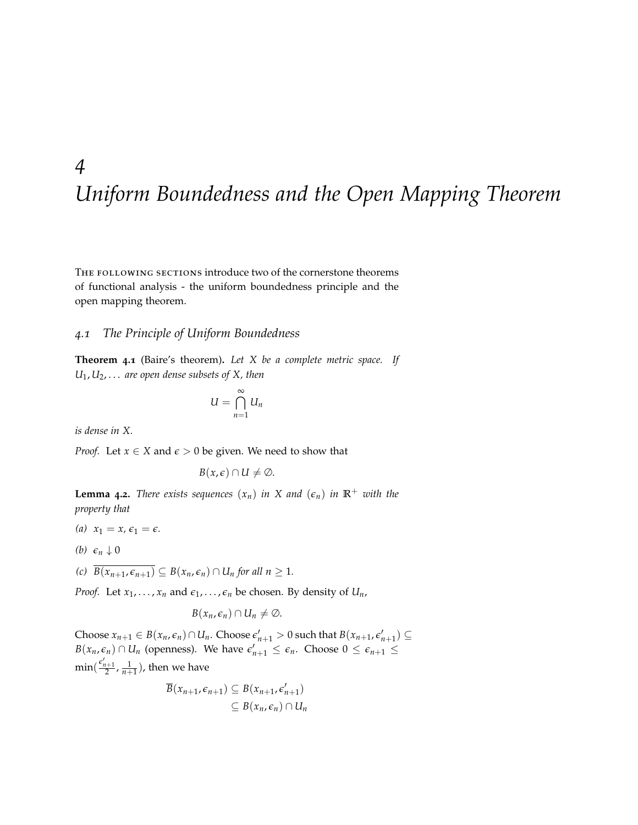## *4 Uniform Boundedness and the Open Mapping Theorem*

The following sections introduce two of the cornerstone theorems of functional analysis - the uniform boundedness principle and the open mapping theorem.

#### *4.1 The Principle of Uniform Boundedness*

**Theorem 4.1** (Baire's theorem)**.** *Let X be a complete metric space. If U*1, *U*2, . . . *are open dense subsets of X, then*

$$
U=\bigcap_{n=1}^{\infty}U_n
$$

*is dense in X.*

*Proof.* Let  $x \in X$  and  $\epsilon > 0$  be given. We need to show that

$$
B(x,\epsilon)\cap U\neq\emptyset.
$$

**Lemma** 4.2. *There exists sequences*  $(x_n)$  *in X and*  $(\epsilon_n)$  *in*  $\mathbb{R}^+$  *with the property that*

- (*a*)  $x_1 = x, \epsilon_1 = \epsilon$ .
- *(b)*  $\epsilon_n \downarrow 0$

*(c)*  $\overline{B(x_{n+1}, \epsilon_{n+1})} \subseteq B(x_n, \epsilon_n) \cap U_n$  *for all n*  $\geq 1$ *.* 

*Proof.* Let  $x_1, \ldots, x_n$  and  $\epsilon_1, \ldots, \epsilon_n$  be chosen. By density of  $U_n$ ,

$$
B(x_n,\epsilon_n)\cap U_n\neq\emptyset.
$$

Choose  $x_{n+1} \in B(x_n, \epsilon_n) \cap U_n$ . Choose  $\epsilon'_{n+1} > 0$  such that  $B(x_{n+1}, \epsilon'_{n+1}) \subseteq$ *B*( $x_n$ ,  $\epsilon_n$ ) ∩  $U_n$  (openness). We have  $\epsilon'_{n+1}$  ≤  $\epsilon_n$ . Choose 0 ≤  $\epsilon_{n+1}$  ≤  $\min(\frac{\epsilon'_{n+1}}{2},\frac{1}{n+1})$ , then we have

$$
\overline{B}(x_{n+1}, \epsilon_{n+1}) \subseteq B(x_{n+1}, \epsilon'_{n+1})
$$
  

$$
\subseteq B(x_n, \epsilon_n) \cap U_n
$$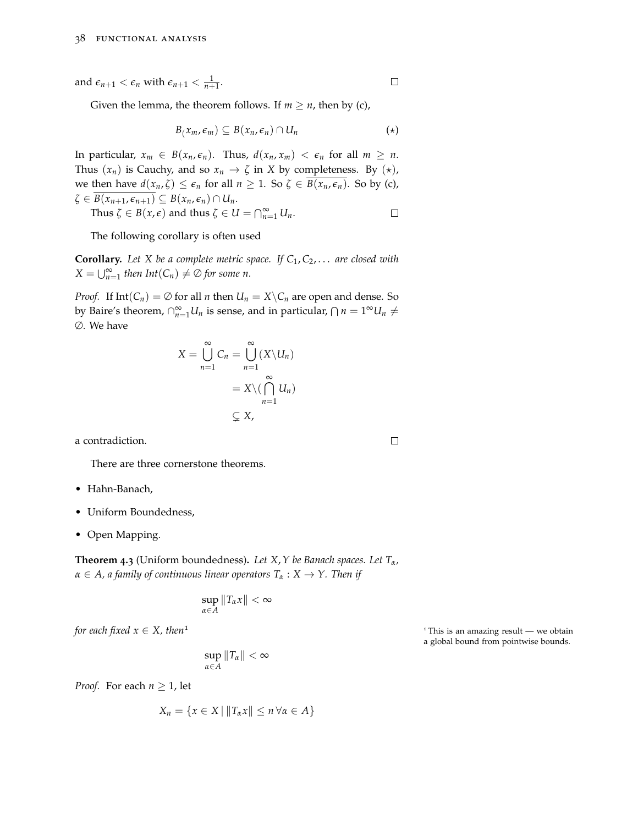and  $\epsilon_{n+1} < \epsilon_n$  with  $\epsilon_{n+1} < \frac{1}{n+1}$ .

Given the lemma, the theorem follows. If  $m \geq n$ , then by (c),

$$
B(x_m, \epsilon_m) \subseteq B(x_n, \epsilon_n) \cap U_n \qquad (*)
$$

In particular,  $x_m \in B(x_n, \epsilon_n)$ . Thus,  $d(x_n, x_m) < \epsilon_n$  for all  $m \ge n$ . Thus  $(x_n)$  is Cauchy, and so  $x_n \to \zeta$  in *X* by completeness. By  $(\star)$ , we then have  $d(x_n, \zeta) \leq \epsilon_n$  for all  $n \geq 1$ . So  $\zeta \in \overline{B(x_n, \epsilon_n)}$ . So by (c),  $\zeta \in \overline{B(x_{n+1}, \epsilon_{n+1})} \subseteq B(x_n, \epsilon_n) \cap U_n.$  $\Box$ 

Thus 
$$
\zeta \in B(x,\epsilon)
$$
 and thus  $\zeta \in U = \bigcap_{n=1}^{\infty} U_n$ .

The following corollary is often used

**Corollary.** *Let X be a complete metric space. If C*1, *C*2, . . . *are closed with*  $X = \bigcup_{n=1}^{\infty}$  *then*  $Int(C_n) \neq \emptyset$  *for some n.* 

*Proof.* If  $Int(C_n) = \emptyset$  for all *n* then  $U_n = X \setminus C_n$  are open and dense. So by Baire's theorem,  $\bigcap_{n=1}^{\infty} U_n$  is sense, and in particular,  $\bigcap n = 1^\infty U_n \neq 0$ ∅. We have

$$
X = \bigcup_{n=1}^{\infty} C_n = \bigcup_{n=1}^{\infty} (X \setminus U_n)
$$
  
=  $X \setminus (\bigcap_{n=1}^{\infty} U_n)$   
 $\subsetneq X$ ,

a contradiction.

There are three cornerstone theorems.

- Hahn-Banach,
- Uniform Boundedness,
- Open Mapping.

**Theorem 4.3** (Uniform boundedness)**.** *Let X*,*Y be Banach spaces. Let Tα, α* ∈ *A, a family of continuous linear operators T<sup>α</sup>* : *X* → *Y. Then if*

$$
\sup_{\alpha\in A}||T_{\alpha}x||<\infty
$$

$$
\sup_{\alpha\in A}||T_{\alpha}||<\infty
$$

*Proof.* For each  $n \geq 1$ , let

$$
X_n = \{x \in X \mid ||T_\alpha x|| \le n \,\forall \alpha \in A\}
$$

*for each fixed x* ∈ *X, then*<sup>1</sup> <sup>1</sup> This is an amazing result — we obtain a global bound from pointwise bounds.

 $\Box$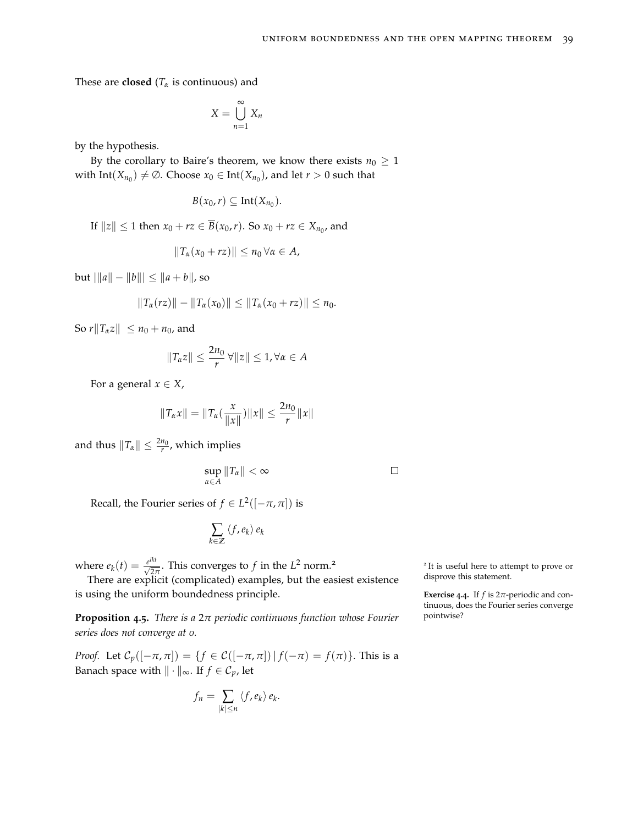These are **closed** ( $T_\alpha$  is continuous) and

$$
X = \bigcup_{n=1}^{\infty} X_n
$$

by the hypothesis.

By the corollary to Baire's theorem, we know there exists  $n_0 \geq 1$ with  $Int(X_{n_0}) \neq \emptyset$ . Choose  $x_0 \in Int(X_{n_0})$ , and let  $r > 0$  such that

$$
B(x_0,r)\subseteq \text{Int}(X_{n_0}).
$$

If  $||z|| \le 1$  then  $x_0 + rz \in \overline{B}(x_0, r)$ . So  $x_0 + rz \in X_{n_0}$ , and

$$
||T_{\alpha}(x_0+rz)||\leq n_0 \,\forall \alpha\in A,
$$

 $|b$ ut  $\| \|a\| - \|b\| \leq \|a + b\|$ , so

$$
||T_{\alpha}(rz)|| - ||T_{\alpha}(x_0)|| \leq ||T_{\alpha}(x_0 + rz)|| \leq n_0.
$$

So  $r||T_\alpha z|| \leq n_0 + n_0$ , and

$$
||T_{\alpha}z|| \leq \frac{2n_0}{r} \,\forall ||z|| \leq 1, \forall \alpha \in A
$$

For a general  $x \in X$ ,

$$
||T_{\alpha}x|| = ||T_{\alpha}(\frac{x}{||x||})||x|| \leq \frac{2n_0}{r}||x||
$$

and thus  $\|T_\alpha\| \leq \frac{2n_0}{r}$ , which implies

sup *α*∈*A*  $\|T_\alpha\| < \infty$ 

Recall, the Fourier series of  $f \in L^2([-\pi,\pi])$  is

$$
\sum_{k\in\mathbb{Z}}\left\langle f,e_{k}\right\rangle e_{k}
$$

where  $e_k(t) = \frac{e^{ikt}}{\sqrt{2\pi}}$ . This converges to *f* in the *L*<sup>2</sup> norm.<sup>2</sup>

There are explicit (complicated) examples, but the easiest existence is using the uniform boundedness principle.

**Proposition 4.5.** *There is a* 2*π periodic continuous function whose Fourier series does not converge at 0.*

*Proof.* Let  $C_p([-\pi,\pi]) = \{f \in C([-\pi,\pi]) | f(-\pi) = f(\pi)\}\.$  This is a Banach space with  $\|\cdot\|_{\infty}$ . If *f* ∈  $C_p$ , let

$$
f_n = \sum_{|k| \leq n} \langle f, e_k \rangle e_k.
$$

<sup>2</sup> It is useful here to attempt to prove or disprove this statement.

**Exercise** 4.4. If  $f$  is  $2\pi$ -periodic and continuous, does the Fourier series converge pointwise?

 $\Box$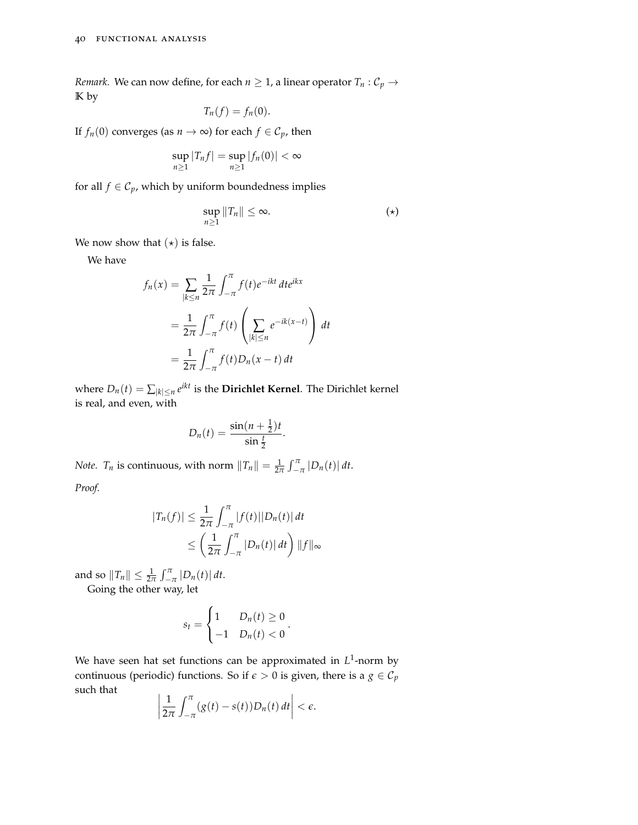*Remark.* We can now define, for each  $n \geq 1$ , a linear operator  $T_n$ :  $C_p$   $\rightarrow$ **K** by

$$
T_n(f)=f_n(0).
$$

If *f*<sub>*n*</sub>(0) converges (as *n*  $\rightarrow \infty$ ) for each *f*  $\in \mathcal{C}_p$ , then

$$
\sup_{n\geq 1}|T_nf|=\sup_{n\geq 1}|f_n(0)|<\infty
$$

for all *f*  $\in$   $C_p$ , which by uniform boundedness implies

$$
\sup_{n\geq 1}||T_n||\leq \infty. \qquad (*)
$$

We now show that  $(\star)$  is false.

We have

$$
f_n(x) = \sum_{|k \le n} \frac{1}{2\pi} \int_{-\pi}^{\pi} f(t) e^{-ikt} dt e^{ikx}
$$
  

$$
= \frac{1}{2\pi} \int_{-\pi}^{\pi} f(t) \left( \sum_{|k| \le n} e^{-ik(x-t)} \right) dt
$$
  

$$
= \frac{1}{2\pi} \int_{-\pi}^{\pi} f(t) D_n(x-t) dt
$$

where  $D_n(t) = \sum_{|k| \leq n} e^{ikt}$  is the **Dirichlet Kernel**. The Dirichlet kernel is real, and even, with

$$
D_n(t) = \frac{\sin((n+\frac{1}{2})t)}{\sin(\frac{t}{2})}.
$$

*Note. T<sub>n</sub>* is continuous, with norm  $||T_n|| = \frac{1}{2\pi} \int_{-\pi}^{\pi} |D_n(t)| dt$ .

*Proof.*

$$
|T_n(f)| \leq \frac{1}{2\pi} \int_{-\pi}^{\pi} |f(t)| |D_n(t)| dt
$$
  
 
$$
\leq \left(\frac{1}{2\pi} \int_{-\pi}^{\pi} |D_n(t)| dt\right) ||f||_{\infty}
$$

and so  $||T_n|| \leq \frac{1}{2\pi} \int_{-\pi}^{\pi} |D_n(t)| dt$ .

Going the other way, let

$$
s_t = \begin{cases} 1 & D_n(t) \ge 0 \\ -1 & D_n(t) < 0 \end{cases}.
$$

We have seen hat set functions can be approximated in L<sup>1</sup>-norm by continuous (periodic) functions. So if  $\epsilon > 0$  is given, there is a  $g \in C_p$ such that

$$
\left|\frac{1}{2\pi}\int_{-\pi}^{\pi}(g(t)-s(t))D_n(t)\,dt\right|<\epsilon.
$$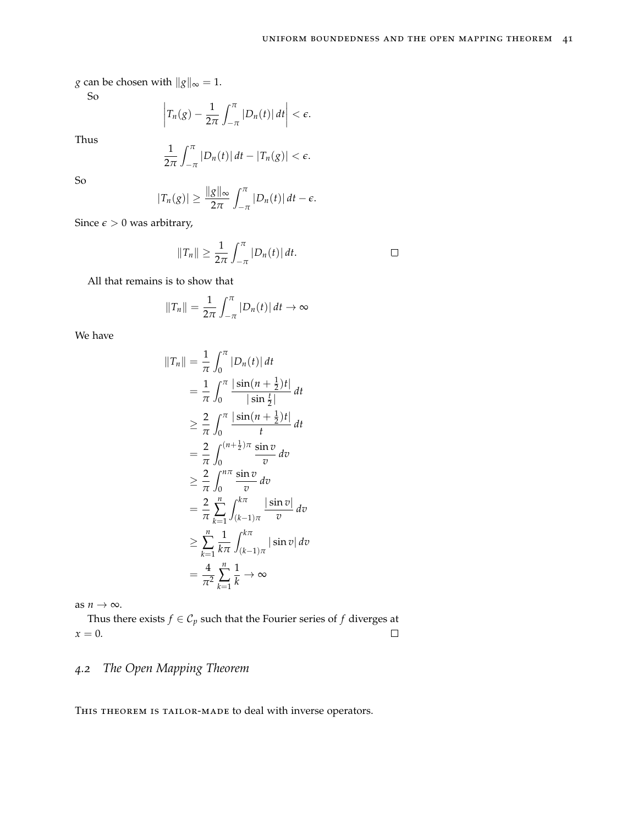$\Box$ 

*g* can be chosen with  $||g||_{\infty} = 1$ .

So

$$
\left|T_n(g)-\frac{1}{2\pi}\int_{-\pi}^{\pi}|D_n(t)|\,dt\right|<\epsilon.
$$

Thus

1 2*π*  $\int_0^\pi$  $\int_{-\pi}^{\pi} |D_n(t)| \, dt - |T_n(g)| < \epsilon.$ 

So

$$
|T_n(g)| \geq \frac{\|g\|_{\infty}}{2\pi} \int_{-\pi}^{\pi} |D_n(t)| dt - \epsilon.
$$

Since  $\epsilon > 0$  was arbitrary,

$$
||T_n|| \geq \frac{1}{2\pi} \int_{-\pi}^{\pi} |D_n(t)| dt.
$$

All that remains is to show that

$$
||T_n|| = \frac{1}{2\pi} \int_{-\pi}^{\pi} |D_n(t)| dt \to \infty
$$

We have

$$
||T_n|| = \frac{1}{\pi} \int_0^{\pi} |D_n(t)| dt
$$
  
\n
$$
= \frac{1}{\pi} \int_0^{\pi} \frac{|\sin(n + \frac{1}{2})t|}{|\sin(\frac{1}{2})t|} dt
$$
  
\n
$$
\geq \frac{2}{\pi} \int_0^{\pi} \frac{|\sin(n + \frac{1}{2})t|}{t} dt
$$
  
\n
$$
= \frac{2}{\pi} \int_0^{(n + \frac{1}{2})\pi} \frac{\sin v}{v} dv
$$
  
\n
$$
\geq \frac{2}{\pi} \int_0^{n\pi} \frac{\sin v}{v} dv
$$
  
\n
$$
= \frac{2}{\pi} \sum_{k=1}^n \int_{(k-1)\pi}^{k\pi} \frac{|\sin v|}{v} dv
$$
  
\n
$$
\geq \sum_{k=1}^n \frac{1}{k\pi} \int_{(k-1)\pi}^{k\pi} |\sin v| dv
$$
  
\n
$$
= \frac{4}{\pi^2} \sum_{k=1}^n \frac{1}{k} \to \infty
$$

as  $n \to \infty$ .

Thus there exists *f* ∈  $C_p$  such that the Fourier series of *f* diverges at  $x = 0$ .  $\Box$ 

#### *4.2 The Open Mapping Theorem*

THIS THEOREM IS TAILOR-MADE to deal with inverse operators.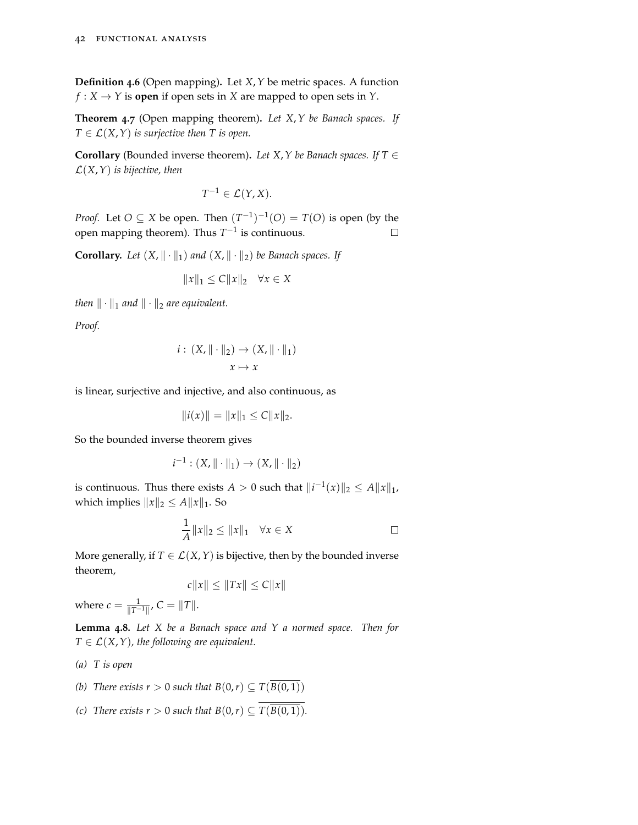**Definition 4.6** (Open mapping)**.** Let *X*,*Y* be metric spaces. A function  $f: X \to Y$  is **open** if open sets in *X* are mapped to open sets in *Y*.

**Theorem 4.7** (Open mapping theorem)**.** *Let X*,*Y be Banach spaces. If*  $T \in \mathcal{L}(X, Y)$  *is surjective then T is open.* 

**Corollary** (Bounded inverse theorem). *Let X*,  $Y$  *be Banach spaces.* If  $T \in$ L(*X*,*Y*) *is bijective, then*

$$
T^{-1} \in \mathcal{L}(Y, X).
$$

*Proof.* Let  $O \subseteq X$  be open. Then  $(T^{-1})^{-1}(O) = T(O)$  is open (by the open mapping theorem). Thus  $T^{-1}$  is continuous.  $\Box$ 

**Corollary.** Let  $(X, \| \cdot \|_1)$  and  $(X, \| \cdot \|_2)$  be Banach spaces. If

$$
||x||_1 \le C||x||_2 \quad \forall x \in X
$$

*then*  $\|\cdot\|_1$  *and*  $\|\cdot\|_2$  *are equivalent.* 

*Proof.*

$$
i: (X, \|\cdot\|_2) \to (X, \|\cdot\|_1)
$$

$$
x \mapsto x
$$

is linear, surjective and injective, and also continuous, as

$$
||i(x)|| = ||x||_1 \le C||x||_2.
$$

So the bounded inverse theorem gives

$$
i^{-1} : (X, \|\cdot\|_1) \to (X, \|\cdot\|_2)
$$

is continuous. Thus there exists  $A > 0$  such that  $\|i^{-1}(x)\|_2 \leq A \|x\|_1$ , which implies  $||x||_2 \le A||x||_1$ . So

$$
\frac{1}{A}||x||_2 \le ||x||_1 \quad \forall x \in X \qquad \Box
$$

More generally, if  $T \in \mathcal{L}(X, Y)$  is bijective, then by the bounded inverse theorem,

$$
c||x|| \le ||Tx|| \le C||x||
$$

where  $c = \frac{1}{\|T^{-1}\|}$ ,  $C = \|T\|.$ 

**Lemma 4.8.** *Let X be a Banach space and Y a normed space. Then for*  $T \in \mathcal{L}(X, Y)$ , the following are equivalent.

- *(a) T is open*
- *(b) There exists r* > 0 *such that*  $B(0,r) \subseteq T(\overline{B(0,1)})$
- *(c) There exists r* > 0 *such that*  $B(0,r) \subseteq \overline{T(B(0,1))}$ .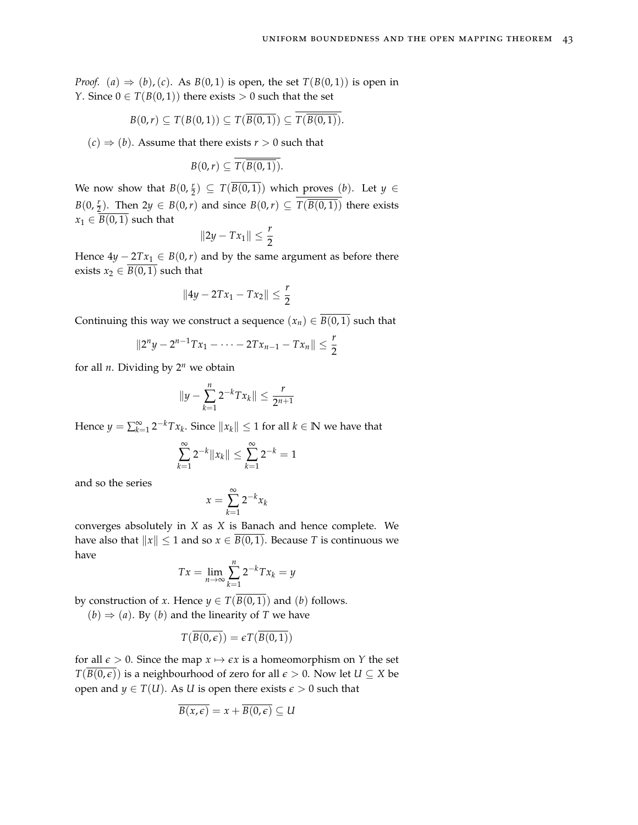*Proof.* (*a*)  $\Rightarrow$  (*b*), (*c*). As *B*(0,1) is open, the set *T*(*B*(0,1)) is open in *Y*. Since  $0 \in T(B(0, 1))$  there exists  $> 0$  such that the set

$$
B(0,r) \subseteq T(B(0,1)) \subseteq T(\overline{B(0,1)}) \subseteq T(\overline{B(0,1)})
$$

 $(c) \Rightarrow (b)$ . Assume that there exists  $r > 0$  such that

$$
B(0,r)\subseteq T(\overline{B(0,1)}).
$$

We now show that  $B(0, \frac{r}{2}) \subseteq T(\overline{B(0, 1)})$  which proves  $(b)$ . Let  $y \in$ *B*(0,  $\frac{r}{2}$ ). Then 2*y* ∈ *B*(0,*r*) and since *B*(0,*r*) ⊆ *T*( $\overline{B(0,1)}$ ) there exists  $x_1 \in B(0,1)$  such that

$$
||2y-Tx_1||\leq \frac{r}{2}
$$

Hence  $4y - 2Tx_1 \in B(0,r)$  and by the same argument as before there exists  $x_2 \in \overline{B(0,1)}$  such that

$$
||4y - 2Tx_1 - Tx_2|| \leq \frac{r}{2}
$$

Continuing this way we construct a sequence  $(x_n) \in \overline{B(0,1)}$  such that

$$
||2^{n}y - 2^{n-1}Tx_1 - \cdots - 2Tx_{n-1} - Tx_n|| \leq \frac{r}{2}
$$

for all  $n$ . Dividing by  $2^n$  we obtain

$$
||y - \sum_{k=1}^{n} 2^{-k} Tx_k|| \leq \frac{r}{2^{n+1}}
$$

Hence  $y = \sum_{k=1}^{\infty} 2^{-k} T x_k$ . Since  $||x_k|| \leq 1$  for all  $k \in \mathbb{N}$  we have that

$$
\sum_{k=1}^{\infty} 2^{-k} \|x_k\| \le \sum_{k=1}^{\infty} 2^{-k} = 1
$$

and so the series

$$
x = \sum_{k=1}^{\infty} 2^{-k} x_k
$$

converges absolutely in *X* as *X* is Banach and hence complete. We have also that  $||x|| \le 1$  and so  $x \in \overline{B(0, 1)}$ . Because *T* is continuous we have

$$
Tx = \lim_{n \to \infty} \sum_{k=1}^{n} 2^{-k} Tx_k = y
$$

by construction of *x*. Hence  $y \in T(\overline{B(0,1)})$  and (*b*) follows.

 $(b) \Rightarrow (a)$ . By  $(b)$  and the linearity of *T* we have

$$
T(\overline{B(0,\epsilon)})=\epsilon T(\overline{B(0,1)})
$$

for all  $\epsilon > 0$ . Since the map  $x \mapsto \epsilon x$  is a homeomorphism on *Y* the set *T*(*B*(0, $\epsilon$ )) is a neighbourhood of zero for all  $\epsilon$  > 0. Now let *U* ⊆ *X* be open and *y*  $\in T(U)$ . As *U* is open there exists  $\epsilon > 0$  such that

$$
\overline{B(x,\epsilon)}=x+\overline{B(0,\epsilon)}\subseteq U
$$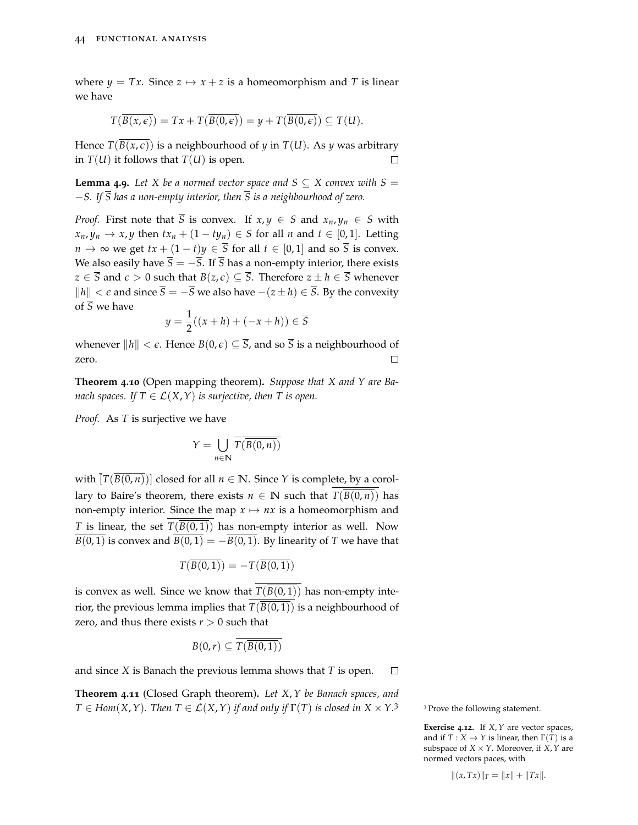where  $y = Tx$ . Since  $z \mapsto x + z$  is a homeomorphism and T is linear we have

$$
T(\overline{B(x,\epsilon)})=Tx+T(\overline{B(0,\epsilon)})=y+T(\overline{B(0,\epsilon)})\subseteq T(U).
$$

Hence  $T(B(x, \epsilon))$  is a neighbourhood of *y* in  $T(U)$ . As *y* was arbitrary in  $T(U)$  it follows that  $T(U)$  is open.  $\Box$ 

**Lemma 4.9.** Let X be a normed vector space and  $S \subseteq X$  convex with  $S =$ −*S. If S has a non-empty interior, then S is a neighbourhood of zero.*

*Proof.* First note that  $\overline{S}$  is convex. If  $x, y \in S$  and  $x_n, y_n \in S$  with  $x_n, y_n \to x, y$  then  $tx_n + (1 - ty_n) \in S$  for all *n* and  $t \in [0, 1]$ . Letting *n* → ∞ we get  $tx + (1-t)y \in \overline{S}$  for all  $t \in [0,1]$  and so  $\overline{S}$  is convex. We also easily have  $\overline{S} = -\overline{S}$ . If  $\overline{S}$  has a non-empty interior, there exists *z* ∈  $\overline{S}$  and  $\epsilon$  > 0 such that *B*(*z*,  $\epsilon$ ) ⊆  $\overline{S}$ . Therefore *z* ± *h* ∈  $\overline{S}$  whenever *k*<sup>*h*</sup>  $|h|$  < *e* and since  $\overline{S} = -\overline{S}$  we also have  $-(z \pm h) \in \overline{S}$ . By the convexity of  $\overline{S}$  we have

$$
y = \frac{1}{2}((x+h) + (-x+h)) \in \overline{S}
$$

whenever  $||h|| < \epsilon$ . Hence  $B(0, \epsilon) \subseteq \overline{S}$ , and so  $\overline{S}$  is a neighbourhood of zero. П

**Theorem 4.10** (Open mapping theorem)**.** *Suppose that X and Y are Banach spaces. If*  $T \in \mathcal{L}(X, Y)$  *is surjective, then* T *is open.* 

*Proof.* As *T* is surjective we have

$$
Y = \bigcup_{n \in \mathbb{N}} \overline{T(\overline{B(0,n)})}
$$

with  $[T(B(0,n))]$  closed for all  $n \in \mathbb{N}$ . Since *Y* is complete, by a corollary to Baire's theorem, there exists  $n \in \mathbb{N}$  such that  $T(B(0, n))$  has non-empty interior. Since the map  $x \mapsto nx$  is a homeomorphism and *T* is linear, the set  $T(\overline{B(0,1)})$  has non-empty interior as well. Now  $\overline{B(0, 1)}$  is convex and  $\overline{B(0, 1)} = -\overline{B(0, 1)}$ . By linearity of *T* we have that

$$
T(\overline{B(0,1)}) = -T(\overline{B(0,1)})
$$

is convex as well. Since we know that  $T(\overline{B(0,1)})$  has non-empty interior, the previous lemma implies that  $T(B(0, 1))$  is a neighbourhood of zero, and thus there exists  $r > 0$  such that

$$
B(0,r)\subseteq T(\overline{B(0,1)})
$$

and since *X* is Banach the previous lemma shows that *T* is open.  $\Box$ 

**Theorem 4.11** (Closed Graph theorem)**.** *Let X*,*Y be Banach spaces, and*  $T \in Hom(X, Y)$ . Then  $T \in \mathcal{L}(X, Y)$  *if and only if*  $\Gamma(T)$  *is closed in*  $X \times Y$ .<sup>3</sup> > 3 Prove the following statement.

**Exercise 4.12.** If *X*,*Y* are vector spaces, and if  $T : X \to Y$  is linear, then  $\Gamma(T)$  is a subspace of  $X \times Y$ . Moreover, if  $X, Y$  are normed vectors paces, with

$$
||(x,Tx)||_{\Gamma} = ||x|| + ||Tx||.
$$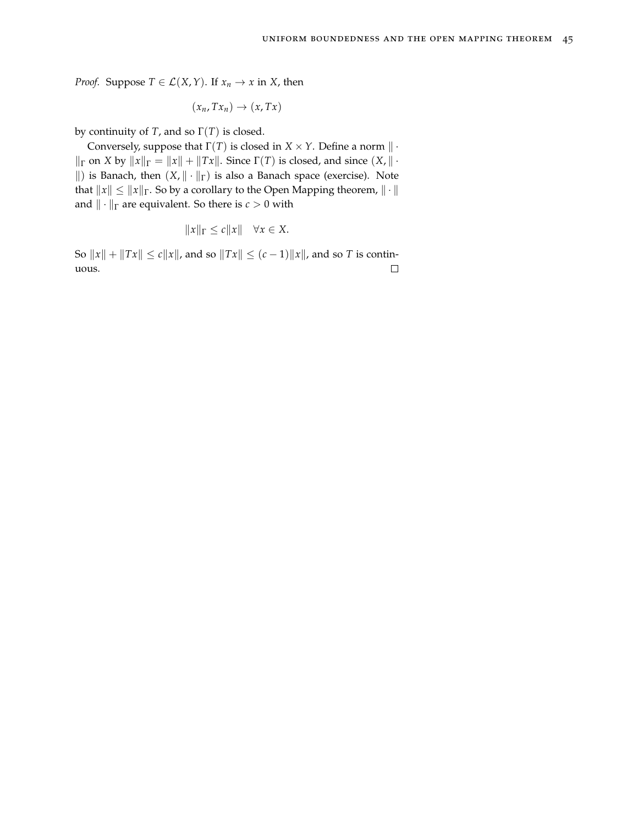*Proof.* Suppose  $T \in \mathcal{L}(X, Y)$ . If  $x_n \to x$  in *X*, then

$$
(x_n,Tx_n)\to(x,Tx)
$$

by continuity of *T*, and so  $\Gamma(T)$  is closed.

Conversely, suppose that  $\Gamma(T)$  is closed in *X* × *Y*. Define a norm  $\| \cdot \|$  $\| \cdot \|$  on *X* by  $\| x \|$ <sub> $\Gamma$ </sub> =  $\| x \|$  +  $\| Tx \|$ . Since  $\Gamma(T)$  is closed, and since  $(X, \| \cdot \|)$ ||) is Banach, then  $(X, \| \cdot \|_{\Gamma})$  is also a Banach space (exercise). Note that  $||x|| \le ||x||$ <sub>Γ</sub>. So by a corollary to the Open Mapping theorem,  $|| \cdot ||$ and  $\|\cdot\|_{\Gamma}$  are equivalent. So there is *c* > 0 with

$$
||x||_{\Gamma} \le c||x|| \quad \forall x \in X.
$$

So  $||x|| + ||Tx|| \le c||x||$ , and so  $||Tx|| \le (c-1)||x||$ , and so *T* is continuous. $\Box$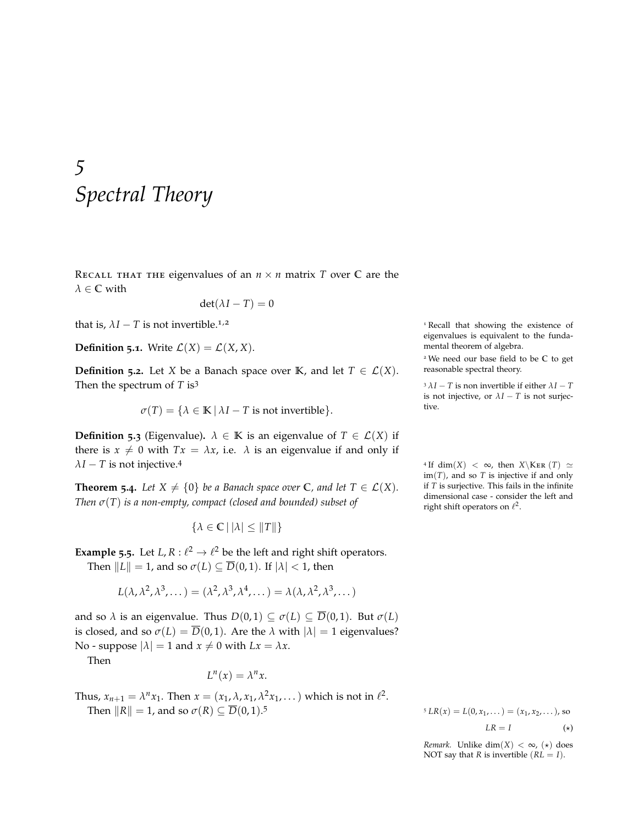### *5 Spectral Theory*

RECALL THAT THE eigenvalues of an  $n \times n$  matrix *T* over *C* are the *λ* ∈ **C** with

$$
\det(\lambda I - T) = 0
$$

that is,  $\lambda I - T$  is not invertible.<sup>1,2</sup> 1 Recall that showing the existence of

**Definition 5.1.** Write  $\mathcal{L}(X) = \mathcal{L}(X, X)$ .

**Definition 5.2.** Let *X* be a Banach space over **K**, and let  $T \in \mathcal{L}(X)$ . Then the spectrum of *T* is<sup>3</sup>  $\lambda I - T$  is non invertible if either  $\lambda I - T$ 

$$
\sigma(T) = \{ \lambda \in \mathbb{K} \, | \, \lambda I - T \text{ is not invertible} \}.
$$

**Definition 5.3** (Eigenvalue).  $\lambda \in \mathbb{K}$  is an eigenvalue of  $T \in \mathcal{L}(X)$  if there is  $x \neq 0$  with  $Tx = \lambda x$ , i.e.  $\lambda$  is an eigenvalue if and only if  $\lambda I - T$  is not injective.<sup>4</sup>

**Theorem 5.4.** *Let*  $X \neq \{0\}$  *be a Banach space over*  $\mathbb{C}$ *, and let*  $T \in \mathcal{L}(X)$ *. Then σ*(*T*) *is a non-empty, compact (closed and bounded) subset of*

 $\{\lambda \in \mathbb{C} \mid |\lambda| \leq ||T||\}$ 

**Example** 5.5. Let *L*,  $R: \ell^2 \to \ell^2$  be the left and right shift operators. Then  $||L|| = 1$ , and so  $\sigma(L) \subseteq \overline{D}(0, 1)$ . If  $|\lambda| < 1$ , then

$$
L(\lambda, \lambda^2, \lambda^3, \dots) = (\lambda^2, \lambda^3, \lambda^4, \dots) = \lambda(\lambda, \lambda^2, \lambda^3, \dots)
$$

and so  $\lambda$  is an eigenvalue. Thus  $D(0,1) \subseteq \sigma(L) \subseteq \overline{D}(0,1)$ . But  $\sigma(L)$ is closed, and so  $\sigma(L) = \overline{D}(0, 1)$ . Are the  $\lambda$  with  $|\lambda| = 1$  eigenvalues? No - suppose  $|\lambda| = 1$  and  $x \neq 0$  with  $Lx = \lambda x$ .

Then

$$
L^n(x) = \lambda^n x.
$$

Thus, 
$$
x_{n+1} = \lambda^n x_1
$$
. Then  $x = (x_1, \lambda, x_1, \lambda^2 x_1, ...)$  which is not in  $\ell^2$ .  
Then  $||R|| = 1$ , and so  $\sigma(R) \subseteq \overline{D}(0, 1)$ .<sup>5</sup>

eigenvalues is equivalent to the fundamental theorem of algebra.

<sup>2</sup> We need our base field to be **C** to get reasonable spectral theory.

is not injective, or  $\lambda I - T$  is not surjec-

<sup>4</sup> If dim(*X*) <  $\infty$ , then *X*\KER (*T*)  $\simeq$ im(*T*), and so *T* is injective if and only if *T* is surjective. This fails in the infinite dimensional case - consider the left and right shift operators on  $\ell^2$ .

 $L^5 L R(x) = L(0, x_1, \dots) = (x_1, x_2, \dots)$ , so  $LR = I$  (\*)

*Remark.* Unlike dim( $X$ ) < ∞, ( $\star$ ) does NOT say that *R* is invertible  $(RL = I)$ .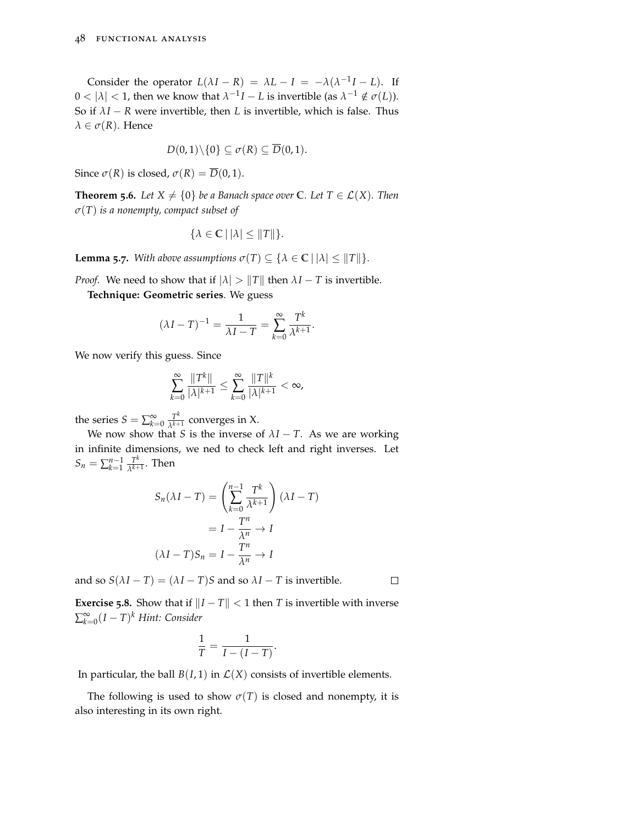Consider the operator  $L(\lambda I - R) = \lambda L - I = -\lambda(\lambda^{-1}I - L)$ . If  $0 < |\lambda| < 1$ , then we know that  $\lambda^{-1}I - L$  is invertible (as  $\lambda^{-1} \notin \sigma(L)$ ). So if  $\lambda I - R$  were invertible, then *L* is invertible, which is false. Thus  $\lambda \in \sigma(R)$ . Hence

$$
D(0,1)\setminus\{0\}\subseteq \sigma(R)\subseteq \overline{D}(0,1).
$$

Since  $\sigma(R)$  is closed,  $\sigma(R) = \overline{D}(0,1)$ .

**Theorem 5.6.** *Let*  $X \neq \{0\}$  *be a Banach space over*  $\mathbb{C}$ *. Let*  $T \in \mathcal{L}(X)$ *. Then σ*(*T*) *is a nonempty, compact subset of*

$$
\{\lambda \in \mathbb{C} \,|\, |\lambda| \leq \|T\|\}.
$$

**Lemma 5***.7. With above assumptions*  $\sigma(T) \subseteq {\lambda \in \mathbb{C} \mid |\lambda| \leq ||T||}.$ 

*Proof.* We need to show that if  $|\lambda| > ||T||$  then  $\lambda I - T$  is invertible.

**Technique: Geometric series**. We guess

$$
(\lambda I - T)^{-1} = \frac{1}{\lambda I - T} = \sum_{k=0}^{\infty} \frac{T^k}{\lambda^{k+1}}.
$$

We now verify this guess. Since

$$
\sum_{k=0}^{\infty} \frac{\|T^k\|}{|\lambda|^{k+1}} \le \sum_{k=0}^{\infty} \frac{\|T\|^k}{|\lambda|^{k+1}} < \infty,
$$

the series  $S = \sum_{k=0}^{\infty} \frac{T^k}{\lambda^{k+1}}$  $\frac{1}{\lambda^{k+1}}$  converges in X.

We now show that *S* is the inverse of  $\lambda I - T$ . As we are working in infinite dimensions, we ned to check left and right inverses. Let  $S_n = \sum_{k=1}^{n-1} \frac{T^k}{\lambda^{k+1}}$  $\frac{1}{\lambda^{k+1}}$ . Then

$$
S_n(\lambda I - T) = \left(\sum_{k=0}^{n-1} \frac{T^k}{\lambda^{k+1}}\right)(\lambda I - T)
$$

$$
= I - \frac{T^n}{\lambda^n} \to I
$$

$$
(\lambda I - T)S_n = I - \frac{T^n}{\lambda^n} \to I
$$

and so  $S(\lambda I - T) = (\lambda I - T)S$  and so  $\lambda I - T$  is invertible.

 $\Box$ 

**Exercise 5.8.** Show that if  $||I - T|| < 1$  then *T* is invertible with inverse ∑ ∞ *k*=0 (*I* − *T*) *<sup>k</sup> Hint: Consider*

$$
\frac{1}{T} = \frac{1}{I - (I - T)}.
$$

In particular, the ball  $B(I, 1)$  in  $\mathcal{L}(X)$  consists of invertible elements.

The following is used to show  $\sigma(T)$  is closed and nonempty, it is also interesting in its own right.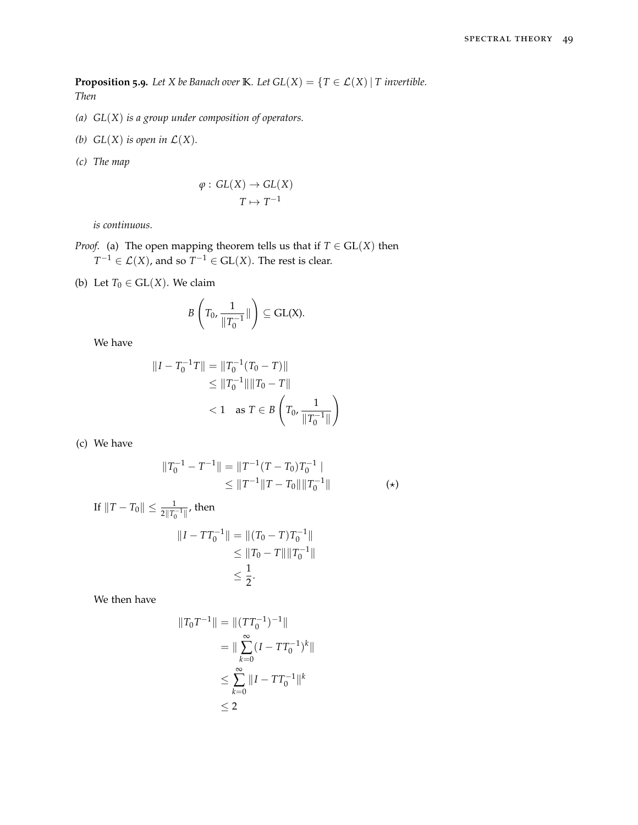**Proposition 5.9.** *Let X be Banach over* **K***. Let*  $GL(X) = \{T \in \mathcal{L}(X) | T \text{ invertible.}\}$ *. Then*

- *(a) GL*(*X*) *is a group under composition of operators.*
- *(b)*  $GL(X)$  *is open in*  $\mathcal{L}(X)$ *.*
- *(c) The map*

$$
\varphi : GL(X) \to GL(X)
$$

$$
T \mapsto T^{-1}
$$

*is continuous.*

*Proof.* (a) The open mapping theorem tells us that if  $T \in GL(X)$  then  $T^{-1} \in \mathcal{L}(X)$ , and so  $T^{-1} \in GL(X)$ . The rest is clear.

(b) Let  $T_0 \in GL(X)$ . We claim

$$
B\left(T_0, \frac{1}{\|T_0^{-1}}\|\right) \subseteq \text{GL}(X).
$$

We have

$$
||I - T_0^{-1}T|| = ||T_0^{-1}(T_0 - T)||
$$
  
\n
$$
\leq ||T_0^{-1}|| ||T_0 - T||
$$
  
\n
$$
< 1 \text{ as } T \in B\left(T_0, \frac{1}{||T_0^{-1}||}\right)
$$

(c) We have

$$
||T_0^{-1} - T^{-1}|| = ||T^{-1}(T - T_0)T_0^{-1}||
$$
  
\n
$$
\le ||T^{-1}||T - T_0|| ||T_0^{-1}||
$$
 (\*)

If 
$$
||T - T_0|| \le \frac{1}{2||T_0^{-1}||}
$$
, then  
\n
$$
||I - TT_0^{-1}|| = ||(T_0 - T)T_0^{-1}||
$$
\n
$$
\le ||T_0 - T|| ||T_0^{-1}||
$$
\n
$$
\le \frac{1}{2}.
$$

We then have

$$
||T_0T^{-1}|| = ||(TT_0^{-1})^{-1}||
$$
  
= 
$$
||\sum_{k=0}^{\infty} (I - TT_0^{-1})^k||
$$
  

$$
\leq \sum_{k=0}^{\infty} ||I - TT_0^{-1}||^k
$$
  

$$
\leq 2
$$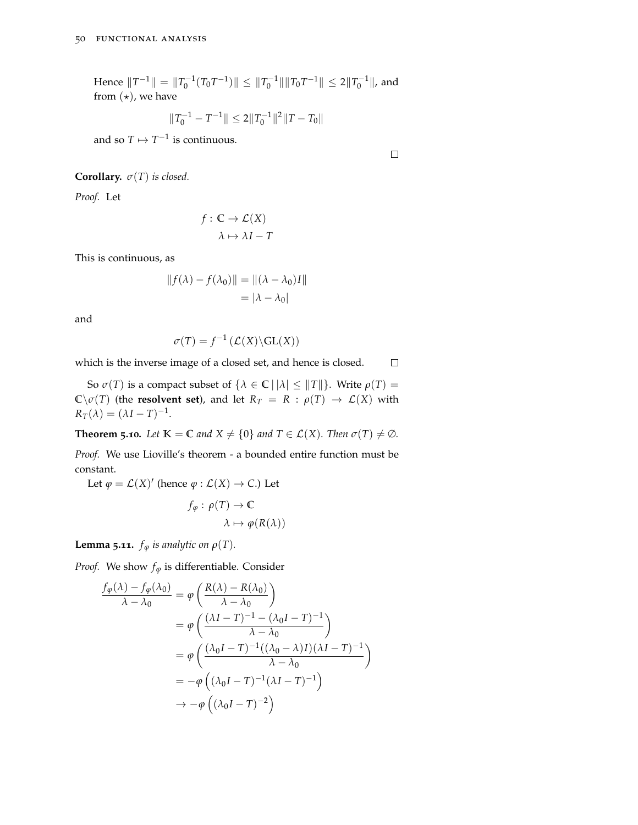Hence  $||T^{-1}|| = ||T_0^{-1}(T_0T^{-1})|| \le ||T_0^{-1}|| ||T_0T^{-1}|| \le 2||T_0^{-1}||$ , and from  $(\star)$ , we have

$$
||T_0^{-1} - T^{-1}|| \le 2||T_0^{-1}||^2||T - T_0||
$$

 $\Box$ 

and so  $T \mapsto T^{-1}$  is continuous.

**Corollary.**  $\sigma(T)$  *is closed.* 

*Proof.* Let

$$
f: \mathbb{C} \to \mathcal{L}(X)
$$

$$
\lambda \mapsto \lambda I - T
$$

This is continuous, as

$$
||f(\lambda) - f(\lambda_0)|| = ||(\lambda - \lambda_0)I||
$$
  
=  $|\lambda - \lambda_0|$ 

and

$$
\sigma(T) = f^{-1}(\mathcal{L}(X) \backslash GL(X))
$$

which is the inverse image of a closed set, and hence is closed.  $\Box$ 

So  $\sigma(T)$  is a compact subset of  $\{\lambda \in \mathbb{C} \mid |\lambda| \leq ||T||\}$ . Write  $\rho(T) =$ **C**\ $\sigma(T)$  (the **resolvent set**), and let  $R_T = R : \rho(T) \to L(X)$  with  $R_T(\lambda) = (\lambda I - T)^{-1}$ .

**Theorem 5.10.** *Let*  $K = C$  *and*  $X \neq \{0\}$  *and*  $T \in \mathcal{L}(X)$ *. Then*  $\sigma(T) \neq \emptyset$ *.* 

*Proof.* We use Lioville's theorem - a bounded entire function must be constant.

Let  $\varphi = \mathcal{L}(X)'$  (hence  $\varphi : \mathcal{L}(X) \to C$ .) Let

$$
f_{\varphi} : \rho(T) \to \mathbb{C}
$$

$$
\lambda \mapsto \varphi(R(\lambda))
$$

**Lemma 5.11.**  $f_{\varphi}$  *is analytic on*  $\rho(T)$ *.* 

*Proof.* We show  $f_{\varphi}$  is differentiable. Consider

$$
\frac{f_{\varphi}(\lambda) - f_{\varphi}(\lambda_0)}{\lambda - \lambda_0} = \varphi \left( \frac{R(\lambda) - R(\lambda_0)}{\lambda - \lambda_0} \right)
$$
  
=  $\varphi \left( \frac{(\lambda I - T)^{-1} - (\lambda_0 I - T)^{-1}}{\lambda - \lambda_0} \right)$   
=  $\varphi \left( \frac{(\lambda_0 I - T)^{-1} ((\lambda_0 - \lambda)I)(\lambda I - T)^{-1}}{\lambda - \lambda_0} \right)$   
=  $-\varphi \left( (\lambda_0 I - T)^{-1} (\lambda I - T)^{-1} \right)$   
 $\to -\varphi \left( (\lambda_0 I - T)^{-2} \right)$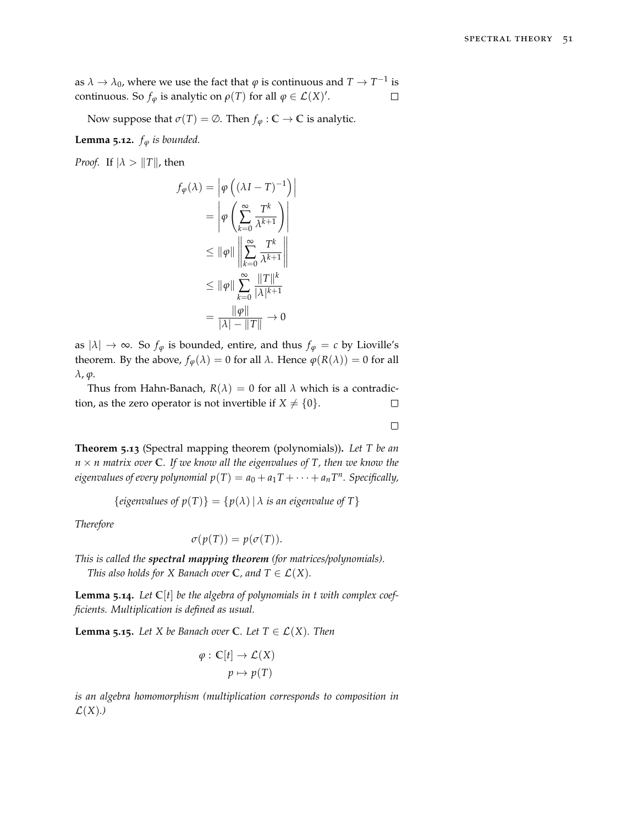as  $\lambda \to \lambda_0$ , where we use the fact that  $\varphi$  is continuous and  $T \to T^{-1}$  is continuous. So  $f_{\varphi}$  is analytic on  $\rho(T)$  for all  $\varphi \in \mathcal{L}(X)^{\prime}$ .  $\Box$ 

Now suppose that  $\sigma(T) = \emptyset$ . Then  $f_{\varphi} : \mathbb{C} \to \mathbb{C}$  is analytic.

**Lemma 5.12.**  $f_{\varphi}$  *is bounded.* 

*Proof.* If  $|\lambda > ||T||$ , then

$$
f_{\varphi}(\lambda) = \left| \varphi \left( (\lambda I - T)^{-1} \right) \right|
$$
  
= 
$$
\left| \varphi \left( \sum_{k=0}^{\infty} \frac{T^k}{\lambda^{k+1}} \right) \right|
$$
  

$$
\leq ||\varphi|| \left\| \sum_{k=0}^{\infty} \frac{T^k}{\lambda^{k+1}} \right\|
$$
  

$$
\leq ||\varphi|| \sum_{k=0}^{\infty} \frac{||T||^k}{|\lambda|^{k+1}}
$$
  
= 
$$
\frac{||\varphi||}{|\lambda| - ||T||} \to 0
$$

as  $|\lambda| \to \infty$ . So  $f_{\varphi}$  is bounded, entire, and thus  $f_{\varphi} = c$  by Lioville's theorem. By the above,  $f_{\varphi}(\lambda) = 0$  for all  $\lambda$ . Hence  $\varphi(R(\lambda)) = 0$  for all *λ*, *ϕ*.

Thus from Hahn-Banach,  $R(\lambda) = 0$  for all  $\lambda$  which is a contradiction, as the zero operator is not invertible if  $X \neq \{0\}$ .  $\Box$ 

 $\Box$ 

**Theorem 5.13** (Spectral mapping theorem (polynomials))**.** *Let T be an*  $n \times n$  matrix over  $C$ *. If we know all the eigenvalues of T, then we know the eigenvalues of every polynomial*  $p(T) = a_0 + a_1T + \cdots + a_nT^n$ . Specifically,

 ${eigenvalues of p(T)} = {p(\lambda) | \lambda is an eigenvalue of T}$ 

*Therefore*

$$
\sigma(p(T)) = p(\sigma(T)).
$$

*This is called the spectral mapping theorem (for matrices/polynomials). This also holds for X Banach over*  $\mathbb{C}$ *, and*  $T \in \mathcal{L}(X)$ *.* 

**Lemma 5.14.** *Let* **C**[*t*] *be the algebra of polynomials in t with complex coefficients. Multiplication is defined as usual.*

**Lemma 5.15.** *Let X be Banach over* **C***. Let*  $T \in \mathcal{L}(X)$ *. Then* 

$$
\varphi : \mathbb{C}[t] \to \mathcal{L}(X)
$$

$$
p \mapsto p(T)
$$

*is an algebra homomorphism (multiplication corresponds to composition in*  $\mathcal{L}(X)$ .)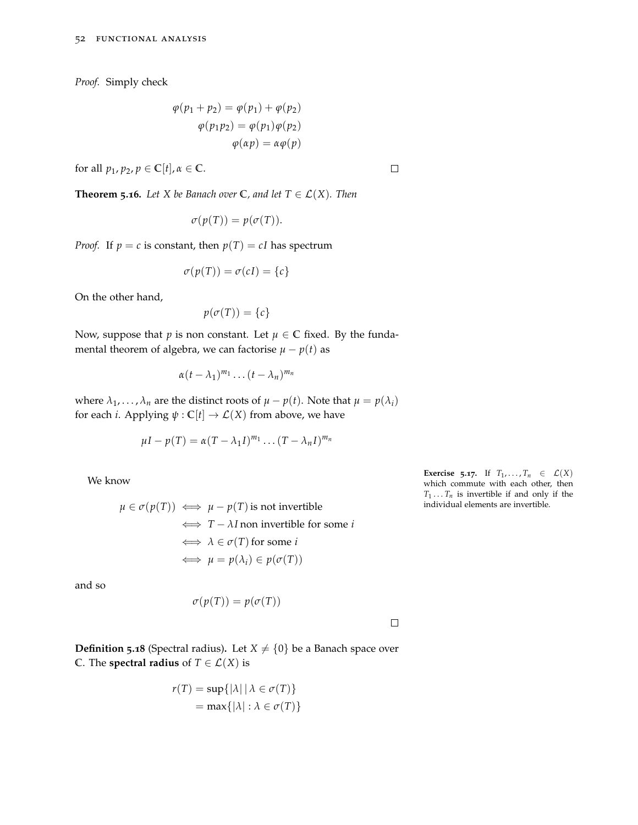*Proof.* Simply check

$$
\varphi(p_1 + p_2) = \varphi(p_1) + \varphi(p_2)
$$

$$
\varphi(p_1 p_2) = \varphi(p_1)\varphi(p_2)
$$

$$
\varphi(\alpha p) = \alpha \varphi(p)
$$

for all  $p_1$ ,  $p_2$ ,  $p \in \mathbb{C}[t]$ ,  $\alpha \in \mathbb{C}$ .

**Theorem 5.16.** *Let X be Banach over*  $\mathbb{C}$ *, and let*  $T \in \mathcal{L}(X)$ *. Then* 

$$
\sigma(p(T)) = p(\sigma(T)).
$$

*Proof.* If  $p = c$  is constant, then  $p(T) = cI$  has spectrum

$$
\sigma(p(T)) = \sigma(cI) = \{c\}
$$

On the other hand,

$$
p(\sigma(T)) = \{c\}
$$

Now, suppose that *p* is non constant. Let  $\mu \in \mathbb{C}$  fixed. By the fundamental theorem of algebra, we can factorise  $\mu - p(t)$  as

$$
\alpha(t-\lambda_1)^{m_1}\dots(t-\lambda_n)^{m_n}
$$

where  $\lambda_1, \ldots, \lambda_n$  are the distinct roots of  $\mu - p(t)$ . Note that  $\mu = p(\lambda_i)$ for each *i*. Applying  $\psi$  :  $\mathbb{C}[t] \to \mathcal{L}(X)$  from above, we have

$$
\mu I - p(T) = \alpha (T - \lambda_1 I)^{m_1} \dots (T - \lambda_n I)^{m_n}
$$

We know

$$
\mu \in \sigma(p(T)) \iff \mu - p(T)
$$
 is not invertible  
\n $\iff T - \lambda I$  non invertible for some *i*  
\n $\iff \lambda \in \sigma(T)$  for some *i*  
\n $\iff \mu = p(\lambda_i) \in p(\sigma(T))$ 

and so

$$
\sigma(p(T)) = p(\sigma(T))
$$

 $\Box$ 

**Definition 5.18** (Spectral radius). Let  $X \neq \{0\}$  be a Banach space over **C**. The **spectral radius** of  $T \in \mathcal{L}(X)$  is

$$
r(T) = \sup\{|\lambda| \mid \lambda \in \sigma(T)\}
$$

$$
= \max\{|\lambda| : \lambda \in \sigma(T)\}
$$

**Exercise 5.17.** If  $T_1, \ldots, T_n \in \mathcal{L}(X)$ which commute with each other, then  $T_1 \ldots T_n$  is invertible if and only if the individual elements are invertible.

 $\Box$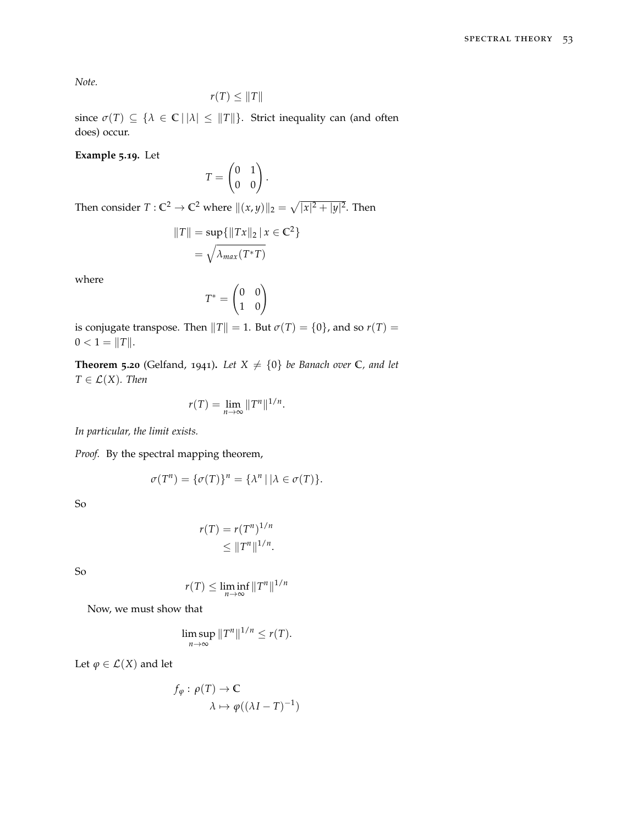*Note.*

$$
r(T) \leq \|T\|
$$

since  $\sigma(T) \subseteq {\lambda \in \mathbb{C} \mid |\lambda| \leq ||T||}.$  Strict inequality can (and often does) occur.

**Example 5.19.** Let

$$
T = \begin{pmatrix} 0 & 1 \\ 0 & 0 \end{pmatrix}.
$$

Then consider  $T: \mathbb{C}^2 \to \mathbb{C}^2$  where  $\|(x, y)\|_2 = \sqrt{|x|^2 + |y|^2}.$  Then

$$
||T|| = \sup\{||Tx||_2 | x \in \mathbb{C}^2\}
$$

$$
= \sqrt{\lambda_{max}(T^*T)}
$$

where

$$
T^* = \begin{pmatrix} 0 & 0 \\ 1 & 0 \end{pmatrix}
$$

is conjugate transpose. Then  $||T|| = 1$ . But  $\sigma(T) = \{0\}$ , and so  $r(T) =$  $0 < 1 = ||T||.$ 

**Theorem 5.20** (Gelfand, 1941). Let  $X \neq \{0\}$  be Banach over  $C$ , and let  $T \in \mathcal{L}(X)$ *. Then* 

$$
r(T) = \lim_{n \to \infty} ||T^n||^{1/n}.
$$

*In particular, the limit exists.*

*Proof.* By the spectral mapping theorem,

$$
\sigma(T^n) = \{\sigma(T)\}^n = \{\lambda^n \mid |\lambda \in \sigma(T)\}.
$$

So

$$
r(T) = r(T^n)^{1/n}
$$
  

$$
\leq ||T^n||^{1/n}.
$$

So

$$
r(T) \le \liminf_{n \to \infty} ||T^n||^{1/n}
$$

Now, we must show that

$$
\limsup_{n\to\infty}||T^n||^{1/n}\leq r(T).
$$

Let  $\varphi \in \mathcal{L}(X)$  and let

$$
f_{\varphi} : \rho(T) \to \mathbb{C}
$$

$$
\lambda \mapsto \varphi((\lambda I - T)^{-1})
$$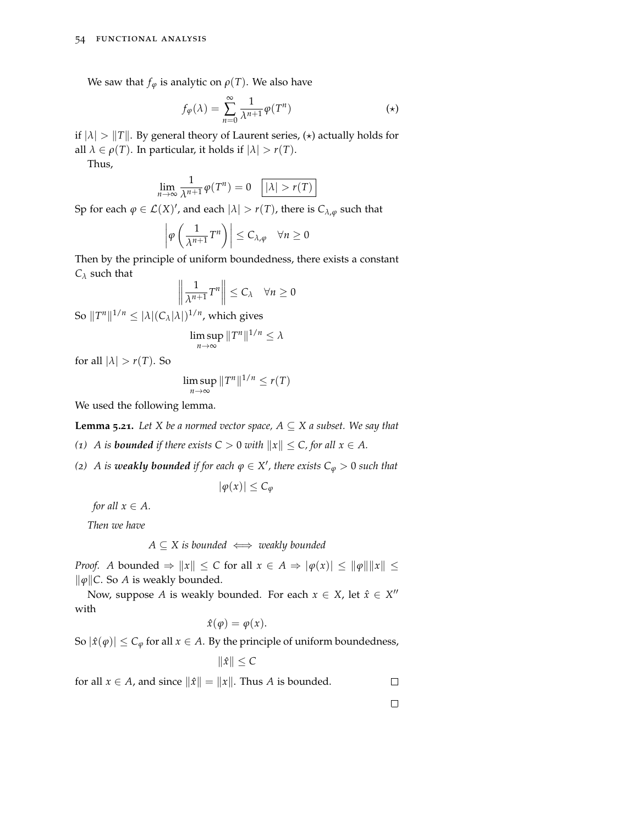We saw that  $f_{\varphi}$  is analytic on  $\rho(T)$ . We also have

$$
f_{\varphi}(\lambda) = \sum_{n=0}^{\infty} \frac{1}{\lambda^{n+1}} \varphi(T^n)
$$
 (\*)

if  $|\lambda| > ||T||$ . By general theory of Laurent series, ( $\star$ ) actually holds for all  $\lambda \in \rho(T)$ . In particular, it holds if  $|\lambda| > r(T)$ .

Thus,

$$
\lim_{n \to \infty} \frac{1}{\lambda^{n+1}} \varphi(T^n) = 0 \quad \boxed{|\lambda| > r(T)}
$$

Sp for each  $\varphi \in \mathcal{L}(X)'$ , and each  $|\lambda| > r(T)$ , there is  $C_{\lambda,\varphi}$  such that

$$
\left|\varphi\left(\frac{1}{\lambda^{n+1}}T^n\right)\right|\leq C_{\lambda,\varphi}\quad\forall n\geq 0
$$

Then by the principle of uniform boundedness, there exists a constant *C<sup>λ</sup>* such that

$$
\left\|\frac{1}{\lambda^{n+1}}T^n\right\| \leq C_{\lambda} \quad \forall n \geq 0
$$

So  $||T^n||^{1/n} \leq |\lambda|(C_{\lambda}|\lambda|)^{1/n}$ , which gives

$$
\limsup_{n\to\infty}||T^n||^{1/n}\leq\lambda
$$

for all  $|\lambda| > r(T)$ . So

$$
\limsup_{n\to\infty}||T^n||^{1/n}\leq r(T)
$$

We used the following lemma.

**Lemma 5.21.** *Let X be a normed vector space,*  $A \subseteq X$  *a subset. We say that* 

*(1) A is bounded if there exists*  $C > 0$  *with*  $||x|| \leq C$ *, for all*  $x \in A$ *.* 

*(2) A is weakly bounded if for each*  $\varphi \in X'$ , there exists  $C_{\varphi} > 0$  such that

 $|φ(x)| ≤ C<sub>φ</sub>$ 

*for all*  $x \in A$ *.* 

*Then we have*

 $A \subseteq X$  *is bounded*  $\iff$  *weakly bounded* 

*Proof. A* bounded  $\Rightarrow$   $||x|| \le C$  for all  $x \in A \Rightarrow |\varphi(x)| \le ||\varphi|| ||x|| \le$  $\|\varphi\|$ *C*. So *A* is weakly bounded.

Now, suppose *A* is weakly bounded. For each  $x \in X$ , let  $\hat{x} \in X''$ with

$$
\hat{x}(\varphi) = \varphi(x).
$$

So  $|\hat{x}(\varphi)| \leq C_{\varphi}$  for all  $x \in A$ . By the principle of uniform boundedness,

 $\|\hat{x}\| \leq C$ 

for all  $x \in A$ , and since  $\|\hat{x}\| = \|x\|$ . Thus *A* is bounded.

 $\Box$ 

 $\Box$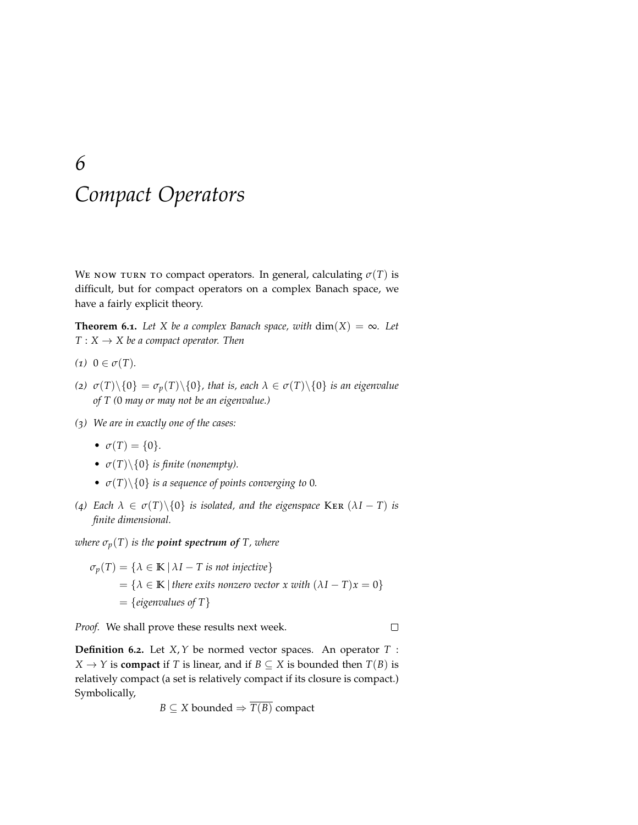# *6 Compact Operators*

We now turn to compact operators. In general, calculating  $\sigma(T)$  is difficult, but for compact operators on a complex Banach space, we have a fairly explicit theory.

**Theorem 6.1.** *Let X be a complex Banach space, with*  $dim(X) = \infty$ *. Let*  $T: X \rightarrow X$  *be a compact operator. Then* 

- $(1)$   $0 \in \sigma(T)$ *.*
- (*z*)  $\sigma(T)\setminus\{0\} = \sigma_p(T)\setminus\{0\}$ , that is, each  $\lambda \in \sigma(T)\setminus\{0\}$  *is an eigenvalue of T (*0 *may or may not be an eigenvalue.)*
- *(3) We are in exactly one of the cases:*
	- $\sigma(T) = \{0\}.$
	- $\sigma(T) \setminus \{0\}$  *is finite (nonempty).*
	- $\sigma(T)\setminus\{0\}$  *is a sequence of points converging to* 0*.*
- *(*<sup>*4*</sup>) *Each*  $\lambda \in \sigma(T) \setminus \{0\}$  *is isolated, and the eigenspace* KER ( $\lambda I T$ ) *is finite dimensional.*

*where*  $\sigma_p(T)$  *is the point spectrum of T, where* 

$$
\sigma_p(T) = \{ \lambda \in \mathbb{K} \mid \lambda I - T \text{ is not injective} \}
$$
  
=  $\{ \lambda \in \mathbb{K} \mid \text{there exists nonzero vector } x \text{ with } (\lambda I - T)x = 0 \}$   
= {eigenvalues of T}

*Proof.* We shall prove these results next week.

 $\Box$ 

**Definition 6.2.** Let *X*,*Y* be normed vector spaces. An operator *T* : *X*  $\rightarrow$  *Y* is **compact** if *T* is linear, and if *B*  $\subseteq$  *X* is bounded then *T*(*B*) is relatively compact (a set is relatively compact if its closure is compact.) Symbolically,

$$
B \subseteq X
$$
 bounded  $\Rightarrow$   $T(B)$  compact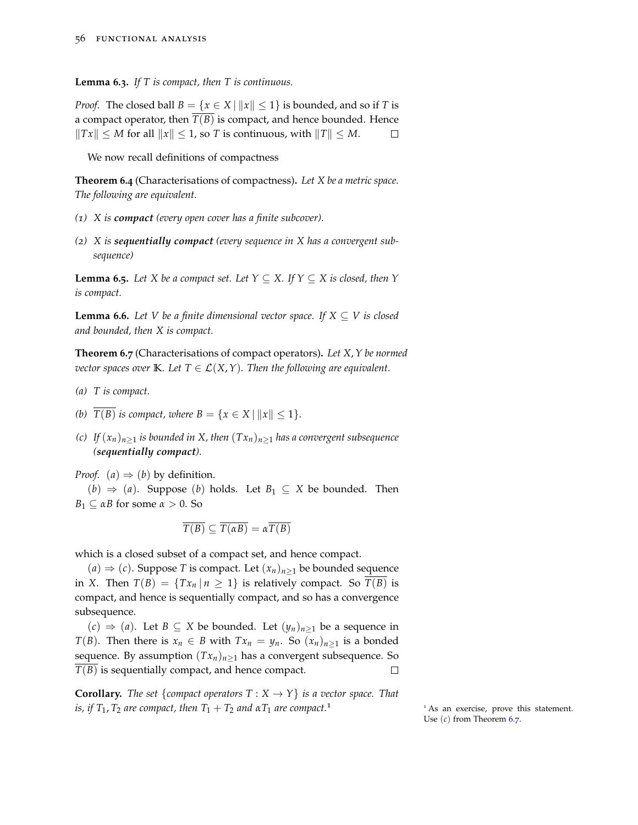**Lemma 6.3.** *If T is compact, then T is continuous.*

*Proof.* The closed ball  $B = \{x \in X \mid ||x|| \le 1\}$  is bounded, and so if *T* is a compact operator, then  $\overline{T(B)}$  is compact, and hence bounded. Hence  $\|Tx\| \le M$  for all  $\|x\| \le 1$ , so *T* is continuous, with  $\|T\| \le M$ .  $\Box$ 

We now recall definitions of compactness

**Theorem 6.4** (Characterisations of compactness)**.** *Let X be a metric space. The following are equivalent.*

- *(1) X is compact (every open cover has a finite subcover).*
- *(2) X is sequentially compact (every sequence in X has a convergent subsequence)*

**Lemma 6.5.** *Let X be a compact set. Let*  $Y \subseteq X$ *. If*  $Y \subseteq X$  *is closed, then*  $Y$ *is compact.*

**Lemma 6.6.** *Let V be a finite dimensional vector space. If*  $X \subseteq V$  *is closed and bounded, then X is compact.*

<span id="page-55-0"></span>**Theorem 6.7** (Characterisations of compact operators)**.** *Let X*,*Y be normed vector spaces over* **K***. Let*  $T \in \mathcal{L}(X, Y)$ *. Then the following are equivalent.* 

- *(a) T is compact.*
- *(b)*  $\overline{T(B)}$  *is compact, where*  $B = \{x \in X \mid ||x|| \le 1\}.$
- *(c) If*  $(x_n)_{n>1}$  *is bounded in X, then*  $(Tx_n)_{n>1}$  *has a convergent subsequence (sequentially compact).*

*Proof.* (*a*)  $\Rightarrow$  (*b*) by definition.

(*b*) ⇒ (*a*). Suppose (*b*) holds. Let *B*<sup>1</sup> ⊆ *X* be bounded. Then  $B_1 \subseteq \alpha B$  for some  $\alpha > 0$ . So

$$
\overline{T(B)} \subseteq \overline{T(\alpha B)} = \alpha \overline{T(B)}
$$

which is a closed subset of a compact set, and hence compact.

 $(a)$  ⇒  $(c)$ . Suppose *T* is compact. Let  $(x_n)_{n>1}$  be bounded sequence in *X*. Then  $T(B) = {Tx_n | n \ge 1}$  is relatively compact. So  $T(B)$  is compact, and hence is sequentially compact, and so has a convergence subsequence.

(*c*) ⇒ (*a*). Let *B* ⊆ *X* be bounded. Let (*yn*)*n*≥<sup>1</sup> be a sequence in *T*(*B*). Then there is  $x_n \in B$  with  $Tx_n = y_n$ . So  $(x_n)_{n \geq 1}$  is a bonded sequence. By assumption  $(Tx_n)_{n>1}$  has a convergent subsequence. So  $\overline{T(B)}$  is sequentially compact, and hence compact.  $\Box$ 

**Corollary.** *The set* {*compact operators*  $T : X \rightarrow Y$ } *is a vector space. That is, if*  $T_1$ ,  $T_2$  *are compact, then*  $T_1 + T_2$  *and*  $\alpha T_1$  *are compact.*<sup>1</sup>  $\cdots$  1 As an exercise, prove this statement.

Use (*c*) from Theorem [6](#page-55-0).7.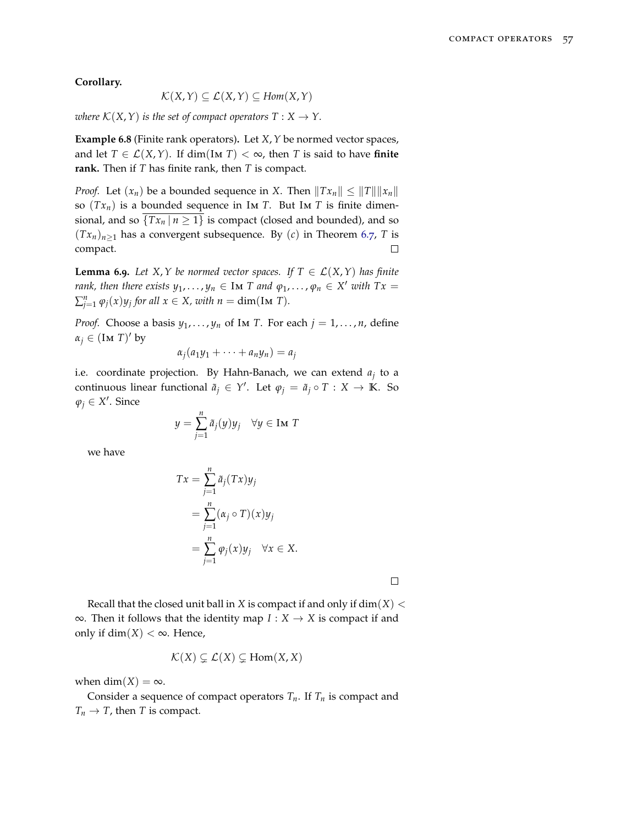**Corollary.**

$$
\mathcal{K}(X,Y) \subseteq \mathcal{L}(X,Y) \subseteq Hom(X,Y)
$$

*where*  $\mathcal{K}(X, Y)$  *is the set of compact operators*  $T : X \to Y$ .

**Example 6.8** (Finite rank operators)**.** Let *X*,*Y* be normed vector spaces, and let  $T \in \mathcal{L}(X, Y)$ . If dim(IM *T*) <  $\infty$ , then *T* is said to have **finite rank.** Then if *T* has finite rank, then *T* is compact.

*Proof.* Let  $(x_n)$  be a bounded sequence in *X*. Then  $||Tx_n|| \le ||T|| ||x_n||$ so  $(Tx_n)$  is a bounded sequence in Im *T*. But Im *T* is finite dimensional, and so  $\{Tx_n | n \geq 1\}$  is compact (closed and bounded), and so  $(Tx_n)_{n>1}$  has a convergent subsequence. By  $(c)$  in Theorem [6](#page-55-0).7, *T* is compact.  $\Box$ 

**Lemma 6.9.** Let X, Y be normed vector spaces. If  $T \in \mathcal{L}(X, Y)$  has finite *rank, then there exists*  $y_1, \ldots, y_n \in$  Im *T* and  $\varphi_1, \ldots, \varphi_n \in X'$  with  $Tx =$  $\sum_{j=1}^{n} \varphi_j(x) y_j$  for all  $x \in X$ , with  $n = \dim(\text{Im } T)$ .

*Proof.* Choose a basis  $y_1, \ldots, y_n$  of Im *T*. For each  $j = 1, \ldots, n$ , define  $\alpha_j \in (\text{Im } T)'$  by

$$
\alpha_j(a_1y_1+\cdots+a_ny_n)=a_j
$$

i.e. coordinate projection. By Hahn-Banach, we can extend *a<sup>j</sup>* to a continuous linear functional  $\tilde{a}_j \in Y'$ . Let  $\varphi_j = \tilde{a}_j \circ T : X \to \mathbb{K}$ . So  $\varphi_j \in X'$ . Since

$$
y = \sum_{j=1}^{n} \tilde{a}_j(y)y_j \quad \forall y \in \text{Im } T
$$

we have

$$
Tx = \sum_{j=1}^{n} \tilde{a}_j(Tx)y_j
$$
  
= 
$$
\sum_{j=1}^{n} (\alpha_j \circ T)(x)y_j
$$
  
= 
$$
\sum_{j=1}^{n} \varphi_j(x)y_j \quad \forall x \in X.
$$

 $\Box$ 

Recall that the closed unit ball in *X* is compact if and only if  $dim(X) <$ ∞. Then it follows that the identity map *I* : *X* → *X* is compact if and only if dim( $X$ ) < ∞. Hence,

$$
\mathcal{K}(X) \subsetneq \mathcal{L}(X) \subsetneq \text{Hom}(X, X)
$$

when dim( $X$ ) =  $\infty$ .

Consider a sequence of compact operators  $T_n$ . If  $T_n$  is compact and  $T_n \to T$ , then *T* is compact.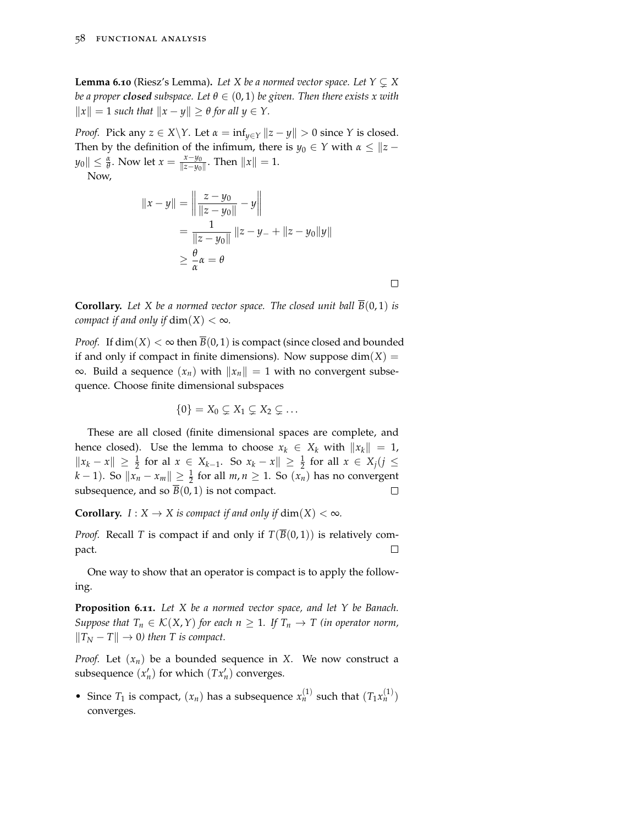**Lemma 6.10** (Riesz's Lemma). Let X be a normed vector space. Let  $Y \subseteq X$ *be a proper closed subspace. Let*  $\theta \in (0,1)$  *be given. Then there exists x with*  $||x|| = 1$  *such that*  $||x - y|| \ge \theta$  *for all*  $y \in Y$ .

*Proof.* Pick any  $z \in X \ Y$ . Let  $\alpha = \inf_{y \in Y} ||z - y|| > 0$  since *Y* is closed. Then by the definition of the infimum, there is  $y_0 \in Y$  with  $\alpha \leq ||z - \alpha||$  $||y_0|| \leq \frac{\alpha}{\theta}$ . Now let  $x = \frac{x - y_0}{||z - y_0||}$  $\frac{x-y_0}{\|z-y_0\|}$ . Then  $\|x\|=1$ .

Now,

$$
||x - y|| = \left\| \frac{z - y_0}{||z - y_0||} - y \right\|
$$
  
= 
$$
\frac{1}{||z - y_0||} ||z - y_0|| + ||z - y_0||y||
$$
  

$$
\geq \frac{\theta}{\alpha} \alpha = \theta
$$

**Corollary.** Let X be a normed vector space. The closed unit ball  $\overline{B}(0,1)$  is *compact if and only if*  $dim(X) < \infty$ *.* 

 $\Box$ 

*Proof.* If  $dim(X) < \infty$  then  $\overline{B}(0,1)$  is compact (since closed and bounded if and only if compact in finite dimensions). Now suppose  $dim(X)$  = ∞. Build a sequence  $(x_n)$  with  $||x_n|| = 1$  with no convergent subsequence. Choose finite dimensional subspaces

$$
\{0\}=X_0\subsetneq X_1\subsetneq X_2\subsetneq\ldots
$$

These are all closed (finite dimensional spaces are complete, and hence closed). Use the lemma to choose  $x_k \in X_k$  with  $||x_k|| = 1$ ,  $||x_k - x||$  ≥  $\frac{1}{2}$  for all  $x \in X_{k-1}$ . So  $x_k - x||$  ≥  $\frac{1}{2}$  for all  $x \in X_j$  (*j* ≤ *k* − 1). So  $||x_n - x_m||$  ≥  $\frac{1}{2}$  for all  $m, n \ge 1$ . So  $(x_n)$  has no convergent subsequence, and so  $\overline{B}(0, 1)$  is not compact.  $\Box$ 

**Corollary.**  $I: X \to X$  is compact if and only if  $\dim(X) < \infty$ .

*Proof.* Recall *T* is compact if and only if  $T(\overline{B}(0,1))$  is relatively com- $\Box$ pact.

One way to show that an operator is compact is to apply the following.

**Proposition 6.11.** *Let X be a normed vector space, and let Y be Banach. Suppose that*  $T_n \in K(X, Y)$  *for each*  $n \geq 1$ *. If*  $T_n \to T$  *(in operator norm,*  $||T_N - T|| \to 0$  then T is compact.

*Proof.* Let (*xn*) be a bounded sequence in *X*. We now construct a subsequence  $(x'_n)$  for which  $(Tx'_n)$  converges.

• Since  $T_1$  is compact,  $(x_n)$  has a subsequence  $x_n^{(1)}$  such that  $(T_1x_n^{(1)})$ converges.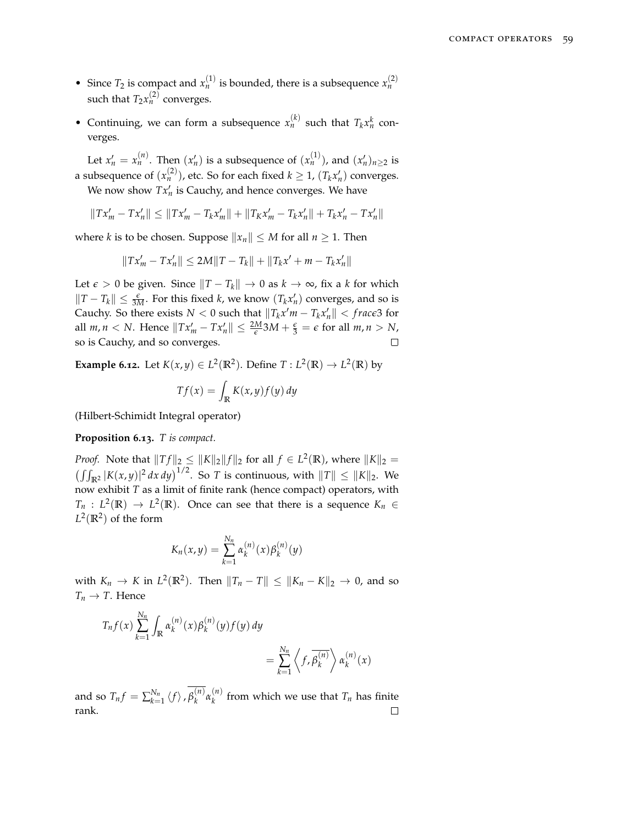- Since  $T_2$  is compact and  $x_n^{(1)}$  is bounded, there is a subsequence  $x_n^{(2)}$ such that  $T_2 x_n^{(2)}$  converges.
- Continuing, we can form a subsequence  $x_n^{(k)}$  such that  $T_k x_n^k$  converges.

Let  $x'_n = x_n^{(n)}$ . Then  $(x'_n)$  is a subsequence of  $(x_n^{(1)})$ , and  $(x'_n)_{n \geq 2}$  is a subsequence of  $(x_n^{(2)})$ , etc. So for each fixed  $k \geq 1$ ,  $(T_k x_n')$  converges.

We now show  $Tx'_n$  is Cauchy, and hence converges. We have

$$
||Tx'_m - Tx'_n|| \le ||Tx'_m - T_kx'_m|| + ||T_Kx'_m - T_kx'_n|| + T_kx'_n - Tx'_n||
$$

where *k* is to be chosen. Suppose  $||x_n|| \le M$  for all  $n \ge 1$ . Then

$$
||Tx'_m - Tx'_n|| \le 2M||T - T_k|| + ||T_kx' + m - T_kx'_n||
$$

Let  $\epsilon$  > 0 be given. Since  $||T - T_k||$  → 0 as  $k \to \infty$ , fix a *k* for which  $||T - T_k||$  ≤  $\frac{\varepsilon}{3M}$ . For this fixed *k*, we know ( $T_k x'_n$ ) converges, and so is Cauchy. So there exists  $N < 0$  such that  $||T_k x'm - T_k x'_n|| < frac{\epsilon}3$  for all  $m, n < N$ . Hence  $\|Tx_m' - Tx_n'\| \le \frac{2M}{\epsilon}3M + \frac{\epsilon}{3} = \epsilon$  for all  $m, n > N$ , so is Cauchy, and so converges.

**Example 6.12.** Let  $K(x, y) \in L^2(\mathbb{R}^2)$ . Define  $T: L^2(\mathbb{R}) \to L^2(\mathbb{R})$  by

$$
Tf(x) = \int_{\mathbb{R}} K(x, y) f(y) \, dy
$$

(Hilbert-Schimidt Integral operator)

**Proposition 6.13.** *T is compact.*

*Proof.* Note that  $||Tf||_2 \le ||K||_2||f||_2$  for all  $f \in L^2(\mathbb{R})$ , where  $||K||_2 =$  $\left(\iint_{\mathbb{R}^2} |K(x,y)|^2 dx dy\right)^{1/2}$ . So *T* is continuous, with  $||T|| \le ||K||_2$ . We now exhibit *T* as a limit of finite rank (hence compact) operators, with  $T_n$  :  $L^2(\mathbb{R}) \to L^2(\mathbb{R})$ . Once can see that there is a sequence  $K_n \in$  $L^2(\mathbb{R}^2)$  of the form

$$
K_n(x,y) = \sum_{k=1}^{N_n} \alpha_k^{(n)}(x) \beta_k^{(n)}(y)
$$

with  $K_n \to K$  in  $L^2(\mathbb{R}^2)$ . Then  $||T_n - T|| \le ||K_n - K||_2 \to 0$ , and so  $T_n \rightarrow T$ . Hence

$$
T_n f(x) \sum_{k=1}^{N_n} \int_{\mathbb{R}} \alpha_k^{(n)}(x) \beta_k^{(n)}(y) f(y) dy = \sum_{k=1}^{N_n} \left\langle f, \overline{\beta_k^{(n)}} \right\rangle \alpha_k^{(n)}(x)
$$

and so  $T_n f = \sum_{k=1}^{N_n} \langle f \rangle$  ,  $\beta_k^{(n)}$ *k α* (*n*)  $\binom{n}{k}$  from which we use that  $T_n$  has finite rank. $\Box$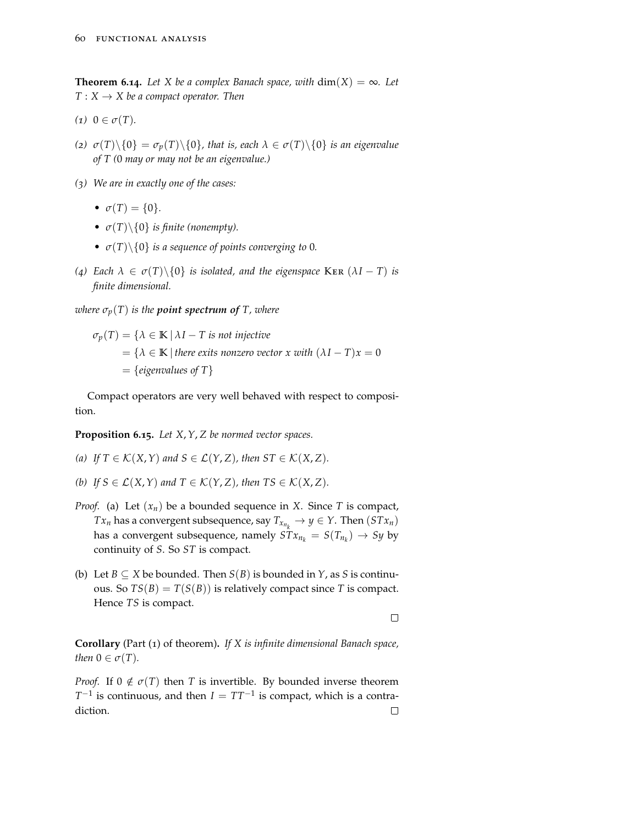**Theorem 6.14.** *Let X be a complex Banach space, with*  $dim(X) = \infty$ *. Let*  $T: X \rightarrow X$  be a compact operator. Then

- $(1)$   $0 \in \sigma(T)$ *.*
- (*z*)  $\sigma(T)\setminus\{0\} = \sigma_p(T)\setminus\{0\}$ , that is, each  $\lambda \in \sigma(T)\setminus\{0\}$  is an eigenvalue *of T (*0 *may or may not be an eigenvalue.)*
- *(3) We are in exactly one of the cases:*
	- $\sigma(T) = \{0\}.$
	- $\sigma(T) \setminus \{0\}$  *is finite (nonempty).*
	- $\sigma(T) \setminus \{0\}$  *is a sequence of points converging to* 0*.*
- *(4) Each λ* ∈ *σ*(*T*)\{0} *is isolated, and the eigenspace* Ker (*λI* − *T*) *is finite dimensional.*

*where*  $\sigma_p(T)$  *is the point spectrum of T, where* 

 $\sigma_p(T) = \{\lambda \in \mathbb{K} \mid \lambda I - T \text{ is not injective}\}$  $= {\lambda \in \mathbb{K} \mid \text{there exists nonzero vector } x \text{ with } (\lambda I - T)x = 0}$  $=$  {*eigenvalues of T*}

Compact operators are very well behaved with respect to composition.

**Proposition 6.15.** *Let X*,*Y*, *Z be normed vector spaces.*

- *(a) If*  $T \in \mathcal{K}(X, Y)$  *and*  $S \in \mathcal{L}(Y, Z)$ *, then*  $ST \in \mathcal{K}(X, Z)$ *.*
- *(b) If*  $S \in \mathcal{L}(X, Y)$  *and*  $T \in \mathcal{K}(Y, Z)$ *, then*  $TS \in \mathcal{K}(X, Z)$ *.*
- *Proof.* (a) Let (*xn*) be a bounded sequence in *X*. Since *T* is compact, *Tx*<sup>*n*</sup> has a convergent subsequence, say  $T_{x_{n_k}} \to y \in Y$ . Then  $(STx_n)$ has a convergent subsequence, namely  $STx_{n_k} = S(T_{n_k}) \rightarrow Sy$  by continuity of *S*. So *ST* is compact.
- (b) Let  $B \subseteq X$  be bounded. Then  $S(B)$  is bounded in  $Y$ , as  $S$  is continuous. So  $TS(B) = T(S(B))$  is relatively compact since *T* is compact. Hence *TS* is compact.

 $\Box$ 

**Corollary** (Part (1) of theorem)**.** *If X is infinite dimensional Banach space, then*  $0 \in \sigma(T)$ *.* 

*Proof.* If  $0 \notin \sigma(T)$  then *T* is invertible. By bounded inverse theorem  $T^{-1}$  is continuous, and then  $I = TT^{-1}$  is compact, which is a contradiction. $\Box$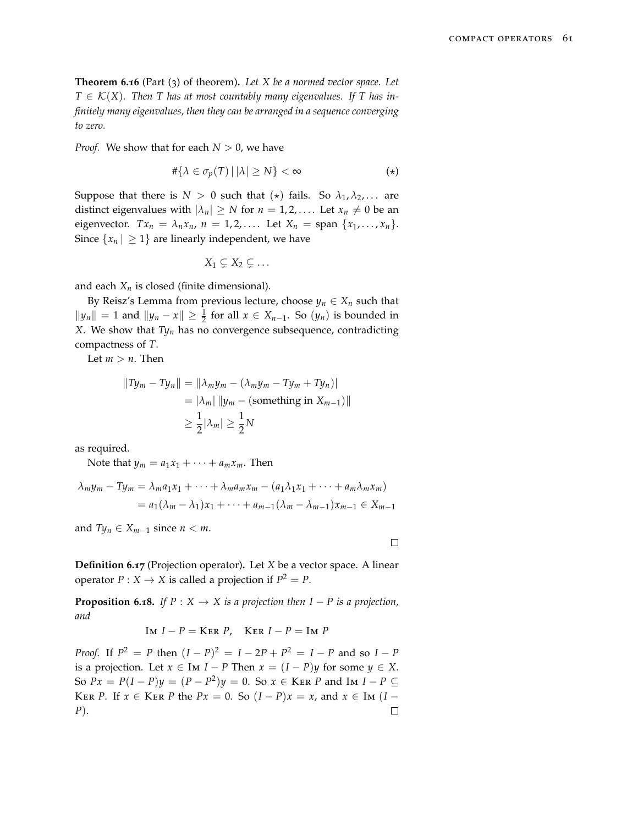**Theorem 6.16** (Part (3) of theorem)**.** *Let X be a normed vector space. Let*  $T \in \mathcal{K}(X)$ . Then T has at most countably many eigenvalues. If T has in*finitely many eigenvalues, then they can be arranged in a sequence converging to zero.*

*Proof.* We show that for each  $N > 0$ , we have

$$
\#\{\lambda \in \sigma_p(T) \,|\, |\lambda| \ge N\} < \infty \tag{\star}
$$

Suppose that there is  $N > 0$  such that  $(\star)$  fails. So  $\lambda_1, \lambda_2, \ldots$  are distinct eigenvalues with  $|\lambda_n| \geq N$  for  $n = 1, 2, \ldots$ . Let  $x_n \neq 0$  be an eigenvector.  $Tx_n = \lambda_n x_n$ ,  $n = 1, 2, \ldots$ . Let  $X_n = \text{span } \{x_1, \ldots, x_n\}.$ Since  $\{x_n | \geq 1\}$  are linearly independent, we have

$$
X_1 \subsetneq X_2 \subsetneq \ldots
$$

and each  $X_n$  is closed (finite dimensional).

By Reisz's Lemma from previous lecture, choose  $y_n \in X_n$  such that *k*<sub>*y*</sub><sup>*n*</sup>  $||y_n|| = 1$  and  $||y_n - x|| ≥ \frac{1}{2}$  for all  $x ∈ X_{n-1}$ . So  $(y_n)$  is bounded in *X*. We show that *Ty<sup>n</sup>* has no convergence subsequence, contradicting compactness of *T*.

Let  $m > n$ . Then

$$
||Ty_m - Ty_n|| = ||\lambda_m y_m - (\lambda_m y_m - Ty_m + Ty_n)|
$$
  
=  $|\lambda_m| ||y_m - \text{(something in } X_{m-1})||$   
 $\ge \frac{1}{2} |\lambda_m| \ge \frac{1}{2} N$ 

as required.

Note that  $y_m = a_1x_1 + \cdots + a_mx_m$ . Then

$$
\lambda_m y_m - T y_m = \lambda_m a_1 x_1 + \dots + \lambda_m a_m x_m - (a_1 \lambda_1 x_1 + \dots + a_m \lambda_m x_m)
$$
  
=  $a_1 (\lambda_m - \lambda_1) x_1 + \dots + a_{m-1} (\lambda_m - \lambda_{m-1}) x_{m-1} \in X_{m-1}$ 

and  $Ty_n \in X_{m-1}$  since  $n < m$ .

$$
\Box
$$

**Definition 6.17** (Projection operator)**.** Let *X* be a vector space. A linear operator  $P: X \to X$  is called a projection if  $P^2 = P$ .

**Proposition 6.18.** *If*  $P: X \to X$  *is a projection then*  $I - P$  *is a projection, and*

$$
Im I - P = Ker P, \quad Ker I - P = Im P
$$

*Proof.* If  $P^2 = P$  then  $(I - P)^2 = I - 2P + P^2 = I - P$  and so  $I - P$ is a projection. Let  $x \in \text{Im } I - P$  Then  $x = (I - P)y$  for some  $y \in X$ . So  $Px = P(I - P)y = (P - P^2)y = 0$ . So  $x \in$  KER *P* and Im *I* − *P* ⊆ KER *P*. If  $x \in$  KER *P* the  $Px = 0$ . So  $(I - P)x = x$ , and  $x \in$  Im  $(I - P)x = x$ *P*). $\Box$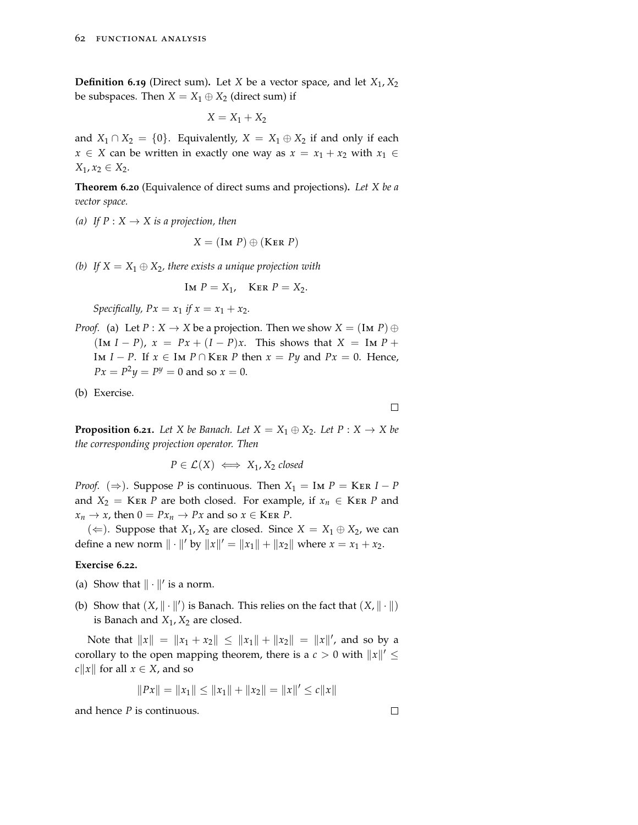**Definition 6.19** (Direct sum). Let *X* be a vector space, and let  $X_1, X_2$ be subspaces. Then  $X = X_1 \oplus X_2$  (direct sum) if

$$
X = X_1 + X_2
$$

and *X*<sub>1</sub> ∩ *X*<sub>2</sub> = {0}. Equivalently, *X* = *X*<sub>1</sub> ⊕ *X*<sub>2</sub> if and only if each *x* ∈ *X* can be written in exactly one way as  $x = x_1 + x_2$  with  $x_1$  ∈ *X*<sub>1</sub>, *x*<sub>2</sub> ∈ *X*<sub>2</sub>.

**Theorem 6.20** (Equivalence of direct sums and projections)**.** *Let X be a vector space.*

*(a)* If  $P: X \to X$  *is a projection, then* 

$$
X = (\text{Im } P) \oplus (\text{Ker } P)
$$

*(b)* If  $X = X_1 \oplus X_2$ , there exists a unique projection with

$$
Im P = X_1, \quad Ker P = X_2.
$$

*Specifically,*  $Px = x_1$  *if*  $x = x_1 + x_2$ .

*Proof.* (a) Let  $P: X \to X$  be a projection. Then we show  $X = (\text{Im } P) \oplus P$  $(\text{Im } I - P)$ ,  $x = Px + (I - P)x$ . This shows that  $X = \text{Im } P + P$ Im *I* − *P*. If  $x \in$  Im *P* ∩ KER *P* then  $x = Py$  and  $Px = 0$ . Hence,  $Px = P^2y = P^y = 0$  and so  $x = 0$ .

(b) Exercise.

 $\Box$ 

**Proposition 6.21.** Let *X* be Banach. Let  $X = X_1 \oplus X_2$ . Let  $P : X \rightarrow X$  be *the corresponding projection operator. Then*

 $P \in \mathcal{L}(X) \iff X_1, X_2$  *closed* 

*Proof.* ( $\Rightarrow$ ). Suppose *P* is continuous. Then  $X_1 = \text{Im } P = \text{Ker } I - P$ and *X*<sub>2</sub> = KER *P* are both closed. For example, if  $x_n \in$  KER *P* and  $x_n \to x$ , then  $0 = Px_n \to Px$  and so  $x \in \text{Ker } P$ .

(←). Suppose that *X*<sub>1</sub>, *X*<sub>2</sub> are closed. Since *X* = *X*<sub>1</sub> ⊕ *X*<sub>2</sub>, we can define a new norm  $\| \cdot \|'$  by  $\|x\|' = \|x_1\| + \|x_2\|$  where  $x = x_1 + x_2$ .

#### **Exercise 6.22.**

- (a) Show that  $\|\cdot\|'$  is a norm.
- (b) Show that  $(X, \|\cdot\|')$  is Banach. This relies on the fact that  $(X, \|\cdot\|)$ is Banach and  $X_1$ ,  $X_2$  are closed.

Note that  $||x|| = ||x_1 + x_2|| \le ||x_1|| + ||x_2|| = ||x||'$ , and so by a corollary to the open mapping theorem, there is a  $c > 0$  with  $||x||' \leq$ *c* $||x||$  for all  $x \in X$ , and so

$$
||Px|| = ||x_1|| \le ||x_1|| + ||x_2|| = ||x||' \le c||x||
$$

and hence *P* is continuous.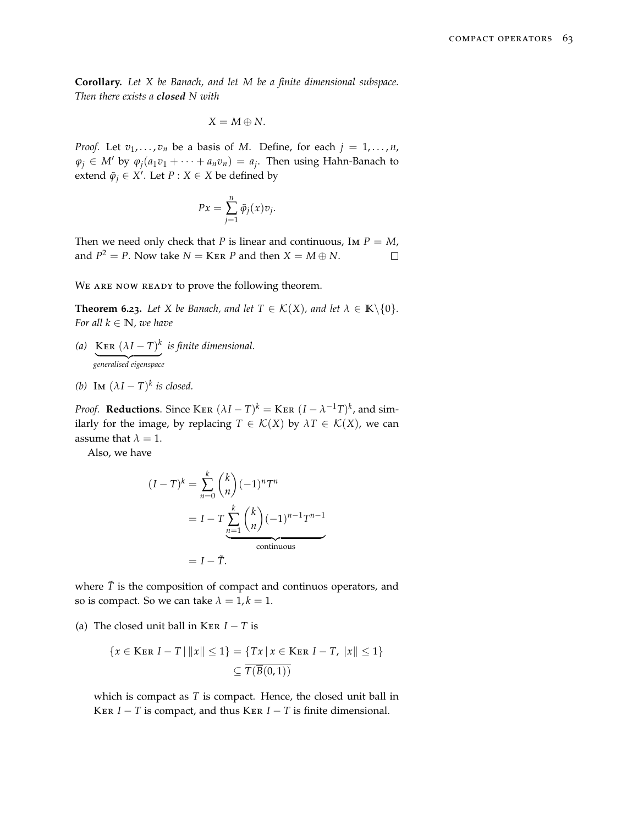**Corollary.** *Let X be Banach, and let M be a finite dimensional subspace. Then there exists a closed N with*

$$
X=M\oplus N.
$$

*Proof.* Let  $v_1, \ldots, v_n$  be a basis of *M*. Define, for each  $j = 1, \ldots, n$ ,  $\varphi_j \in M'$  by  $\varphi_j(a_1v_1 + \cdots + a_nv_n) = a_j$ . Then using Hahn-Banach to extend  $\tilde{\varphi}_j \in X'$ . Let  $P : X \in X$  be defined by

$$
Px = \sum_{j=1}^{n} \tilde{\varphi}_j(x)v_j.
$$

Then we need only check that *P* is linear and continuous, Im  $P = M$ , and  $P^2 = P$ . Now take  $N =$  KER  $P$  and then  $X = M \oplus N$ .  $\Box$ 

WE ARE NOW READY to prove the following theorem.

**Theorem 6.23.** *Let X be Banach, and let*  $T \in \mathcal{K}(X)$ *, and let*  $\lambda \in \mathbb{K} \setminus \{0\}$ *. For all*  $k \in \mathbb{N}$ *, we have* 

- *(a)* KER  $(\lambda I T)^k$ | {z } *generalised eigenspace is finite dimensional.*
- *(b)* Im  $(\lambda I T)^k$  *is closed.*

*Proof.* **Reductions**. Since KER  $(\lambda I - T)^k =$  KER  $(I - \lambda^{-1}T)^k$ , and similarly for the image, by replacing  $T \in \mathcal{K}(X)$  by  $\lambda T \in \mathcal{K}(X)$ , we can assume that  $\lambda = 1$ .

Also, we have

$$
(I - T)^k = \sum_{n=0}^k {k \choose n} (-1)^n T^n
$$

$$
= I - T \sum_{n=1}^k {k \choose n} (-1)^{n-1} T^{n-1}
$$
continuous
$$
= I - \tilde{T}.
$$

where  $\tilde{T}$  is the composition of compact and continuos operators, and so is compact. So we can take  $\lambda = 1, k = 1$ .

(a) The closed unit ball in KER  $I - T$  is

{
$$
x \in
$$
KER  $I - T | ||x|| \le 1$ } = { $Tx | x \in$ KER  $I - T, |x|| \le 1$ }  
 $\subseteq \overline{T(B(0,1))}$ 

which is compact as *T* is compact. Hence, the closed unit ball in KER  $I - T$  is compact, and thus KER  $I - T$  is finite dimensional.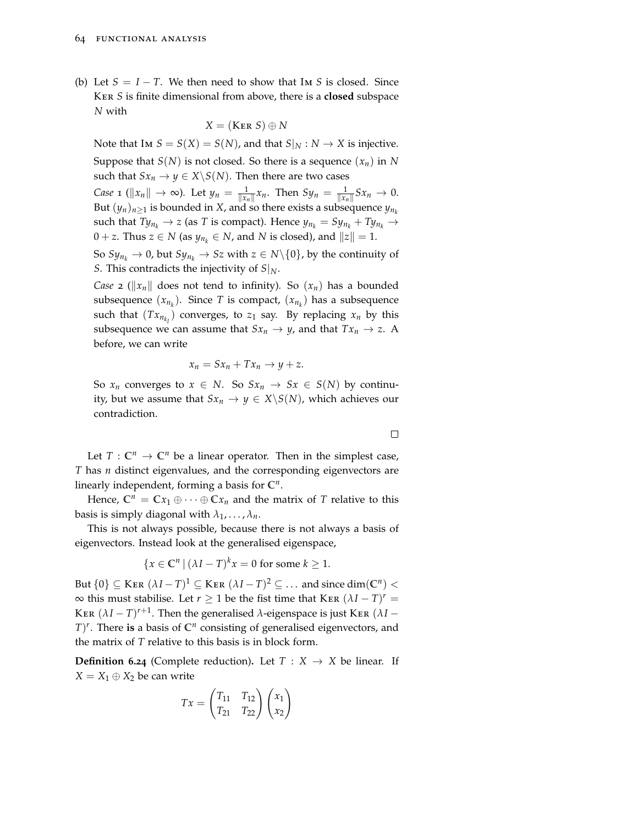(b) Let  $S = I - T$ . We then need to show that Im *S* is closed. Since Ker *S* is finite dimensional from above, there is a **closed** subspace *N* with

$$
X = (\text{Ker } S) \oplus N
$$

Note that Im  $S = S(X) = S(N)$ , and that  $S|_N : N \to X$  is injective. Suppose that  $S(N)$  is not closed. So there is a sequence  $(x_n)$  in N such that  $Sx_n \to y \in X \backslash S(N)$ . Then there are two cases *Case* 1 ( $\|x_n\| \to \infty$ ). Let  $y_n = \frac{1}{\|x_n\|}x_n$ . Then  $Sy_n = \frac{1}{\|x_n\|}Sx_n \to 0$ . But  $(y_n)_{n\geq 1}$  is bounded in *X*, and so there exists a subsequence  $y_{n_k}$ such that  $Ty_{n_k} \to z$  (as *T* is compact). Hence  $y_{n_k} = Sy_{n_k} + Ty_{n_k} \to z$ 0 + *z*. Thus *z* ∈ *N* (as  $y_{n_k}$  ∈ *N*, and *N* is closed), and  $||z|| = 1$ . So  $Sy_{n_k} \to 0$ , but  $Sy_{n_k} \to Sz$  with  $z \in N \setminus \{0\}$ , by the continuity of *S*. This contradicts the injectivity of  $S|_N$ .

*Case* 2 ( $||x_n||$  does not tend to infinity). So  $(x_n)$  has a bounded subsequence  $(x_{n_k})$ . Since *T* is compact,  $(x_{n_k})$  has a subsequence such that  $(Tx_{n_{k_l}})$  converges, to  $z_1$  say. By replacing  $x_n$  by this subsequence we can assume that  $Sx_n \to y$ , and that  $Tx_n \to z$ . A before, we can write

$$
x_n = Sx_n + Tx_n \to y + z.
$$

So  $x_n$  converges to  $x \in N$ . So  $Sx_n \to Sx \in S(N)$  by continuity, but we assume that  $Sx_n \to y \in X \backslash S(N)$ , which achieves our contradiction.

 $\Box$ 

Let  $T: \mathbb{C}^n \to \mathbb{C}^n$  be a linear operator. Then in the simplest case, *T* has *n* distinct eigenvalues, and the corresponding eigenvectors are linearly independent, forming a basis for **C***<sup>n</sup>* .

Hence,  $\mathbb{C}^n = \mathbb{C}x_1 \oplus \cdots \oplus \mathbb{C}x_n$  and the matrix of *T* relative to this basis is simply diagonal with  $\lambda_1, \ldots, \lambda_n$ .

This is not always possible, because there is not always a basis of eigenvectors. Instead look at the generalised eigenspace,

$$
\{x \in \mathbb{C}^n \mid (\lambda I - T)^k x = 0 \text{ for some } k \ge 1.
$$

But  $\{0\} \subseteq$  KER  $(\lambda I - T)^1 \subseteq$  KER  $(\lambda I - T)^2 \subseteq \dots$  and since  $dim(\mathbb{C}^n)$  <  $\infty$  this must stabilise. Let *r* ≥ 1 be the fist time that KER  $(\lambda I - T)^r$  = KER  $(\lambda I - T)^{r+1}$ . Then the generalised  $\lambda$ -eigenspace is just KER  $(\lambda I T$ <sup> $\prime$ </sup>. There is a basis of  $\mathbb{C}^n$  consisting of generalised eigenvectors, and the matrix of *T* relative to this basis is in block form.

**Definition 6.24** (Complete reduction). Let  $T : X \rightarrow X$  be linear. If  $X = X_1 \oplus X_2$  be can write

$$
Tx = \begin{pmatrix} T_{11} & T_{12} \\ T_{21} & T_{22} \end{pmatrix} \begin{pmatrix} x_1 \\ x_2 \end{pmatrix}
$$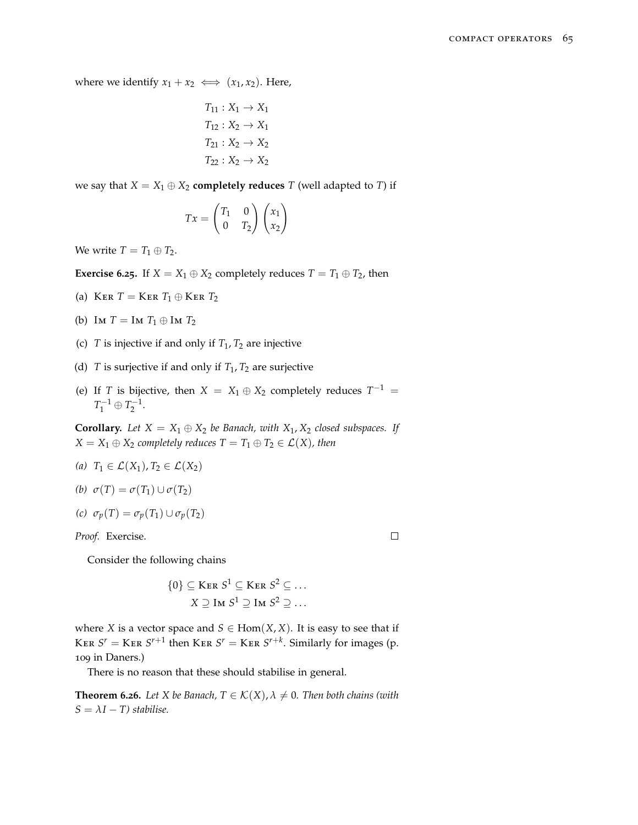where we identify  $x_1 + x_2 \iff (x_1, x_2)$ . Here,

$$
T_{11}: X_1 \rightarrow X_1
$$

$$
T_{12}: X_2 \rightarrow X_1
$$

$$
T_{21}: X_2 \rightarrow X_2
$$

$$
T_{22}: X_2 \rightarrow X_2
$$

we say that  $X = X_1 \oplus X_2$  **completely reduces** *T* (well adapted to *T*) if

$$
Tx = \begin{pmatrix} T_1 & 0 \\ 0 & T_2 \end{pmatrix} \begin{pmatrix} x_1 \\ x_2 \end{pmatrix}
$$

We write  $T = T_1 \oplus T_2$ .

**Exercise** 6.25. If  $X = X_1 \oplus X_2$  completely reduces  $T = T_1 \oplus T_2$ , then

- (a) KER  $T =$  KER  $T_1 \oplus$  KER  $T_2$
- (b) Im  $T = \text{Im } T_1 \oplus \text{Im } T_2$
- (c) *T* is injective if and only if  $T_1$ ,  $T_2$  are injective
- (d) *T* is surjective if and only if  $T_1$ ,  $T_2$  are surjective
- (e) If *T* is bijective, then  $X = X_1 \oplus X_2$  completely reduces  $T^{-1} =$  $T_1^{-1} \oplus T_2^{-1}.$

**Corollary.** *Let*  $X = X_1 \oplus X_2$  *be Banach, with*  $X_1, X_2$  *closed subspaces. If*  $X = X_1 \oplus X_2$  *completely reduces*  $T = T_1 \oplus T_2 \in \mathcal{L}(X)$ *, then* 

*(a)*  $T_1$  ∈  $\mathcal{L}(X_1)$ ,  $T_2$  ∈  $\mathcal{L}(X_2)$ 

(b) 
$$
\sigma(T) = \sigma(T_1) \cup \sigma(T_2)
$$

$$
(c) \ \sigma_p(T) = \sigma_p(T_1) \cup \sigma_p(T_2)
$$

*Proof.* Exercise.

Consider the following chains

$$
\{0\} \subseteq \text{Ker } S^1 \subseteq \text{Ker } S^2 \subseteq \dots
$$

$$
X \supseteq \text{Im } S^1 \supseteq \text{Im } S^2 \supseteq \dots
$$

 $\Box$ 

where *X* is a vector space and *S*  $\in$  Hom $(X, X)$ . It is easy to see that if KER  $S^r =$  KER  $S^{r+1}$  then KER  $S^r =$  KER  $S^{r+k}$ . Similarly for images (p. 109 in Daners.)

There is no reason that these should stabilise in general.

**Theorem 6.26.** Let X be Banach,  $T \in \mathcal{K}(X)$ ,  $\lambda \neq 0$ . Then both chains (with  $S = \lambda I - T$ ) stabilise.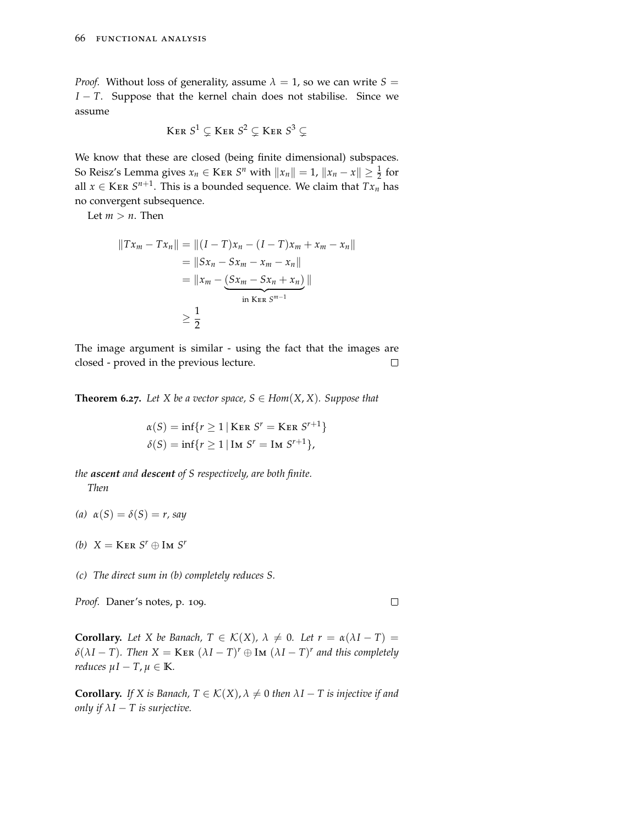*Proof.* Without loss of generality, assume  $\lambda = 1$ , so we can write  $S =$ *I* − *T*. Suppose that the kernel chain does not stabilise. Since we assume

$$
Ker~S^1\subsetneq Ker~S^2\subsetneq Ker~S^3\subsetneq
$$

We know that these are closed (being finite dimensional) subspaces. So Reisz's Lemma gives  $x_n \in \text{Ker } S^n$  with  $||x_n|| = 1$ ,  $||x_n - x|| \geq \frac{1}{2}$  for all  $x \in$  KER  $S^{n+1}$ . This is a bounded sequence. We claim that  $Tx_n$  has no convergent subsequence.

Let  $m > n$ . Then

$$
||Tx_m - Tx_n|| = ||(I - T)x_n - (I - T)x_m + x_m - x_n||
$$
  
=  $||Sx_n - Sx_m - x_m - x_n||$   
=  $||x_m - (Sx_m - Sx_n + x_n)||$   
 $\ge \frac{1}{2}$ 

The image argument is similar - using the fact that the images are closed - proved in the previous lecture.  $\Box$ 

**Theorem 6.27.** Let *X* be a vector space,  $S \in Hom(X, X)$ . Suppose that

$$
\alpha(S) = \inf\{r \ge 1 \mid \text{Ker } S^r = \text{Ker } S^{r+1}\}
$$

$$
\delta(S) = \inf\{r \ge 1 \mid \text{Im } S^r = \text{Im } S^{r+1}\},
$$

*the ascent and descent of S respectively, are both finite. Then*

- *(a) α*(*S*) = *δ*(*S*) = *r, say*
- *(b)*  $X = \text{Ker } S^r \oplus \text{Im } S^r$

*(c) The direct sum in (b) completely reduces S.*

*Proof.* Daner's notes, p. 109.

 $\Box$ 

**Corollary.** Let X be Banach,  $T \in \mathcal{K}(X)$ ,  $\lambda \neq 0$ . Let  $r = \alpha(\lambda I - T)$  $\delta(\lambda I - T)$ *. Then*  $X = \text{Ker } (\lambda I - T)^r \oplus \text{Im } (\lambda I - T)^r$  and this completely *reduces*  $\mu I - T$ ,  $\mu \in \mathbb{K}$ *.* 

**Corollary.** *If X is Banach,*  $T \in \mathcal{K}(X)$ ,  $\lambda \neq 0$  *then*  $\lambda I - T$  *is injective if and only if*  $\lambda I - T$  *is surjective.*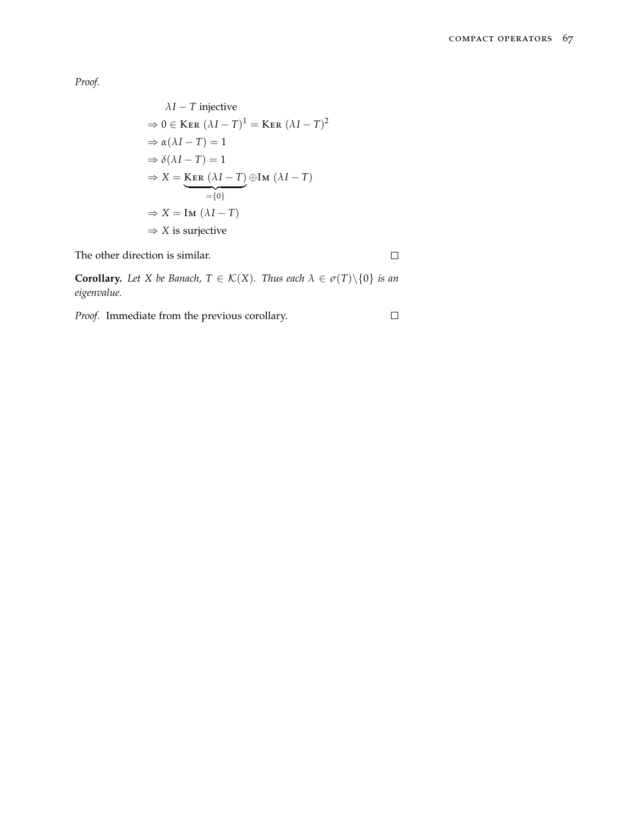*Proof.*

$$
\lambda I - T \text{ injective}
$$
\n
$$
\Rightarrow 0 \in \text{Ker } (\lambda I - T)^{1} = \text{Ker } (\lambda I - T)^{2}
$$
\n
$$
\Rightarrow \alpha(\lambda I - T) = 1
$$
\n
$$
\Rightarrow \delta(\lambda I - T) = 1
$$
\n
$$
\Rightarrow X = \text{Ker } (\lambda I - T) \oplus \text{Im } (\lambda I - T)
$$
\n
$$
= \{0\}
$$
\n
$$
\Rightarrow X = \text{Im } (\lambda I - T)
$$
\n
$$
\Rightarrow X \text{ is surjective}
$$

The other direction is similar.

 $\Box$ 

 $\Box$ 

**Corollary.** *Let X be Banach,*  $T \in K(X)$ *. Thus each*  $\lambda \in \sigma(T) \setminus \{0\}$  *is an eigenvalue.*

*Proof.* Immediate from the previous corollary.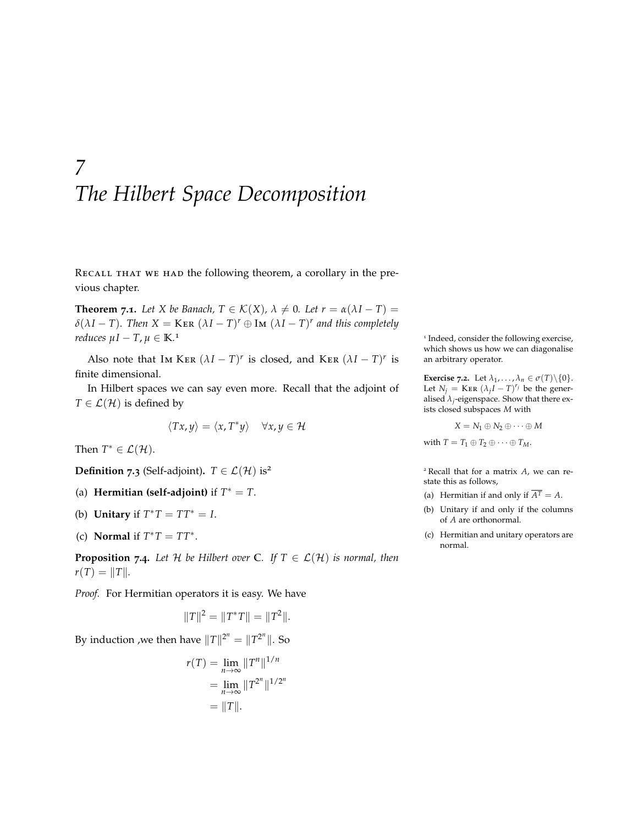# *7 The Hilbert Space Decomposition*

RECALL THAT WE HAD the following theorem, a corollary in the previous chapter.

**Theorem 7.1.** Let X be Banach,  $T \in \mathcal{K}(X)$ ,  $\lambda \neq 0$ . Let  $r = \alpha(\lambda I - T)$  $\delta(\lambda I - T)$ *. Then*  $X = \text{Ker } (\lambda I - T)^r \oplus \text{Im } (\lambda I - T)^r$  and this completely *reduces*  $\mu I - T$ ,  $\mu \in \mathbb{K}$ .<sup>1</sup>  $1$ 

Also note that IM KER  $(\lambda I - T)^r$  is closed, and KER  $(\lambda I - T)^r$  is finite dimensional.

In Hilbert spaces we can say even more. Recall that the adjoint of  $T \in \mathcal{L}(\mathcal{H})$  is defined by

$$
\langle Tx, y \rangle = \langle x, T^*y \rangle \quad \forall x, y \in \mathcal{H}
$$

Then  $T^* \in \mathcal{L}(\mathcal{H})$ .

**Definition 7.3** (Self-adjoint)**.**  $T \in \mathcal{L}(\mathcal{H})$  is<sup>2</sup> 2 Recall that for a matrix *A*, we can re-

- (a) **Hermitian (self-adjoint)** if  $T^* = T$ .
- (b) **Unitary** if  $T^*T = TT^* = I$ .
- (c) **Normal** if  $T^*T = TT^*$ .

**Proposition 7.4.** Let H be Hilbert over C. If  $T \in \mathcal{L}(\mathcal{H})$  is normal, then  $r(T) = ||T||.$ 

*Proof.* For Hermitian operators it is easy. We have

$$
||T||^2 = ||T^*T|| = ||T^2||.
$$

By induction , we then have  $||T||^{2^n} = ||T^{2^n}||$ . So

$$
r(T) = \lim_{n \to \infty} ||T^n||^{1/n}
$$
  
= 
$$
\lim_{n \to \infty} ||T^{2^n}||^{1/2^n}
$$
  
= 
$$
||T||.
$$

<sup>1</sup> Indeed, consider the following exercise, which shows us how we can diagonalise an arbitrary operator.

**Exercise** 7.2. Let  $\lambda_1, \ldots, \lambda_n \in \sigma(T) \setminus \{0\}.$ Let  $N_j = \text{Ker} (\lambda_j I - T)^{r_j}$  be the generalised  $\lambda_j$ -eigenspace. Show that there exists closed subspaces *M* with

$$
X=N_1\oplus N_2\oplus\cdots\oplus M
$$

with  $T = T_1 \oplus T_2 \oplus \cdots \oplus T_M$ .

state this as follows,

- (a) Hermitian if and only if  $\overline{A^T} = A$ .
- (b) Unitary if and only if the columns of *A* are orthonormal.
- (c) Hermitian and unitary operators are normal.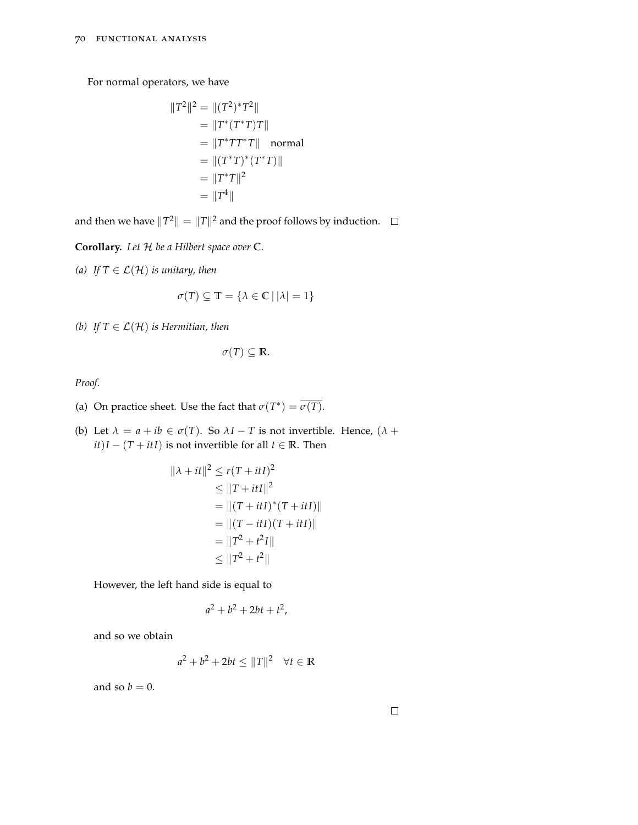For normal operators, we have

$$
||T2||2 = ||(T2)* T2||= ||T* (T* T)T||= ||T* TT* T|| normal= ||(T* T)* ((T* T)||= ||T* T||2= ||T4||
$$

and then we have  $\|T^2\| = \|T\|^2$  and the proof follows by induction.

**Corollary.** *Let* H *be a Hilbert space over* **C***.*

*(a) If*  $T \in \mathcal{L}(\mathcal{H})$  *is unitary, then* 

$$
\sigma(T) \subseteq \mathbb{T} = \{ \lambda \in \mathbb{C} \, | \, |\lambda| = 1 \}
$$

*(b) If*  $T \in \mathcal{L}(\mathcal{H})$  *is Hermitian, then* 

$$
\sigma(T) \subseteq \mathbb{R}.
$$

*Proof.*

- (a) On practice sheet. Use the fact that  $\sigma(T^*) = \overline{\sigma(T)}$ .
- (b) Let  $\lambda = a + ib \in \sigma(T)$ . So  $\lambda I T$  is not invertible. Hence,  $(\lambda +$ *it*)*I* − (*T* + *itI*) is not invertible for all *t* ∈ **R**. Then

$$
\|\lambda + it\|^2 \le r(T + itI)^2
$$
  
\n
$$
\le \|T + itI\|^2
$$
  
\n
$$
= \|(T + itI)^*(T + itI)\|
$$
  
\n
$$
= \|(T - itI)(T + itI)\|
$$
  
\n
$$
= \|T^2 + t^2I\|
$$
  
\n
$$
\le \|T^2 + t^2\|
$$

However, the left hand side is equal to

$$
a^2+b^2+2bt+t^2,
$$

and so we obtain

$$
a^2 + b^2 + 2bt \le ||T||^2 \quad \forall t \in \mathbb{R}
$$

and so  $b = 0$ .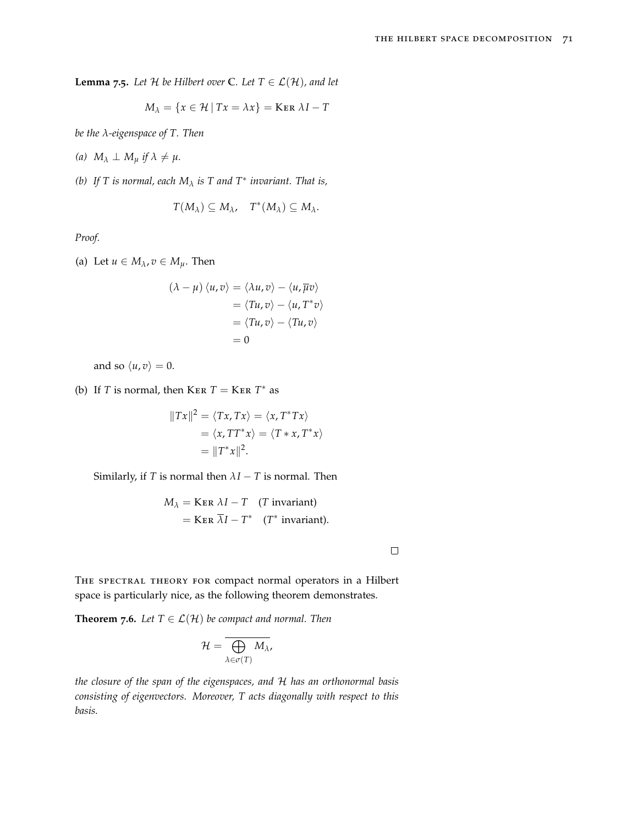**Lemma** 7.5. Let H be Hilbert over  $\mathbb{C}$ *.* Let  $T \in \mathcal{L}(\mathcal{H})$ *, and let* 

$$
M_{\lambda} = \{x \in \mathcal{H} \mid Tx = \lambda x\} = \text{Ker }\lambda I - T
$$

*be the λ-eigenspace of T. Then*

 $(a)$   $M_{\lambda} \perp M_{\mu}$  *if*  $\lambda \neq \mu$ .

*(b)* If T is normal, each  $M_{\lambda}$  is T and  $T^*$  invariant. That is,

$$
T(M_\lambda)\subseteq M_\lambda, \quad T^*(M_\lambda)\subseteq M_\lambda.
$$

*Proof.*

(a) Let  $u \in M_{\lambda}$ ,  $v \in M_{\mu}$ . Then

$$
(\lambda - \mu) \langle u, v \rangle = \langle \lambda u, v \rangle - \langle u, \overline{\mu} v \rangle
$$
  
=  $\langle Tu, v \rangle - \langle u, T^* v \rangle$   
=  $\langle Tu, v \rangle - \langle Tu, v \rangle$   
= 0

and so  $\langle u, v \rangle = 0$ .

(b) If *T* is normal, then  $KER T = KER T^*$  as

$$
||Tx||^2 = \langle Tx, Tx \rangle = \langle x, T^*Tx \rangle
$$
  
=  $\langle x, TT^*x \rangle = \langle T * x, T^*x \rangle$   
=  $||T^*x||^2$ .

Similarly, if *T* is normal then  $\lambda I - T$  is normal. Then

$$
M_{\lambda} =
$$
 
$$
KER \lambda I - T
$$
 (*T* invariant)  
= 
$$
KER \overline{\lambda}I - T^*
$$
 (*T*\* invariant).

 $\Box$ 

THE SPECTRAL THEORY FOR compact normal operators in a Hilbert space is particularly nice, as the following theorem demonstrates.

**Theorem 7.6.** *Let*  $T \in \mathcal{L}(\mathcal{H})$  *be compact and normal. Then* 

$$
\mathcal{H}=\overline{\bigoplus_{\lambda\in\sigma(T)}M_{\lambda}},
$$

*the closure of the span of the eigenspaces, and* H *has an orthonormal basis consisting of eigenvectors. Moreover, T acts diagonally with respect to this basis.*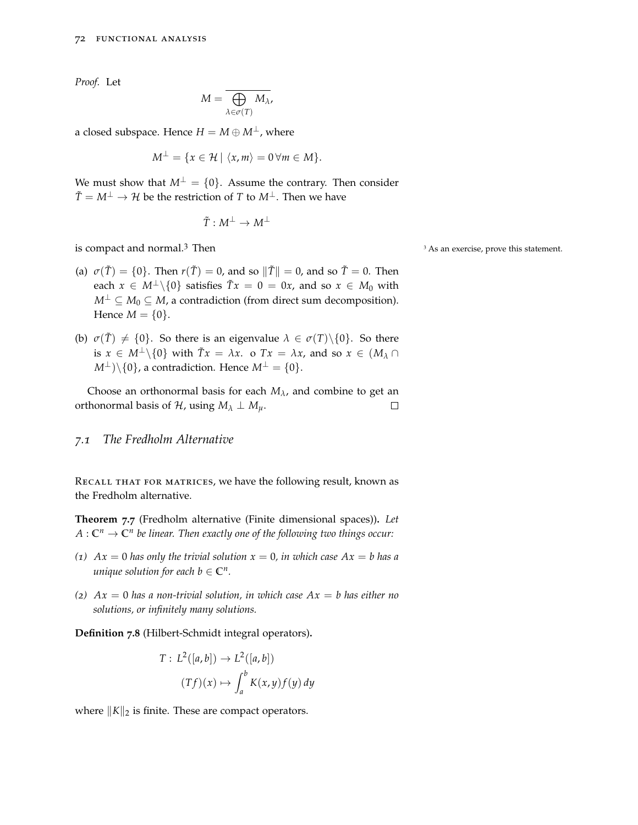*Proof.* Let

$$
M=\overline{\bigoplus_{\lambda\in\sigma(T)}M_{\lambda}},
$$

a closed subspace. Hence  $H = M \oplus M^{\perp}$ , where

$$
M^{\perp} = \{x \in \mathcal{H} \mid \langle x, m \rangle = 0 \,\forall m \in M\}.
$$

We must show that  $M^{\perp} = \{0\}$ . Assume the contrary. Then consider  $\tilde{T} = M^{\perp} \rightarrow \mathcal{H}$  be the restriction of *T* to  $M^{\perp}$ . Then we have

$$
\tilde{T}:M^{\perp}\to M^{\perp}
$$

is compact and normal.<sup>3</sup> Then  $\frac{3}{4}$  As an exercise, prove this statement.

- (a)  $\sigma(\tilde{T}) = \{0\}$ . Then  $r(\tilde{T}) = 0$ , and so  $\|\tilde{T}\| = 0$ , and so  $\tilde{T} = 0$ . Then each  $x \in M^{\perp} \setminus \{0\}$  satisfies  $\tilde{T}x = 0 = 0x$ , and so  $x \in M_0$  with  $M^{\perp}$  ⊆ *M*<sub>0</sub> ⊆ *M*, a contradiction (from direct sum decomposition). Hence  $M = \{0\}.$
- (b)  $\sigma(\tilde{T}) \neq \{0\}$ . So there is an eigenvalue  $\lambda \in \sigma(T) \setminus \{0\}$ . So there is  $x \in M^{\perp} \setminus \{0\}$  with  $\tilde{T}x = \lambda x$ . o  $Tx = \lambda x$ , and so  $x \in (M_{\lambda} \cap$  $M^{\perp}$ )\{0}, a contradiction. Hence  $M^{\perp} = \{0\}.$

Choose an orthonormal basis for each  $M_{\lambda}$ , and combine to get an orthonormal basis of  $H$ , using  $M_\lambda \perp M_\mu$ .  $\Box$ 

#### *7.1 The Fredholm Alternative*

RECALL THAT FOR MATRICES, we have the following result, known as the Fredholm alternative.

**Theorem 7.7** (Fredholm alternative (Finite dimensional spaces))**.** *Let*  $A: \mathbb{C}^n \to \mathbb{C}^n$  be linear. Then exactly one of the following two things occur:

- (*1*)  $Ax = 0$  *has only the trivial solution*  $x = 0$ *, in which case*  $Ax = b$  *has a unique solution for each b*  $\in \mathbb{C}^n$ *.*
- *(2) Ax* = 0 *has a non-trivial solution, in which case Ax* = *b has either no solutions, or infinitely many solutions.*

**Definition 7.8** (Hilbert-Schmidt integral operators)**.**

$$
T: L^{2}([a,b]) \to L^{2}([a,b])
$$

$$
(Tf)(x) \mapsto \int_{a}^{b} K(x,y)f(y) dy
$$

where  $||K||_2$  is finite. These are compact operators.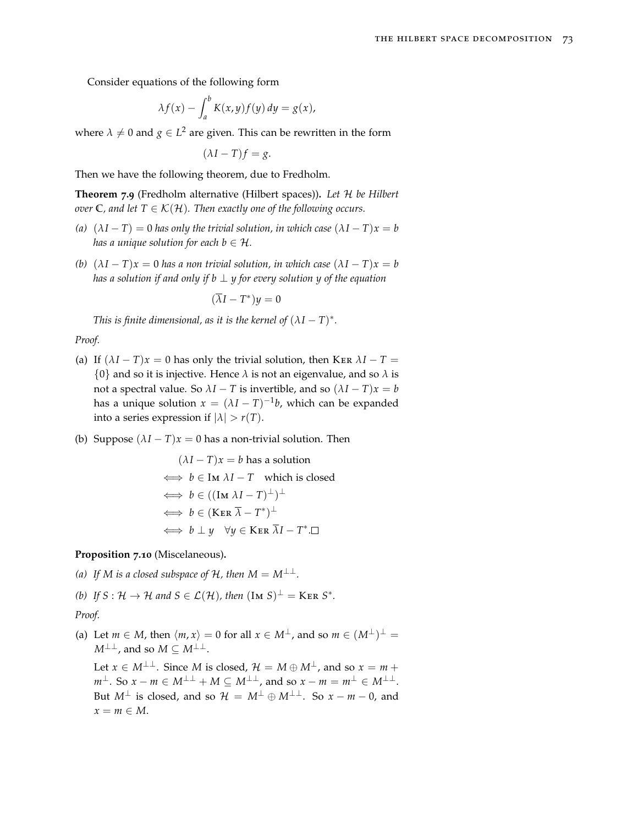Consider equations of the following form

$$
\lambda f(x) - \int_a^b K(x, y) f(y) \, dy = g(x),
$$

where  $\lambda \neq 0$  and  $g \in L^2$  are given. This can be rewritten in the form

$$
(\lambda I - T)f = g.
$$

Then we have the following theorem, due to Fredholm.

**Theorem 7.9** (Fredholm alternative (Hilbert spaces))**.** *Let* H *be Hilbert over*  $\mathbb{C}$ *, and let*  $T \in \mathcal{K}(\mathcal{H})$ *. Then exactly one of the following occurs.* 

- *(a)*  $(\lambda I T) = 0$  *has only the trivial solution, in which case*  $(\lambda I T)x = b$ *has a unique solution for each b*  $\in$  *H.*
- *(b)*  $(\lambda I T)x = 0$  *has a non trivial solution, in which case*  $(\lambda I T)x = b$ *has a solution if and only if b* ⊥ *y* for every solution *y* of the equation

$$
(\overline{\lambda}I-T^*)y=0
$$

*This is finite dimensional, as it is the kernel of*  $(\lambda I - T)^*$ *.* 

*Proof.*

- (a) If  $(\lambda I T)x = 0$  has only the trivial solution, then KER  $\lambda I T =$  $\{0\}$  and so it is injective. Hence  $\lambda$  is not an eigenvalue, and so  $\lambda$  is not a spectral value. So  $\lambda I - T$  is invertible, and so  $(\lambda I - T)x = b$ has a unique solution  $x = (\lambda I - T)^{-1}b$ , which can be expanded into a series expression if  $|\lambda| > r(T)$ .
- (b) Suppose  $(\lambda I T)x = 0$  has a non-trivial solution. Then

$$
(\lambda I - T)x = b \text{ has a solution}
$$
  
\n
$$
\iff b \in \text{Im } \lambda I - T \text{ which is closed}
$$
  
\n
$$
\iff b \in ((\text{Im } \lambda I - T)^{\perp})^{\perp}
$$
  
\n
$$
\iff b \in (\text{Ker } \overline{\lambda} - T^*)^{\perp}
$$
  
\n
$$
\iff b \perp y \quad \forall y \in \text{Ker } \overline{\lambda}I - T^* \square
$$

**Proposition 7.10** (Miscelaneous)**.**

*(a)* If *M* is a closed subspace of  $H$ , then  $M = M^{\perp \perp}$ .

*(b) If*  $S: \mathcal{H} \to \mathcal{H}$  and  $S \in \mathcal{L}(\mathcal{H})$ , then  $(\text{Im } S)^{\perp} = \text{Ker } S^*$ .

*Proof.*

(a) Let  $m \in M$ , then  $\langle m, x \rangle = 0$  for all  $x \in M^{\perp}$ , and so  $m \in (M^{\perp})^{\perp} =$  $M^{\perp\perp}$ , and so  $M \subseteq M^{\perp\perp}$ .

Let  $x \in M^{\perp \perp}$ . Since *M* is closed,  $\mathcal{H} = M \oplus M^{\perp}$ , and so  $x = m +$  $m^{\perp}$ . So  $x - m \in M^{\perp \perp} + M \subseteq M^{\perp \perp}$ , and so  $x - m = m^{\perp} \in M^{\perp \perp}$ . But  $M^{\perp}$  is closed, and so  $\mathcal{H} = M^{\perp} \oplus M^{\perp \perp}$ . So  $x - m - 0$ , and  $x = m \in M$ .